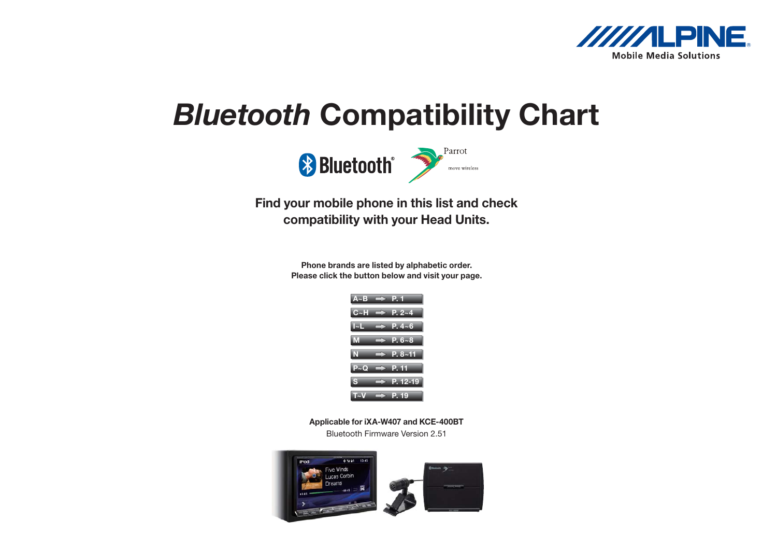

## <span id="page-0-0"></span>Bluetooth Compatibility Chart



## Find your mobile phone in this list and check compatibility with your Head Units.

Phone brands are listed by alphabetic order. Please click the button below and visit your page.



Applicable for iXA-W407 and KCE-400BT

Bluetooth Firmware Version 2.51

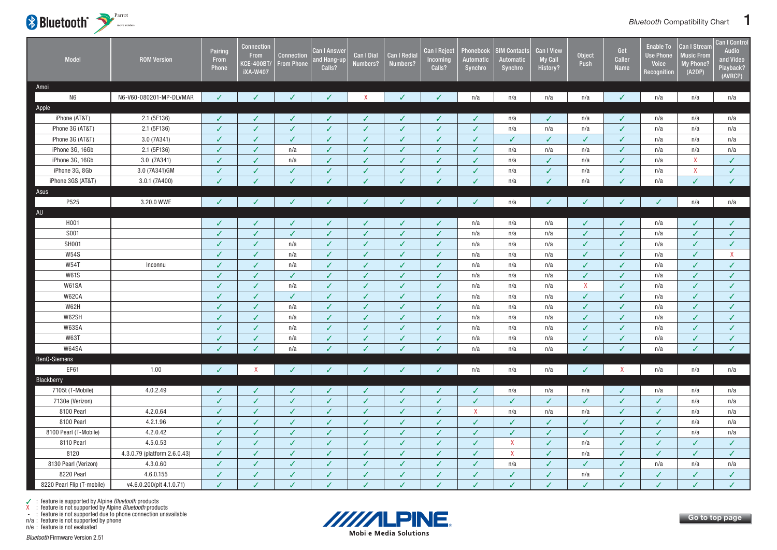<span id="page-1-0"></span>

| Model                      | <b>ROM Version</b>           | Pairing<br>From<br>Phone | <b>Connection</b><br><b>From</b><br><b>KCE-400BT/</b><br><b>iXA-W407</b> | Connection<br><b>From Phone</b> | <b>Can I Answer</b><br>and Hang-up<br>Calls? | <b>Can I Dial</b><br>Numbers? | <b>Can I Redia</b><br>Numbers? | <b>Can I Reject</b><br>Incoming<br>Calls? | Phonebook<br><b>Automatic</b><br>Synchro | <b>IM Contacts</b><br>Automatic<br>Synchro | <b>Can I View</b><br><b>My Call</b><br>History? | Object<br>Push | Get<br>Caller<br>Name | <b>Enable To</b><br><b>Use Phone</b><br>Voice<br>Recognition | Can I Stream<br><b>Music From</b><br><b>My Phone?</b><br>(A2DP) | <b>Can I Control</b><br><b>Audio</b><br>and Video<br>Playback?<br>(AVRCP) |
|----------------------------|------------------------------|--------------------------|--------------------------------------------------------------------------|---------------------------------|----------------------------------------------|-------------------------------|--------------------------------|-------------------------------------------|------------------------------------------|--------------------------------------------|-------------------------------------------------|----------------|-----------------------|--------------------------------------------------------------|-----------------------------------------------------------------|---------------------------------------------------------------------------|
| Amoi                       |                              |                          |                                                                          |                                 |                                              |                               |                                |                                           |                                          |                                            |                                                 |                |                       |                                                              |                                                                 |                                                                           |
| N <sub>6</sub>             | N6-V60-080201-MP-DLVMAR      | $\checkmark$             | ℐ                                                                        | ✓                               | J                                            | $\mathsf{X}$                  | ✓                              | $\checkmark$                              | n/a                                      | n/a                                        | n/a                                             | n/a            | $\checkmark$          | n/a                                                          | n/a                                                             | n/a                                                                       |
| Apple                      |                              |                          |                                                                          |                                 |                                              |                               |                                |                                           |                                          |                                            |                                                 |                |                       |                                                              |                                                                 |                                                                           |
| iPhone (AT&T)              | 2.1 (5F136)                  | ✓                        | $\checkmark$                                                             | ✓                               | ✓                                            | ✓                             | ✓                              | $\checkmark$                              | $\checkmark$                             | n/a                                        | $\checkmark$                                    | n/a            | $\checkmark$          | n/a                                                          | n/a                                                             | n/a                                                                       |
| iPhone 3G (AT&T)           | 2.1 (5F136)                  | $\checkmark$             | $\checkmark$                                                             | ✓                               | $\checkmark$                                 | $\checkmark$                  | $\checkmark$                   | $\checkmark$                              | $\checkmark$                             | n/a                                        | n/a                                             | n/a            | $\checkmark$          | n/a                                                          | n/a                                                             | n/a                                                                       |
| iPhone 3G (AT&T)           | 3.0 (7A341)                  | ✓                        | $\checkmark$                                                             | ✓                               | ✓                                            | ✓                             | ✓                              | $\checkmark$                              | $\checkmark$                             | ✓                                          | $\checkmark$                                    | ✓              | $\checkmark$          | n/a                                                          | n/a                                                             | n/a                                                                       |
| iPhone 3G, 16Gb            | 2.1 (5F136)                  | ✓                        | ✓                                                                        | n/a                             | $\checkmark$                                 | ✓                             | J                              | $\checkmark$                              | $\checkmark$                             | n/a                                        | n/a                                             | n/a            | $\checkmark$          | n/a                                                          | n/a                                                             | n/a                                                                       |
| iPhone 3G, 16Gb            | 3.0 (7A341)                  | $\checkmark$             | $\checkmark$                                                             | n/a                             | $\checkmark$                                 | $\checkmark$                  | $\checkmark$                   | $\checkmark$                              | $\checkmark$                             | n/a                                        | $\sqrt{2}$                                      | n/a            | $\checkmark$          | n/a                                                          | X                                                               | $\checkmark$                                                              |
| iPhone 3G, 8Gb             | 3.0 (7A341)GM                | $\checkmark$             | $\checkmark$                                                             | ✓                               | ✓                                            | $\checkmark$                  | $\checkmark$                   | $\checkmark$                              | $\checkmark$                             | n/a                                        | ✓                                               | n/a            | $\checkmark$          | n/a                                                          | $\pmb{\mathsf{X}}$                                              | $\checkmark$                                                              |
| iPhone 3GS (AT&T)          | 3.0.1 (7A400)                |                          |                                                                          |                                 | J                                            |                               |                                | $\checkmark$                              | ✓                                        | n/a                                        | ✓                                               | n/a            | J                     | n/a                                                          | $\checkmark$                                                    | $\checkmark$                                                              |
| Asus                       |                              |                          |                                                                          |                                 |                                              |                               |                                |                                           |                                          |                                            |                                                 |                |                       |                                                              |                                                                 |                                                                           |
| P525                       | 3.20.0 WWE                   | $\checkmark$             | $\checkmark$                                                             | ✓                               | ✓                                            | ✓                             | ✓                              | $\checkmark$                              | $\checkmark$                             | n/a                                        | ✓                                               | $\checkmark$   | $\checkmark$          | $\checkmark$                                                 | n/a                                                             | n/a                                                                       |
| AU                         |                              |                          |                                                                          |                                 |                                              |                               |                                |                                           |                                          |                                            |                                                 |                |                       |                                                              |                                                                 |                                                                           |
| H001                       |                              | ✓                        | $\checkmark$                                                             | ✓                               | ✓                                            | ✓                             | ✓                              | $\checkmark$                              | n/a                                      | n/a                                        | n/a                                             | ✓              | $\checkmark$          | n/a                                                          | ✓                                                               | $\checkmark$                                                              |
| S001                       |                              | $\checkmark$             | $\checkmark$                                                             | $\checkmark$                    | $\checkmark$                                 | $\checkmark$                  | $\checkmark$                   | $\checkmark$                              | n/a                                      | n/a                                        | n/a                                             | $\checkmark$   | $\checkmark$          | n/a                                                          | ✓                                                               | $\checkmark$                                                              |
| SH001                      |                              | $\checkmark$             | $\checkmark$                                                             | n/a                             | $\checkmark$                                 | $\checkmark$                  | $\checkmark$                   | $\checkmark$                              | n/a                                      | n/a                                        | n/a                                             | $\checkmark$   | $\checkmark$          | n/a                                                          | ✓                                                               | $\checkmark$                                                              |
| <b>W54S</b>                |                              | J                        | $\checkmark$                                                             | n/a                             | $\checkmark$                                 | ✓                             | J                              | $\checkmark$                              | n/a                                      | n/a                                        | n/a                                             | ✓              | $\checkmark$          | n/a                                                          | ✓                                                               | X                                                                         |
| <b>W54T</b>                | Inconnu                      |                          | ✓                                                                        | n/a                             | ✓                                            | ✓                             | J                              | $\checkmark$                              | n/a                                      | n/a                                        | n/a                                             | ✓              | J                     | n/a                                                          | ✓                                                               | ✓                                                                         |
| <b>W61S</b>                |                              | $\checkmark$             | $\checkmark$                                                             | ✓                               | $\checkmark$                                 | $\checkmark$                  | $\checkmark$                   | $\checkmark$                              | n/a                                      | n/a                                        | n/a                                             | $\checkmark$   | $\checkmark$          | n/a                                                          | $\checkmark$                                                    | $\checkmark$                                                              |
| W61SA                      |                              |                          | $\checkmark$                                                             | n/a                             | $\checkmark$                                 | ✓                             | $\checkmark$                   | $\checkmark$                              | n/a                                      | n/a                                        | n/a                                             | $\mathsf{X}$   | $\checkmark$          | n/a                                                          | ✓                                                               | $\checkmark$                                                              |
| W62CA                      |                              | J                        | ✓                                                                        | ✓                               | ✓                                            | ✓                             | ✓                              | $\checkmark$                              | n/a                                      | n/a                                        | n/a                                             | J              | ✓                     | n/a                                                          | ✓                                                               | $\checkmark$                                                              |
| W62H                       |                              | $\overline{J}$           | $\checkmark$                                                             | n/a                             | $\checkmark$                                 | ✓                             | $\checkmark$                   | $\checkmark$                              | n/a                                      | n/a                                        | n/a                                             | ✓              | $\checkmark$          | n/a                                                          | $\checkmark$                                                    | $\checkmark$                                                              |
| W62SH                      |                              | $\checkmark$             | $\checkmark$                                                             | n/a                             | $\checkmark$                                 | ✓                             | $\checkmark$                   | $\checkmark$                              | n/a                                      | n/a                                        | n/a                                             | $\checkmark$   | $\checkmark$          | n/a                                                          | ✓                                                               | $\checkmark$                                                              |
| W63SA                      |                              | $\checkmark$             | $\checkmark$                                                             | n/a                             | ✓                                            | ✓                             | ✓                              | $\checkmark$                              | n/a                                      | n/a                                        | n/a                                             | ✓              | $\checkmark$          | n/a                                                          | ✓                                                               | $\checkmark$                                                              |
| <b>W63T</b>                |                              | $\checkmark$             | ✓                                                                        | n/a                             | $\checkmark$                                 | ✓                             | ✓                              | $\checkmark$                              | n/a                                      | n/a                                        | n/a                                             | √              | √                     | n/a                                                          | ✓                                                               | ✓                                                                         |
| W64SA                      |                              | J                        | $\checkmark$                                                             | n/a                             | $\checkmark$                                 |                               |                                | $\checkmark$                              | n/a                                      | n/a                                        | n/a                                             |                | J                     | n/a                                                          | V                                                               | $\checkmark$                                                              |
| BenQ-Siemens               |                              |                          |                                                                          |                                 |                                              |                               |                                |                                           |                                          |                                            |                                                 |                |                       |                                                              |                                                                 |                                                                           |
| EF61                       | 1.00                         | $\checkmark$             | $\mathsf{X}$                                                             | ✓                               | ✓                                            | ✓                             | ✓                              | $\checkmark$                              | n/a                                      | n/a                                        | n/a                                             | $\checkmark$   | $\mathsf{X}$          | n/a                                                          | n/a                                                             | n/a                                                                       |
| Blackberry                 |                              |                          |                                                                          |                                 |                                              |                               |                                |                                           |                                          |                                            |                                                 |                |                       |                                                              |                                                                 |                                                                           |
| 7105t (T-Mobile)           | 4.0.2.49                     | √                        | $\checkmark$                                                             | ✓                               | ✓                                            | ✓                             | J                              | $\checkmark$                              | $\checkmark$                             | n/a                                        | n/a                                             | n/a            | $\checkmark$          | n/a                                                          | n/a                                                             | n/a                                                                       |
| 7130e (Verizon)            |                              | ✓                        | $\checkmark$                                                             | ✓                               | $\checkmark$                                 | ✓                             | $\checkmark$                   | $\checkmark$                              | $\checkmark$                             | ✓                                          | $\checkmark$                                    | ✓              | $\checkmark$          | ✓                                                            | n/a                                                             | n/a                                                                       |
| 8100 Pearl                 | 4.2.0.64                     | ✓                        | $\checkmark$                                                             | ✓                               | $\checkmark$                                 | ✓                             | $\checkmark$                   | $\checkmark$                              | $\mathsf{X}$                             | n/a                                        | n/a                                             | n/a            | $\checkmark$          | ✓                                                            | n/a                                                             | n/a                                                                       |
| 8100 Pearl                 | 4.2.1.96                     | √                        | ✓                                                                        | ✓                               | ✓                                            | ✓                             | ✓                              | $\checkmark$                              | $\checkmark$                             | ✓                                          | ✓                                               |                | J                     | J                                                            | n/a                                                             | n/a                                                                       |
| 8100 Pearl (T-Mobile)      | 4.2.0.42                     | $\checkmark$             | $\checkmark$                                                             | ✓                               | $\checkmark$                                 | ✓                             | $\checkmark$                   | $\checkmark$                              | $\checkmark$                             | $\checkmark$                               | $\checkmark$                                    | $\checkmark$   | $\checkmark$          | ✓                                                            | n/a                                                             | n/a                                                                       |
| 8110 Pearl                 | 4.5.0.53                     | $\checkmark$             | $\checkmark$                                                             | ✓                               | $\checkmark$                                 | ✓                             | ✓                              | $\checkmark$                              | $\checkmark$                             | X                                          | $\checkmark$                                    | n/a            | $\checkmark$          | ✓                                                            | ✓                                                               | $\checkmark$                                                              |
| 8120                       | 4.3.0.79 (platform 2.6.0.43) | ✓                        | J                                                                        | J                               | ✓                                            | ✓                             | J                              | $\checkmark$                              | $\checkmark$                             | $\pmb{\mathsf{X}}$                         | ✓                                               | n/a            | $\checkmark$          | J                                                            | ✓                                                               | $\checkmark$                                                              |
| 8130 Pearl (Verizon)       | 4.3.0.60                     | $\checkmark$             | $\checkmark$                                                             | ✓                               | $\checkmark$                                 | $\checkmark$                  | $\checkmark$                   | $\checkmark$                              | $\checkmark$                             | n/a                                        | ✓                                               | ✓              | $\checkmark$          | n/a                                                          | n/a                                                             | n/a                                                                       |
| 8220 Pearl                 | 4.6.0.155                    | ✓                        | $\checkmark$                                                             | ✓                               |                                              |                               | √                              |                                           |                                          |                                            |                                                 |                | ✓                     | ✓                                                            | ✓                                                               |                                                                           |
|                            |                              | J                        |                                                                          |                                 | ✓                                            | ✓                             | J                              | $\checkmark$                              | ✓<br>J.                                  | $\checkmark$<br>$\checkmark$               | ✓                                               | n/a            |                       |                                                              | $\checkmark$                                                    | $\checkmark$                                                              |
| 8220 Pearl Flip (T-mobile) | v4.6.0.200(plt 4.1.0.71)     |                          | $\checkmark$                                                             | ✓                               | $\checkmark$                                 | ✓                             |                                | $\checkmark$                              |                                          |                                            | ✓                                               | J              | J                     | ✓                                                            |                                                                 | $\checkmark$                                                              |

n/a : feature is not supported by phone



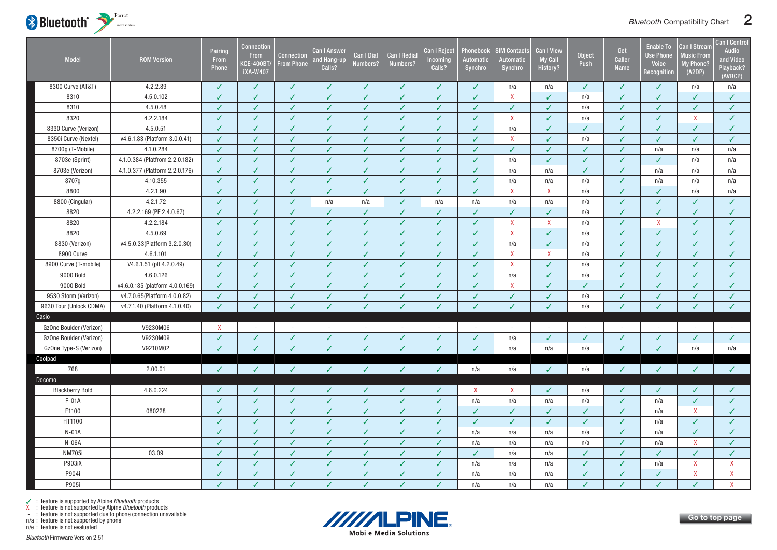<span id="page-2-0"></span>

| Model                   | <b>ROM Version</b>              | Pairing<br>From<br>Phone  | <b>Connection</b><br><b>From</b><br><b>KCE-400BT/</b><br><b>iXA-W407</b> | <b>Connection</b><br><b>From Phone</b> | Can I Answer<br><b>nd Hang-up</b><br>Calls? | <b>Can I Dial</b><br>Numbers? | <b>Can I Redia</b><br>Numbers? | <b>Can I Reject</b><br>Incoming<br>Calls? | Phonebook<br>Automatic<br>Synchro | <b>SIM Contacts</b><br><b>Automatic</b><br>Synchro | Can I View<br><b>My Call</b><br>History? | <b>Object</b><br>Push | Get<br><b>Caller</b><br><b>Name</b> | <b>Enable To</b><br><b>Use Phone</b><br>Voice<br>Recognition | <b>Can I Stream</b><br><b>Music From</b><br>My Phone?<br>(A2DP) | <b>Can I Control</b><br>Audio<br>and Video<br>Playback?<br>(AVRCP) |
|-------------------------|---------------------------------|---------------------------|--------------------------------------------------------------------------|----------------------------------------|---------------------------------------------|-------------------------------|--------------------------------|-------------------------------------------|-----------------------------------|----------------------------------------------------|------------------------------------------|-----------------------|-------------------------------------|--------------------------------------------------------------|-----------------------------------------------------------------|--------------------------------------------------------------------|
| 8300 Curve (AT&T)       | 4.2.2.89                        | ✓                         | $\checkmark$                                                             | ✓                                      | ✓                                           | ✓                             | ✓                              | $\checkmark$                              | ✓                                 | n/a                                                | n/a                                      | ✓                     | $\checkmark$                        | ✓                                                            | n/a                                                             | n/a                                                                |
| 8310                    | 4.5.0.102                       | ✓                         | $\checkmark$                                                             | ✓                                      | $\checkmark$                                | ✓                             | ✓                              | $\checkmark$                              | ✓                                 | $\mathsf{X}$                                       | ✓                                        | n/a                   | $\checkmark$                        | ✓                                                            | ✓                                                               | $\checkmark$                                                       |
| 8310                    | 4.5.0.48                        | $\checkmark$              | $\checkmark$                                                             | $\checkmark$                           | $\checkmark$                                | $\checkmark$                  | ✓                              | $\checkmark$                              | $\checkmark$                      | $\checkmark$                                       | ✓                                        | n/a                   | $\checkmark$                        | ✓                                                            | $\checkmark$                                                    | $\checkmark$                                                       |
| 8320                    | 4.2.2.184                       | ✓                         | $\checkmark$                                                             | $\checkmark$                           | $\checkmark$                                | ✓                             | $\checkmark$                   | $\checkmark$                              | $\checkmark$                      | X                                                  | ✓                                        | n/a                   | $\checkmark$                        | ✓                                                            | $\mathsf{X}$                                                    | $\checkmark$                                                       |
| 8330 Curve (Verizon)    | 4.5.0.51                        | J                         | $\checkmark$                                                             | ✓                                      | $\checkmark$                                | ✓                             | ✓                              | $\checkmark$                              | $\checkmark$                      | n/a                                                | ✓                                        | ✓                     | ✓                                   | ✓                                                            | $\checkmark$                                                    | $\checkmark$                                                       |
| 8350i Curve (Nextel)    | v4.6.1.83 (Platform 3.0.0.41)   | ✓                         | $\checkmark$                                                             | ✓                                      | $\checkmark$                                | ✓                             | ✓                              | $\checkmark$                              | ✓                                 | $\pmb{\chi}$                                       | ✓                                        | n/a                   | $\checkmark$                        | ✓                                                            | ✓                                                               | ✓                                                                  |
| 8700g (T-Mobile)        | 4.1.0.284                       | $\checkmark$              | J                                                                        | ✓                                      | $\checkmark$                                | ✓                             | $\checkmark$                   | $\checkmark$                              | $\checkmark$                      | $\checkmark$                                       | ✓                                        | J                     | ✓                                   | n/a                                                          | n/a                                                             | n/a                                                                |
| 8703e (Sprint)          | 4.1.0.384 (Platfrom 2.2.0.182)  | ✓                         | $\checkmark$                                                             | ✓                                      | ✓                                           | ✓                             | ✓                              | $\checkmark$                              | ✓                                 | n/a                                                | ✓                                        | √                     | $\checkmark$                        | $\checkmark$                                                 | n/a                                                             | n/a                                                                |
| 8703e (Verizon)         | 4.1.0.377 (Platform 2.2.0.176)  | J                         | $\checkmark$                                                             | $\checkmark$                           | $\checkmark$                                | ✓                             | J                              | $\checkmark$                              | $\checkmark$                      | n/a                                                | n/a                                      | J                     | $\checkmark$                        | n/a                                                          | n/a                                                             | n/a                                                                |
| 8707g                   | 4.10.355                        | J                         | J                                                                        | ✓                                      | ✓                                           | ✓                             | J                              | $\checkmark$                              | ℐ                                 | n/a                                                | n/a                                      | n/a                   | √                                   | n/a                                                          | n/a                                                             | n/a                                                                |
| 8800                    | 4.2.1.90                        | $\checkmark$              | $\checkmark$                                                             | $\checkmark$                           | $\checkmark$                                | $\checkmark$                  | $\checkmark$                   | $\checkmark$                              | $\checkmark$                      | $\mathsf{X}$                                       | $\mathsf{X}$                             | n/a                   | $\checkmark$                        | $\checkmark$                                                 | n/a                                                             | n/a                                                                |
| 8800 (Cingular)         | 4.2.1.72                        | J                         | $\checkmark$                                                             | ✓                                      | n/a                                         | n/a                           | $\checkmark$                   | n/a                                       | n/a                               | n/a                                                | n/a                                      | n/a                   | $\checkmark$                        | ✓                                                            | $\checkmark$                                                    | $\checkmark$                                                       |
| 8820                    | 4.2.2.169 (PF 2.4.0.67)         |                           | $\overline{\mathcal{L}}$                                                 | ✓                                      | $\checkmark$                                | ✓                             | J                              | $\checkmark$                              | ✓                                 | ✓                                                  |                                          | n/a                   | ✓                                   | ✓                                                            | ✓                                                               | $\checkmark$                                                       |
| 8820                    | 4.2.2.184                       |                           | $\overline{\mathcal{L}}$                                                 | ℐ                                      | J                                           | J                             |                                | ✓                                         | ℐ                                 | $\mathsf{X}$                                       | $\mathsf{X}$                             | n/a                   | $\checkmark$                        | $\mathsf{X}$                                                 | ℐ                                                               | ✓                                                                  |
| 8820                    | 4.5.0.69                        | $\checkmark$              | $\checkmark$                                                             | ✓                                      | $\checkmark$                                | $\checkmark$                  | $\checkmark$                   | $\checkmark$                              | ✓                                 | $\mathsf{X}$                                       | $\checkmark$                             | n/a                   | $\checkmark$                        | V                                                            | ✓                                                               | $\checkmark$                                                       |
| 8830 (Verizon)          | v4.5.0.33(Platform 3.2.0.30)    | J                         | $\checkmark$                                                             | ✓                                      | ✓                                           | ✓                             | ✓                              | $\checkmark$                              | ✓                                 | n/a                                                | ✓                                        | n/a                   | $\checkmark$                        | ✓                                                            | J                                                               | ✓                                                                  |
| 8900 Curve              | 4.6.1.101                       | ✓                         | $\checkmark$                                                             | $\checkmark$                           | $\checkmark$                                | ✓                             | $\checkmark$                   | $\checkmark$                              | ✓                                 | X                                                  | $\mathsf{X}$                             | n/a                   | $\checkmark$                        | ✓                                                            | ✓                                                               | $\checkmark$                                                       |
| 8900 Curve (T-mobile)   | V4.6.1.51 (plt 4.2.0.49)        | J                         | $\checkmark$                                                             | ✓                                      | $\checkmark$                                | ✓                             | ✓                              | $\checkmark$                              | ✓                                 | $\mathsf{X}$                                       | ✓                                        | n/a                   | ✓                                   | ✓                                                            | ✓                                                               | ✓                                                                  |
| 9000 Bold               | 4.6.0.126                       | $\checkmark$              | $\checkmark$                                                             | $\checkmark$                           | $\checkmark$                                | $\checkmark$                  | $\checkmark$                   | $\checkmark$                              | $\checkmark$                      | n/a                                                | $\checkmark$                             | n/a                   | $\checkmark$                        | ✓                                                            | $\checkmark$                                                    | $\checkmark$                                                       |
| 9000 Bold               | v4.6.0.185 (platform 4.0.0.169) | ✓                         | $\checkmark$                                                             | ✓                                      | $\checkmark$                                | ✓                             | ✓                              | $\checkmark$                              | $\checkmark$                      | X                                                  | ✓                                        | $\checkmark$          | $\checkmark$                        | ✓                                                            | $\checkmark$                                                    | ✓                                                                  |
| 9530 Storm (Verizon)    | v4.7.0.65(Platform 4.0.0.82)    | ✓                         | ✓                                                                        | ✓                                      | ✓                                           | ✓                             | ✓                              | $\checkmark$                              | ✓                                 | $\checkmark$                                       | √                                        | n/a                   | ✓                                   | ✓                                                            | ✓                                                               | ✓                                                                  |
| 9630 Tour (Unlock CDMA) | v4.7.1.40 (Platform 4.1.0.40)   | $\checkmark$              | $\checkmark$                                                             | J                                      | $\checkmark$                                |                               |                                | $\checkmark$                              | V                                 | $\checkmark$                                       |                                          | n/a                   | $\checkmark$                        | J                                                            | V                                                               | $\checkmark$                                                       |
| Casio                   |                                 |                           |                                                                          |                                        |                                             |                               |                                |                                           |                                   |                                                    |                                          |                       |                                     |                                                              |                                                                 |                                                                    |
| GzOne Boulder (Verizon) | V9230M06                        | $\boldsymbol{\mathsf{X}}$ | $\overline{a}$                                                           |                                        |                                             |                               |                                | $\sim$                                    | $\overline{\phantom{a}}$          | $\sim$                                             |                                          |                       |                                     | $\sim$                                                       |                                                                 |                                                                    |
| GzOne Boulder (Verizon) | V9230M09                        | ✓                         | $\checkmark$                                                             | $\checkmark$                           | $\checkmark$                                | ✓                             | $\checkmark$                   | $\checkmark$                              | $\checkmark$                      | n/a                                                | $\checkmark$                             | $\checkmark$          | $\checkmark$                        | ✓                                                            | $\checkmark$                                                    | $\checkmark$                                                       |
| GzOne Type-S (Verizon)  | V9210M02                        | $\checkmark$              | $\checkmark$                                                             | ✓                                      | $\checkmark$                                | $\checkmark$                  | $\checkmark$                   | $\checkmark$                              | $\checkmark$                      | n/a                                                | n/a                                      | n/a                   | $\checkmark$                        | J                                                            | n/a                                                             | n/a                                                                |
| Coolpad                 |                                 |                           |                                                                          |                                        |                                             |                               |                                |                                           |                                   |                                                    |                                          |                       |                                     |                                                              |                                                                 |                                                                    |
| 768                     | 2.00.01                         | ✓                         | ✓                                                                        | ✓                                      | ✓                                           | ✓                             | J                              | ✓                                         | n/a                               | n/a                                                | $\checkmark$                             | n/a                   | $\checkmark$                        | J                                                            | J                                                               | $\checkmark$                                                       |
| Docomo                  |                                 |                           |                                                                          |                                        |                                             |                               |                                |                                           |                                   |                                                    |                                          |                       |                                     |                                                              |                                                                 |                                                                    |
| <b>Blackberry Bold</b>  | 4.6.0.224                       | J                         | $\checkmark$                                                             | ✓                                      | ✓                                           | ✓                             | J                              | $\checkmark$                              | $\mathsf{X}$                      | X                                                  | ✓                                        | n/a                   | $\checkmark$                        | ✓                                                            | ℐ                                                               | ✓                                                                  |
| $F-01A$                 |                                 | J                         | $\checkmark$                                                             | $\checkmark$                           | $\checkmark$                                | ✓                             | $\checkmark$                   | $\checkmark$                              | n/a                               | n/a                                                | n/a                                      | n/a                   | $\checkmark$                        | n/a                                                          | ✓                                                               | ✓                                                                  |
| F1100                   | 080228                          | J                         | $\checkmark$                                                             | $\checkmark$                           | $\checkmark$                                | ✓                             | J                              | $\sqrt{2}$                                | J                                 | J                                                  | ✓                                        | J                     | $\checkmark$                        | n/a                                                          | $\mathsf{X}$                                                    | ✓                                                                  |
| HT1100                  |                                 | J                         | $\checkmark$                                                             | $\checkmark$                           | $\checkmark$                                | ✓                             | ✓                              | $\checkmark$                              | $\checkmark$                      | $\checkmark$                                       | ✓                                        | ✓                     | $\checkmark$                        | n/a                                                          | $\checkmark$                                                    | ✓                                                                  |
| N-01A                   |                                 | ✓                         | $\checkmark$                                                             | ✓                                      | $\checkmark$                                | $\checkmark$                  | $\checkmark$                   | $\checkmark$                              | n/a                               | n/a                                                | n/a                                      | n/a                   | $\checkmark$                        | n/a                                                          | $\checkmark$                                                    | $\checkmark$                                                       |
| N-06A                   |                                 | J                         | $\checkmark$                                                             | ✓                                      | ✓                                           | ✓                             | ✓                              | $\checkmark$                              | n/a                               | n/a                                                | n/a                                      | n/a                   | $\checkmark$                        | n/a                                                          | X                                                               | $\checkmark$                                                       |
| <b>NM705i</b>           | 03.09                           | ✓                         | ✓                                                                        | $\checkmark$                           | $\checkmark$                                | ✓                             | $\checkmark$                   | $\checkmark$                              | $\checkmark$                      | n/a                                                | n/a                                      | J                     | $\checkmark$                        | $\checkmark$                                                 | $\checkmark$                                                    | ✓                                                                  |
| P903iX                  |                                 | J                         | J                                                                        | ✓                                      | $\checkmark$                                | ✓                             | J                              | $\checkmark$                              | n/a                               | n/a                                                | n/a                                      | J                     | J                                   | n/a                                                          | $\mathsf{X}$                                                    | $\mathsf{X}$                                                       |
| P904i                   |                                 | ✓                         | ✓                                                                        | ✓                                      | $\checkmark$                                | ✓                             | $\checkmark$                   | $\checkmark$                              | n/a                               | n/a                                                | n/a                                      | $\checkmark$          | ✓                                   | ✓                                                            | $\mathsf{X}$                                                    | $\mathsf{X}$                                                       |
| P905i                   |                                 | J                         | J                                                                        | J                                      | ✓                                           |                               | J                              | J                                         | n/a                               | n/a                                                | n/a                                      |                       | J                                   | J                                                            | $\checkmark$                                                    | X                                                                  |

n/a : feature is not supported by phone



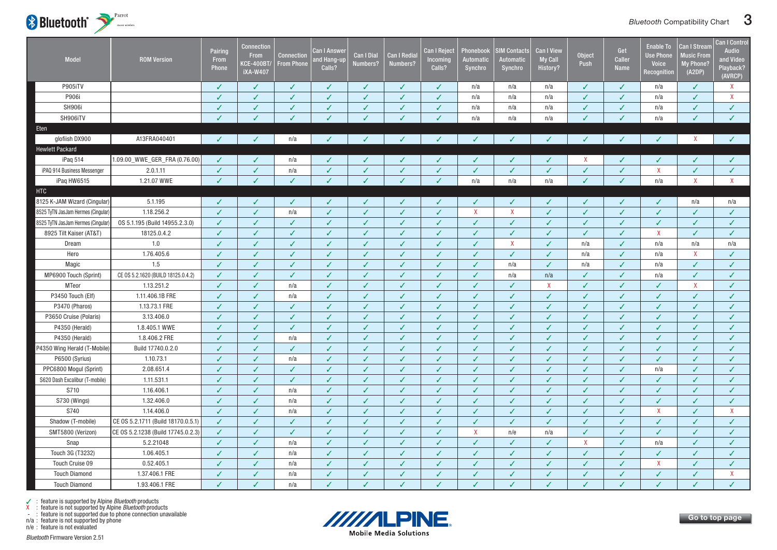

| Model                              | <b>ROM Version</b>                 | Pairing<br>From<br><b>Phone</b> | <b>Connection</b><br>From<br><b>KCE-400BT/</b><br><b>iXA-W407</b> | <b>Connection</b><br><b>From Phone</b> | Can I Answer<br>ind Hang-up<br>Calls? | <b>Can I Dial</b><br>Numbers? | <b>Can I Redia</b><br>Numbers? | <b>Can I Reject</b><br>Incoming<br>Calls? | Phonebook<br>Automatic<br>Synchro | <b>IM Contacts</b><br><b>Automatic</b><br>Synchro | Can I View<br><b>My Call</b><br>History? | <b>Object</b><br>Push | Get<br>Caller<br><b>Name</b> | <b>Enable To</b><br><b>Use Phone</b><br><b>Voice</b><br>Recognition | Can I Stream<br><b>Music From</b><br>My Phone?<br>(A2DP) | <b>Can I Control</b><br><b>Audio</b><br>and Video<br>Playback?<br>(AVRCP) |
|------------------------------------|------------------------------------|---------------------------------|-------------------------------------------------------------------|----------------------------------------|---------------------------------------|-------------------------------|--------------------------------|-------------------------------------------|-----------------------------------|---------------------------------------------------|------------------------------------------|-----------------------|------------------------------|---------------------------------------------------------------------|----------------------------------------------------------|---------------------------------------------------------------------------|
| P905iTV                            |                                    | ✓                               | $\checkmark$                                                      | ✓                                      | ✓                                     | ✓                             | ✓                              | $\checkmark$                              | n/a                               | n/a                                               | n/a                                      | J                     | ✓                            | n/a                                                                 | ✓                                                        | $\mathsf{X}$                                                              |
| P906i                              |                                    | J                               | ✓                                                                 | ✓                                      | ✓                                     | ✓                             | ✓                              | $\checkmark$                              | n/a                               | n/a                                               | n/a                                      | J                     | J                            | n/a                                                                 | $\checkmark$                                             | $\mathsf{X}$                                                              |
| <b>SH906i</b>                      |                                    | J                               | $\checkmark$                                                      | $\checkmark$                           | $\checkmark$                          | ✓                             | $\checkmark$                   | $\sqrt{2}$                                | n/a                               | n/a                                               | n/a                                      | $\checkmark$          | ✓                            | n/a                                                                 | ✓                                                        | $\checkmark$                                                              |
| SH906iTV                           |                                    |                                 | J                                                                 | J                                      | J                                     | ✓                             | $\checkmark$                   | $\checkmark$                              | n/a                               | n/a                                               | n/a                                      | ✓                     | J                            | n/a                                                                 | ✓                                                        | $\checkmark$                                                              |
| Eten                               |                                    |                                 |                                                                   |                                        |                                       |                               |                                |                                           |                                   |                                                   |                                          |                       |                              |                                                                     |                                                          |                                                                           |
| glofiish DX900                     | A13FRA040401                       | J                               | $\overline{\mathcal{L}}$                                          | n/a                                    | J                                     |                               | ✓                              | $\checkmark$                              | ✓                                 | ✓                                                 | ✓                                        | J                     | J                            | J                                                                   | $\mathsf{X}$                                             | $\checkmark$                                                              |
| <b>Hewlett Packard</b>             |                                    |                                 |                                                                   |                                        |                                       |                               |                                |                                           |                                   |                                                   |                                          |                       |                              |                                                                     |                                                          |                                                                           |
| iPaq 514                           | 1.09.00_WWE_GER_FRA (0.76.00)      | ✓                               | J                                                                 | n/a                                    | ✓                                     |                               |                                | $\checkmark$                              | ✓                                 | ✓                                                 |                                          | X                     | ✓                            | ✓                                                                   |                                                          | ✓                                                                         |
| iPAQ 914 Business Messenger        | 2.0.1.11                           | $\checkmark$                    | $\checkmark$                                                      | n/a                                    | $\checkmark$                          | ✓                             | $\checkmark$                   | $\checkmark$                              | $\checkmark$                      | $\checkmark$                                      | $\checkmark$                             | ✓                     | $\checkmark$                 | $\mathsf{X}$                                                        | $\checkmark$                                             | $\checkmark$                                                              |
| iPaq HW6515                        | 1.21.07 WWE                        |                                 |                                                                   | J                                      | ℐ                                     |                               |                                | $\checkmark$                              | n/a                               | n/a                                               | n/a                                      |                       |                              | n/a                                                                 | $\mathsf{X}$                                             | $\mathsf{X}$                                                              |
| HTC                                |                                    |                                 |                                                                   |                                        |                                       |                               |                                |                                           |                                   |                                                   |                                          |                       |                              |                                                                     |                                                          |                                                                           |
| 8125 K-JAM Wizard (Cingular)       | 5.1.195                            |                                 |                                                                   | ✓                                      |                                       |                               |                                | ✓                                         | ✓                                 | ✓                                                 |                                          |                       | J                            | ✓                                                                   | n/a                                                      | n/a                                                                       |
| 8525 TyTN JasJam Hermes (Cingular) | 1.18.256.2                         | $\overline{\mathcal{L}}$        | ✓                                                                 | n/a                                    | $\checkmark$                          | ✓                             | $\checkmark$                   | $\checkmark$                              | $\mathsf{X}$                      | $\mathsf{X}$                                      | $\checkmark$                             | ✓                     | ✓                            | $\checkmark$                                                        | $\checkmark$                                             | $\checkmark$                                                              |
| 8525 TyTN JasJam Hermes (Cingular  | 0S 5.1.195 (Build 14955.2.3.0)     | J                               | $\checkmark$                                                      | $\checkmark$                           | $\checkmark$                          | ✓                             | $\checkmark$                   | $\checkmark$                              | $\checkmark$                      | $\checkmark$                                      | $\checkmark$                             | $\checkmark$          | ✓                            | $\checkmark$                                                        | $\checkmark$                                             | $\checkmark$                                                              |
| 8925 Tilt Kaiser (AT&T)            | 18125.0.4.2                        | $\checkmark$                    | $\checkmark$                                                      | ✓                                      | $\checkmark$                          | $\checkmark$                  | $\checkmark$                   | $\checkmark$                              | $\checkmark$                      | $\checkmark$                                      | $\checkmark$                             | $\checkmark$          | ✓                            | $\mathsf{X}$                                                        | $\checkmark$                                             | $\checkmark$                                                              |
| Dream                              | 1.0                                | ✓                               | $\checkmark$                                                      | ✓                                      | ✓                                     | ✓                             | $\checkmark$                   | $\sqrt{2}$                                | $\checkmark$                      | $\mathsf{X}$                                      | $\checkmark$                             | n/a                   | ✓                            | n/a                                                                 | n/a                                                      | n/a                                                                       |
| Hero                               | 1.76.405.6                         | J                               | ✓                                                                 | ✓                                      | ✓                                     | ✓                             | ✓                              | $\sqrt{2}$                                | ✓                                 | $\checkmark$                                      | ✓                                        | n/a                   | ✓                            | n/a                                                                 | $\mathsf{X}$                                             | $\checkmark$                                                              |
| Magic                              | 1.5                                | J                               | $\checkmark$                                                      | ✓                                      | $\checkmark$                          | ✓                             | ✓                              | $\sqrt{2}$                                | ✓                                 | n/a                                               | $\checkmark$                             | n/a                   | ✓                            | n/a                                                                 | $\checkmark$                                             | ✓                                                                         |
| MP6900 Touch (Sprint)              | CE 0S 5.2.1620 (BUILD 18125.0.4.2) | $\checkmark$                    | $\checkmark$                                                      | $\checkmark$                           | $\checkmark$                          | $\checkmark$                  | $\checkmark$                   | $\checkmark$                              | $\checkmark$                      | n/a                                               | n/a                                      | ✓                     | J                            | n/a                                                                 | $\checkmark$                                             | $\checkmark$                                                              |
| MTeor                              | 1.13.251.2                         | J                               | $\checkmark$                                                      | n/a                                    | $\checkmark$                          | ✓                             | $\checkmark$                   | $\checkmark$                              | ✓                                 | ✓                                                 | $\mathsf{X}$                             | ✓                     | ✓                            | $\checkmark$                                                        | $\mathsf{X}$                                             | $\checkmark$                                                              |
| P3450 Touch (Elf)                  | 1.11.406.1B FRE                    | ✓                               | ✓                                                                 | n/a                                    | ✓                                     | ✓                             | $\checkmark$                   | $\checkmark$                              | ✓                                 | $\checkmark$                                      | $\checkmark$                             | ✓                     | ✓                            | ✓                                                                   | $\checkmark$                                             | $\checkmark$                                                              |
| P3470 (Pharos)                     | 1.13.73.1 FRE                      | ✓                               | J                                                                 | ✓                                      | $\checkmark$                          | $\checkmark$                  | $\checkmark$                   | $\checkmark$                              | $\checkmark$                      | ✓                                                 | $\checkmark$                             | J                     | ✓                            | ✓                                                                   | $\checkmark$                                             | $\checkmark$                                                              |
| P3650 Cruise (Polaris)             | 3.13.406.0                         | ✓                               | $\checkmark$                                                      | ✓                                      | ✓                                     | ✓                             | $\checkmark$                   | $\checkmark$                              | ✓                                 | $\checkmark$                                      | $\checkmark$                             | ✓                     | $\checkmark$                 | $\checkmark$                                                        | $\checkmark$                                             | $\checkmark$                                                              |
| P4350 (Herald)                     | 1.8.405.1 WWE                      |                                 | J                                                                 | ✓                                      | $\checkmark$                          | ✓                             | $\checkmark$                   | $\checkmark$                              | ✓                                 | ✓                                                 | $\checkmark$                             | J                     | J                            | $\checkmark$                                                        | $\checkmark$                                             | $\checkmark$                                                              |
| P4350 (Herald)                     | 1.8.406.2 FRE                      | J                               | J                                                                 | n/a                                    | ✓                                     |                               | ✓                              | ✓                                         | ✓                                 | J                                                 | J                                        | J                     | J                            | ✓                                                                   | ✓                                                        | ✓                                                                         |
| P4350 Wing Herald (T-Mobile)       | Build 17740.0.2.0                  | ✓                               | $\checkmark$                                                      | ✓                                      | $\checkmark$                          | ✓                             | $\checkmark$                   | $\checkmark$                              | ✓                                 | $\checkmark$                                      | $\checkmark$                             | $\checkmark$          | ✓                            | $\checkmark$                                                        | $\checkmark$                                             | $\checkmark$                                                              |
| P6500 (Syrius)                     | 1.10.73.1                          | ✓                               | $\checkmark$                                                      | n/a                                    | $\checkmark$                          | ✓                             | $\checkmark$                   | $\checkmark$                              | ✓                                 | $\checkmark$                                      | $\checkmark$                             | ✓                     | ✓                            | $\checkmark$                                                        | ✓                                                        | ✓                                                                         |
| PPC6800 Mogul (Sprint)             | 2.08.651.4                         | J                               | J                                                                 | J                                      | $\checkmark$                          | ✓                             | ✓                              | $\sqrt{2}$                                | ✓                                 | $\checkmark$                                      | $\checkmark$                             | J                     | J                            | n/a                                                                 | $\checkmark$                                             | $\checkmark$                                                              |
| S620 Dash Excalibur (T-mobile)     | 1.11.531.1                         |                                 |                                                                   | ✓                                      | J                                     |                               | J                              | $\checkmark$                              | V                                 | V                                                 | J                                        |                       |                              | J                                                                   | J                                                        | $\checkmark$                                                              |
| S710                               | 1.16.406.1                         | $\checkmark$                    | $\checkmark$                                                      | n/a                                    | $\checkmark$                          | ✓                             | $\checkmark$                   | $\checkmark$                              | $\checkmark$                      | $\checkmark$                                      | $\checkmark$                             | J                     | ✓                            | $\checkmark$                                                        | $\checkmark$                                             | $\checkmark$                                                              |
| S730 (Wings)                       | 1.32.406.0                         | ✓                               | $\checkmark$                                                      | n/a                                    | $\checkmark$                          | ✓                             | $\checkmark$                   | $\checkmark$                              | ✓                                 | ✓                                                 | $\checkmark$                             | J                     | J                            | $\checkmark$                                                        | $\checkmark$                                             | $\checkmark$                                                              |
| S740                               | 1.14.406.0                         | J                               | J                                                                 | n/a                                    | $\checkmark$                          | ✓                             | $\checkmark$                   | $\checkmark$                              | ✓                                 | ✓                                                 | $\checkmark$                             | J                     | J                            | $\mathsf{X}$                                                        | $\checkmark$                                             | $\mathsf{X}$                                                              |
| Shadow (T-mobile)                  | CE 0S 5.2.1711 (Build 18170.0.5.1) | ✓                               | $\checkmark$                                                      | ✓                                      | $\checkmark$                          | ✓                             | $\checkmark$                   | $\checkmark$                              | ✓                                 | $\checkmark$                                      | $\checkmark$                             | ✓                     | ✓                            | $\checkmark$                                                        | $\checkmark$                                             | $\checkmark$                                                              |
| SMT5800 (Verizon)                  | CE 0S 5.2.1238 (Build 17745.0.2.3) | ✓                               | $\checkmark$                                                      | $\checkmark$                           | $\checkmark$                          | ✓                             | $\checkmark$                   | $\sqrt{2}$                                | $\mathsf{X}$                      | n/e                                               | n/a                                      | $\checkmark$          | ✓                            | $\checkmark$                                                        | $\checkmark$                                             | $\checkmark$                                                              |
| Snap                               | 5.2.21048                          | ✓                               | $\checkmark$                                                      | n/a                                    | ✓                                     | ✓                             | $\checkmark$                   | $\checkmark$                              | ✓                                 | ✓                                                 | $\checkmark$                             | $\mathsf{X}$          | ✓                            | n/a                                                                 | $\checkmark$                                             | $\checkmark$                                                              |
| Touch 3G (T3232)                   | 1.06.405.1                         | ✓                               | ✓                                                                 | n/a                                    | $\checkmark$                          | ✓                             | $\checkmark$                   | $\checkmark$                              | ✓                                 | $\checkmark$                                      | $\checkmark$                             | $\checkmark$          | ✓                            | $\checkmark$                                                        | $\checkmark$                                             | $\checkmark$                                                              |
| Touch Cruise 09                    | 0.52.405.1                         |                                 | J                                                                 | n/a                                    | $\checkmark$                          | ✓                             | $\checkmark$                   | $\checkmark$                              | ✓                                 | ✓                                                 | $\checkmark$                             | J                     | J                            | $\mathsf{X}$                                                        | ✓                                                        | $\checkmark$                                                              |
| <b>Touch Diamond</b>               | 1.37.406.1 FRE                     | ✓                               | J                                                                 | n/a                                    | $\checkmark$                          | $\sqrt{2}$                    | $\checkmark$                   | $\checkmark$                              | ✓                                 | ✓                                                 | $\checkmark$                             | ✓                     | ✓                            | ✓                                                                   | $\checkmark$                                             | $\mathsf{X}$                                                              |
| <b>Touch Diamond</b>               | 1.93.406.1 FRE                     | J                               | J                                                                 | n/a                                    | $\checkmark$                          |                               | J                              | ✓                                         | ✓                                 | ✓                                                 | J                                        | J                     | J                            | ✓                                                                   | ✓                                                        | $\mathcal{L}$                                                             |

n/a : feature is not supported by phone



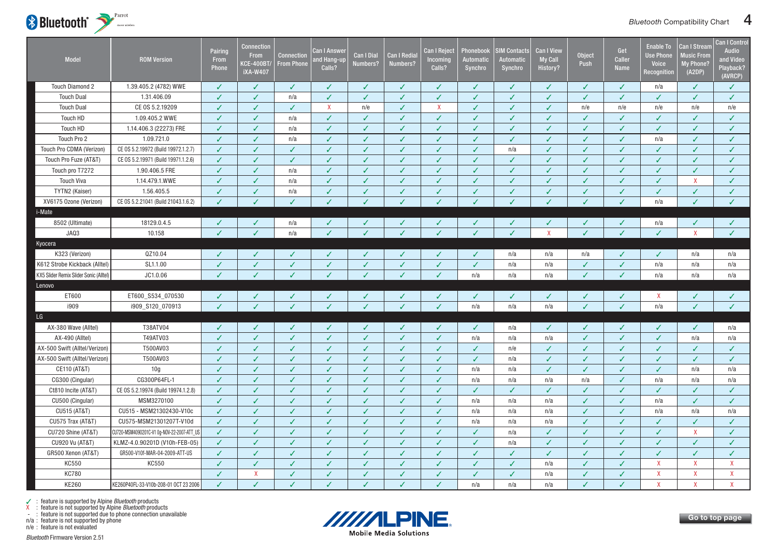<span id="page-4-0"></span>

| <b>Model</b>                           | <b>ROM Version</b>                        | Pairing<br>From<br>Phone | <b>Connection</b><br>From<br><b>KCE-400BT</b><br><b>iXA-W407</b> | <b>Connection</b><br><b>From Phone</b> | Can I Answer<br>and Hang-up<br>Calls? | <b>Can I Dial</b><br>Numbers? | <b>Can I Redial</b><br>Numbers? | <b>Can I Reject</b><br>Incoming<br>Calls? | Phonebool<br><b>Automatic</b><br>Synchro | <b>SIM Contacts</b><br>Automatic<br>Synchro | <b>Can I View</b><br><b>My Call</b><br>History? | <b>Object</b><br>Push | Get<br><b>Caller</b><br><b>Name</b> | <b>Enable To</b><br><b>Use Phone</b><br><b>Voice</b><br>Recognitior | <b>Can I Stream</b><br><b>Music From</b><br>My Phone?<br>(A2DP) | Can I Control<br><b>Audio</b><br>and Video<br>Playback?<br>(AVRCP) |
|----------------------------------------|-------------------------------------------|--------------------------|------------------------------------------------------------------|----------------------------------------|---------------------------------------|-------------------------------|---------------------------------|-------------------------------------------|------------------------------------------|---------------------------------------------|-------------------------------------------------|-----------------------|-------------------------------------|---------------------------------------------------------------------|-----------------------------------------------------------------|--------------------------------------------------------------------|
| <b>Touch Diamond 2</b>                 | 1.39.405.2 (4782) WWE                     | $\checkmark$             | ✓                                                                | $\checkmark$                           | ✓                                     | ✓                             | ✓                               | ✓                                         | ✓                                        | ✓                                           | ✓                                               | ✓                     | $\checkmark$                        | n/a                                                                 | $\checkmark$                                                    | $\checkmark$                                                       |
| <b>Touch Dual</b>                      | 1.31.406.09                               | $\checkmark$             | ✓                                                                | n/a                                    | $\checkmark$                          | ✓                             | $\checkmark$                    | $\checkmark$                              | $\checkmark$                             | $\checkmark$                                | ✓                                               | ✓                     | ✓                                   | $\checkmark$                                                        | $\checkmark$                                                    | ✓                                                                  |
| <b>Touch Dual</b>                      | CE 0S 5.2.19209                           | $\checkmark$             | ✓                                                                | $\checkmark$                           | X                                     | n/e                           | ✓                               | $\mathsf{X}$                              | $\checkmark$                             | $\checkmark$                                | ✓                                               | n/e                   | n/e                                 | n/e                                                                 | n/e                                                             | n/e                                                                |
| Touch HD                               | 1.09.405.2 WWE                            | ✓                        | ✓                                                                | n/a                                    | $\checkmark$                          | ✓                             | ✓                               | $\checkmark$                              | $\checkmark$                             | $\checkmark$                                | ✓                                               | √                     | ✓                                   | $\checkmark$                                                        | ✓                                                               | ✓                                                                  |
| Touch HD                               | 1.14.406.3 (22273) FRE                    | J                        | ✓                                                                | n/a                                    | $\checkmark$                          | J                             | ✓                               | ✓                                         | ✓                                        | ✓                                           | J                                               | ✓                     | J                                   | J                                                                   | $\checkmark$                                                    | ✓                                                                  |
| Touch Pro 2                            | 1.09.721.0                                | $\checkmark$             | ✓                                                                | n/a                                    | $\checkmark$                          | ✓                             | ✓                               | $\checkmark$                              | $\checkmark$                             | $\checkmark$                                | ✓                                               | ✓                     | ✓                                   | n/a                                                                 | $\checkmark$                                                    | ✓                                                                  |
| Touch Pro CDMA (Verizon)               | CE 0S 5.2.19972 (Build 19972.1.2.7)       | $\checkmark$             |                                                                  | $\checkmark$                           | $\checkmark$                          | ✓                             | $\checkmark$                    | $\checkmark$                              | $\checkmark$                             | n/a                                         | ✓                                               | ✓                     |                                     | ✓                                                                   | $\checkmark$                                                    | ✓                                                                  |
| Touch Pro Fuze (AT&T)                  | CE 0S 5.2.19971 (Build 19971.1.2.6)       | ✓                        | ✓                                                                | $\checkmark$                           | ✓                                     | ✓                             | J                               | $\checkmark$                              | $\checkmark$                             | ✓                                           | J                                               | J                     | ✓                                   | ✓                                                                   | $\checkmark$                                                    | ✓                                                                  |
| Touch pro T7272                        | 1.90.406.5 FRE                            | ✓                        | ✓                                                                | n/a                                    | ✓                                     | ✓                             | ✓                               | ✓                                         | ✓                                        | ✓                                           | ✓                                               | ✓                     |                                     | ✓                                                                   | ✓                                                               | ✓                                                                  |
| <b>Touch Viva</b>                      | 1.14.479.1.WWE                            | J                        | ✓                                                                | n/a                                    | ✓                                     | J                             | ✓                               | ✓                                         | ✓                                        | ✓                                           | J                                               | ✓                     |                                     | J                                                                   | $\boldsymbol{\mathsf{X}}$                                       | ✓                                                                  |
| TYTN2 (Kaiser)                         | 1.56.405.5                                | $\checkmark$             | $\checkmark$                                                     | n/a                                    | $\checkmark$                          | $\checkmark$                  | $\checkmark$                    | $\checkmark$                              | $\checkmark$                             | $\checkmark$                                | ✓                                               | $\checkmark$          | $\checkmark$                        | $\checkmark$                                                        | $\checkmark$                                                    | $\checkmark$                                                       |
| XV6175 Ozone (Verizon)                 | CE 0S 5.2.21041 (Build 21043.1.6.2)       | $\checkmark$             |                                                                  | ✓                                      | ✓                                     |                               | ✓                               | ✓                                         | $\checkmark$                             | ✓                                           | ℐ                                               | ✓                     | ✓                                   | n/a                                                                 | ✓                                                               | $\checkmark$                                                       |
| i-Mate                                 |                                           |                          |                                                                  |                                        |                                       |                               |                                 |                                           |                                          |                                             |                                                 |                       |                                     |                                                                     |                                                                 |                                                                    |
| 8502 (Ultimate)                        | 18129.0.4.5                               | ✓                        | ✓                                                                | n/a                                    | ✓                                     |                               | ✓                               | ✓                                         | ✓                                        | ✓                                           |                                                 | ✓                     | ✓                                   | n/a                                                                 | ✓                                                               | ✓                                                                  |
| JAQ3                                   | 10.158                                    | $\checkmark$             | $\checkmark$                                                     | n/a                                    | $\checkmark$                          | $\checkmark$                  | $\checkmark$                    | $\checkmark$                              | $\checkmark$                             | $\checkmark$                                | $\mathsf{X}$                                    | $\checkmark$          | $\checkmark$                        | $\checkmark$                                                        | $\mathsf{X}$                                                    | $\checkmark$                                                       |
| Kyocera                                |                                           |                          |                                                                  |                                        |                                       |                               |                                 |                                           |                                          |                                             |                                                 |                       |                                     |                                                                     |                                                                 |                                                                    |
| K323 (Verizon)                         | QZ10.04                                   |                          |                                                                  |                                        |                                       |                               | ✓                               | ✓                                         | J                                        | n/a                                         | n/a                                             | n/a                   | ✓                                   | ℐ                                                                   | n/a                                                             | n/a                                                                |
| K612 Strobe Kickback (Alltel)          | SL1.1.00                                  | $\checkmark$             | $\checkmark$                                                     | $\checkmark$                           | $\checkmark$                          | ✓                             | $\checkmark$                    | $\checkmark$                              | $\checkmark$                             | n/a                                         | n/a                                             | $\checkmark$          | ✓                                   | n/a                                                                 | n/a                                                             | n/a                                                                |
| KX5 Slider Remix Slider Sonic (Alltel) | JC1.0.06                                  |                          |                                                                  | $\checkmark$                           |                                       |                               | J                               | $\checkmark$                              | n/a                                      | n/a                                         | n/a                                             | J                     | ✓                                   | n/a                                                                 | n/a                                                             | n/a                                                                |
| Lenovo                                 |                                           |                          |                                                                  |                                        |                                       |                               |                                 |                                           |                                          |                                             |                                                 |                       |                                     |                                                                     |                                                                 |                                                                    |
| ET600                                  | ET600_S534_070530                         | ✓                        | ✓                                                                | ✓                                      |                                       |                               | ✓                               | ✓                                         | $\checkmark$                             | ✓                                           | J                                               | J                     | ✓                                   | $\mathsf{X}$                                                        |                                                                 |                                                                    |
| i909                                   | i909_S120_070913                          |                          |                                                                  | $\mathcal{L}$                          |                                       |                               |                                 | ✓                                         | n/a                                      | n/a                                         | n/a                                             |                       | ✓                                   | n/a                                                                 | J                                                               | J.                                                                 |
| LG                                     |                                           |                          |                                                                  |                                        |                                       |                               |                                 |                                           |                                          |                                             |                                                 |                       |                                     |                                                                     |                                                                 |                                                                    |
| AX-380 Wave (Alltel)                   | T38ATV04                                  | ✓                        | ✓                                                                | ✓                                      |                                       |                               | ✓                               | ✓                                         | ✓                                        | n/a                                         | ✓                                               | ✓                     | ✓                                   | ✓                                                                   | ℐ                                                               | n/a                                                                |
| AX-490 (Alltel)                        | T49ATV03                                  | J                        | ✓                                                                | $\checkmark$                           | ✓                                     | ✓                             | ✓                               | ✓                                         | n/a                                      | n/a                                         | n/a                                             | J                     | ✓                                   | ✓                                                                   | n/a                                                             | n/a                                                                |
| AX-500 Swift (Alltel/Verizon)          | T500AV03                                  | J                        | ✓                                                                | $\checkmark$                           | $\checkmark$                          | ✓                             | ✓                               | ✓                                         | $\checkmark$                             | n/e                                         | J                                               | $\checkmark$          | ✓                                   | $\checkmark$                                                        | $\checkmark$                                                    | ✓                                                                  |
| AX-500 Swift (Alltel/Verizon)          | T500AV03                                  | ✓                        | ✓                                                                | $\checkmark$                           | $\checkmark$                          | ✓                             | ✓                               | $\checkmark$                              | $\checkmark$                             | n/a                                         | ✓                                               | $\checkmark$          | ✓                                   | $\checkmark$                                                        | $\checkmark$                                                    | ✓                                                                  |
| CE110 (AT&T)                           | 10g                                       | J                        | ✓                                                                | $\checkmark$                           | $\checkmark$                          | ✓                             | ✓                               | $\checkmark$                              | n/a                                      | n/a                                         | ✓                                               | ✓                     | ✓                                   | $\checkmark$                                                        | n/a                                                             | n/a                                                                |
| CG300 (Cingular)                       | CG300P64FL-1                              | J                        | ✓                                                                | $\checkmark$                           | $\checkmark$                          | ✓                             | ✓                               | ✓                                         | n/a                                      | n/a                                         | n/a                                             | n/a                   | ✓                                   | n/a                                                                 | n/a                                                             | n/a                                                                |
| Ct810 Incite (AT&T)                    | CE 0S 5.2.19974 (Build 19974.1.2.8)       | $\checkmark$             | ✓                                                                | $\checkmark$                           | $\checkmark$                          | ✓                             | $\checkmark$                    | $\checkmark$                              | $\checkmark$                             | $\checkmark$                                | ✓                                               | J                     | ✓                                   | $\checkmark$                                                        | $\checkmark$                                                    | ✓                                                                  |
| CU500 (Cingular)                       | MSM3270100                                | $\checkmark$             | ✓                                                                | $\checkmark$                           | $\checkmark$                          | ✓                             | ✓                               | $\checkmark$                              | n/a                                      | n/a                                         | n/a                                             | ✓                     | ✓                                   | n/a                                                                 | $\checkmark$                                                    | ✓                                                                  |
| CU515 (AT&T)                           | CU515 - MSM21302430-V10c                  | ✓                        | ✓                                                                | ✓                                      | $\checkmark$                          | ✓                             | ✓                               | ✓                                         | n/a                                      | n/a                                         | n/a                                             | ✓                     | ✓                                   | n/a                                                                 | n/a                                                             | n/a                                                                |
| CU575 Trax (AT&T)                      | CU575-MSM21301207T-V10d                   | ✓                        | ✓                                                                | ✓                                      | ✓                                     | J                             | ✓                               | ✓                                         | n/a                                      | n/a                                         | n/a                                             | ✓                     | ✓                                   | J                                                                   | J                                                               | ✓                                                                  |
| CU720 Shine (AT&T)                     | CU720-MSM4090201C-V1 0g-NOV-22-2007-ATT_U | $\checkmark$             |                                                                  | $\checkmark$                           | $\checkmark$                          | ✓                             | J                               | $\checkmark$                              | ✓                                        | n/a                                         | J                                               | J                     |                                     | J                                                                   | $\mathsf{X}$                                                    | $\checkmark$                                                       |
| <b>CU920 Vu (AT&amp;T)</b>             | KLMZ-4.0.90201D (V10h-FEB-05)             | $\checkmark$             | ✓                                                                | $\checkmark$                           | ✓                                     | ✓                             | $\checkmark$                    | $\checkmark$                              | $\checkmark$                             | n/a                                         | ✓                                               | ✓                     | ✓                                   | $\checkmark$                                                        | ✓                                                               | ✓                                                                  |
| GR500 Xenon (AT&T)                     | GR500-V10f-MAR-04-2009-ATT-US             | ✓                        | ✓                                                                | $\checkmark$                           | ✓                                     | ✓                             | ✓                               | $\checkmark$                              | $\checkmark$                             | $\checkmark$                                | J                                               | ✓                     | ✓                                   | ✓                                                                   | $\checkmark$                                                    | ✓                                                                  |
| KC550                                  | KC550                                     | ✓                        | ✓                                                                | ✓                                      | ✓                                     | ✓                             | ✓                               | $\checkmark$                              | $\checkmark$                             | ✓                                           | n/a                                             | ✓                     | ✓                                   | $\boldsymbol{X}$                                                    | $\mathsf{X}$                                                    | $\mathsf{X}$                                                       |
| <b>KC780</b>                           |                                           | $\checkmark$             | X                                                                | $\checkmark$                           | $\checkmark$                          | $\checkmark$                  | $\checkmark$                    | $\checkmark$                              | $\checkmark$                             | $\checkmark$                                | n/a                                             | $\checkmark$          | ✓                                   | $\boldsymbol{\mathsf{X}}$                                           | $\mathsf{X}$                                                    | $\mathsf{X}$                                                       |
| KE260                                  | KE260P40FL-33-V10b-208-01 OCT 23 2006     | J                        | $\checkmark$                                                     | $\checkmark$                           | $\checkmark$                          | $\checkmark$                  | J                               |                                           | n/a                                      | n/a                                         | n/a                                             | ✓                     |                                     | $\mathsf{X}$                                                        | $\mathbf{x}$                                                    | $\mathsf{X}$                                                       |

n/a : feature is not supported by phone



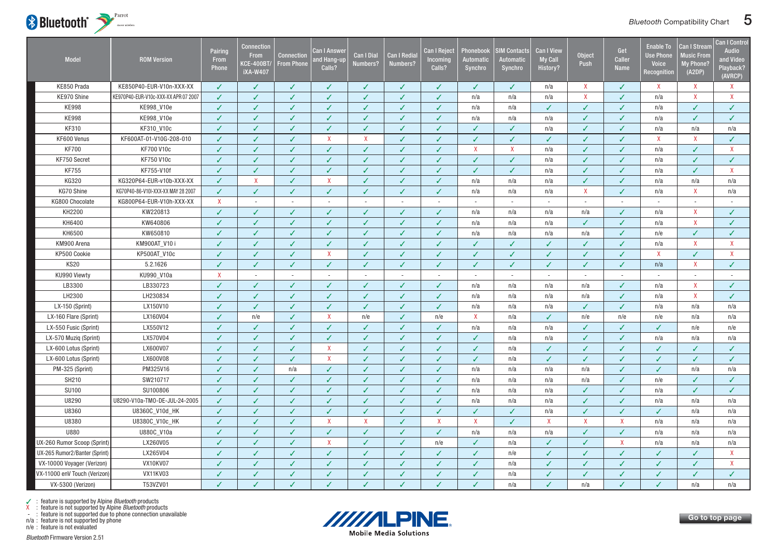

| Model                         | <b>ROM Version</b>                   | Pairing<br>From<br>Phone | Connection<br><b>From</b><br><b>CE-400BT/</b><br><b>iXA-W407</b> | <b>Connection</b><br><b>From Phone</b> | Can I Answei<br>and Hang-up<br>Calls? | <b>Can I Dial</b><br>Numbers? | <b>Can I Redial</b><br>Numbers? | Can I Reject<br>Incoming<br>Calls? | Phonebook<br>Automatic<br>Synchro | <b>SIM Contacts</b><br>Automatic<br>Synchro | <b>Can I View</b><br><b>My Call</b><br><b>History?</b> | <b>Object</b><br>Push     | Get<br>Caller<br><b>Name</b> | <b>Enable To</b><br><b>Jse Phone</b><br>Voice<br>Recognition | <b>Can I Stream</b><br><b>Music From</b><br><b>My Phone?</b><br>(A2DP) | Can I Control<br>Audio<br>and Video<br>Playback?<br>(AVRCP) |
|-------------------------------|--------------------------------------|--------------------------|------------------------------------------------------------------|----------------------------------------|---------------------------------------|-------------------------------|---------------------------------|------------------------------------|-----------------------------------|---------------------------------------------|--------------------------------------------------------|---------------------------|------------------------------|--------------------------------------------------------------|------------------------------------------------------------------------|-------------------------------------------------------------|
| KE850 Prada                   | KE850P40-EUR-V10n-XXX-XX             | ✓                        | ✓                                                                | ✓                                      | ✓                                     | ✓                             | √                               | ✓                                  | ✓                                 | ✓                                           | n/a                                                    | X                         | $\checkmark$                 | $\mathsf{X}$                                                 | X                                                                      | $\mathsf{X}$                                                |
| KE970 Shine                   | KE970P40-EUR-V10c-XXX-XX APR 07 2007 | $\checkmark$             | ✓                                                                | ✓                                      | V                                     | $\checkmark$                  | $\checkmark$                    | J                                  | n/a                               | n/a                                         | n/a                                                    | $\overline{\mathsf{X}}$   | J                            | n/a                                                          | $\boldsymbol{\mathsf{X}}$                                              | $\mathsf{X}$                                                |
| <b>KE998</b>                  | KE998_V10e                           | $\checkmark$             | $\checkmark$                                                     | ✓                                      | ✓                                     | $\checkmark$                  | $\checkmark$                    | $\checkmark$                       | n/a                               | n/a                                         | $\checkmark$                                           | J                         | ✓                            | n/a                                                          | $\checkmark$                                                           | $\checkmark$                                                |
| <b>KE998</b>                  | KE998_V10e                           | ✓                        | $\checkmark$                                                     | ✓                                      | ✓                                     | $\checkmark$                  | $\checkmark$                    | $\checkmark$                       | n/a                               | n/a                                         | n/a                                                    | ✓                         | J                            | n/a                                                          | $\checkmark$                                                           | $\checkmark$                                                |
| KF310                         | KF310_V10c                           |                          | J                                                                | ✓                                      | ✓                                     |                               | ✓                               | ✓                                  | $\checkmark$                      | ✓                                           | n/a                                                    | J                         | ✓                            | n/a                                                          | n/a                                                                    | n/a                                                         |
| KF600 Venus                   | KF600AT-01-V10G-208-010              |                          | J                                                                | J                                      | $\mathsf{X}$                          | $\mathsf{X}$                  | J                               | J                                  | ✓                                 | ✓                                           |                                                        | J                         | J                            | $\mathsf{X}$                                                 | $\boldsymbol{\mathsf{X}}$                                              | ✓                                                           |
| <b>KF700</b>                  | <b>KF700 V10c</b>                    | $\checkmark$             | $\checkmark$                                                     | ✓                                      | V                                     | $\checkmark$                  | ✓                               | ✓                                  | $\mathsf{X}$                      | $\pmb{\mathsf{X}}$                          | n/a                                                    | $\checkmark$              | ✓                            | n/a                                                          | V                                                                      | $\mathsf{X}$                                                |
| KF750 Secret                  | KF750 V10c                           | J                        | $\checkmark$                                                     | ✓                                      | ✓                                     |                               | J                               | ✓                                  | $\checkmark$                      | $\checkmark$                                | n/a                                                    | J                         | ✓                            | n/a                                                          | ✓                                                                      | ✓                                                           |
| <b>KF755</b>                  | KF755-V10f                           | J                        | ✓                                                                | ✓                                      | ✓                                     | ✓                             | ✓                               | ✓                                  | $\checkmark$                      | $\checkmark$                                | n/a                                                    | J                         | ✓                            | n/a                                                          | J                                                                      | $\mathsf{X}$                                                |
| KG320                         | KG320P64-EUR-v10b-XXX-XX             |                          | $\mathsf{x}$                                                     | J                                      | $\mathsf{X}$                          | J                             | $\overline{\mathcal{L}}$        | J                                  | n/a                               | n/a                                         | n/a                                                    |                           | J                            | n/a                                                          | n/a                                                                    | n/a                                                         |
| KG70 Shine                    | KG70P40-86-V10I-XXX-XX MAY 28 2007   | $\checkmark$             | $\checkmark$                                                     | ✓                                      | ✓                                     | $\checkmark$                  | $\checkmark$                    | $\checkmark$                       | n/a                               | n/a                                         | n/a                                                    | $\boldsymbol{X}$          | ✓                            | n/a                                                          | $\boldsymbol{\mathsf{X}}$                                              | n/a                                                         |
| KG800 Chocolate               | KG800P64-EUR-V10h-XXX-XX             | $\mathsf{X}$             |                                                                  | $\sim$                                 |                                       | $\sim$                        | $\sim$                          | $\overline{\phantom{a}}$           | $\omega$                          | $\sim$                                      | $\sim$                                                 | $\overline{\phantom{a}}$  |                              | $\sim$                                                       | $\sim$                                                                 | $\overline{\phantom{a}}$                                    |
| KH2200                        | KW220813                             | J                        | ✓                                                                | ✓                                      | ✓                                     | ✓                             | ✓                               | V                                  | n/a                               | n/a                                         | n/a                                                    | n/a                       | ✓                            | n/a                                                          | $\mathsf{X}$                                                           | ✓                                                           |
| KH6400                        | KW640806                             | ✓                        | $\checkmark$                                                     | ✓                                      | ✓                                     | ✓                             | $\checkmark$                    | $\checkmark$                       | n/a                               | n/a                                         | n/a                                                    | $\checkmark$              | ✓                            | n/a                                                          | $\mathsf{X}$                                                           | $\checkmark$                                                |
| KH6500                        | KW650810                             | $\checkmark$             | $\checkmark$                                                     | ✓                                      | ✓                                     | $\checkmark$                  | $\checkmark$                    | $\checkmark$                       | n/a                               | n/a                                         | n/a                                                    | n/a                       | ✓                            | n/e                                                          | $\checkmark$                                                           | $\checkmark$                                                |
| KM900 Arena                   | KM900AT_V10 i                        | ✓                        | $\checkmark$                                                     | ✓                                      | ✓                                     | ✓                             | $\checkmark$                    | ✓                                  | $\checkmark$                      | ✓                                           | ✓                                                      | ✓                         | ✓                            | n/a                                                          | $\mathsf{X}$                                                           | $\mathsf{X}$                                                |
| KP500 Cookie                  | KP500AT_V10c                         | J                        | J                                                                | ✓                                      | X                                     | ✓                             | ✓                               | J                                  | ✓                                 | ✓                                           | ✓                                                      | ✓                         | J                            | X                                                            | $\checkmark$                                                           | X                                                           |
| <b>KS20</b>                   | 5.2.1626                             | ✓                        | $\checkmark$                                                     | ✓                                      | ✓                                     | $\checkmark$                  | $\checkmark$                    | ✓                                  | $\checkmark$                      | ✓                                           | $\checkmark$                                           | ✓                         | ✓                            | n/a                                                          | $\mathsf{X}$                                                           | $\checkmark$                                                |
| KU990 Viewty                  | KU990_V10a                           | $\mathsf{X}$             | $\sim$                                                           | $\sim$                                 | $\overline{\phantom{a}}$              | $\sim$                        | $\overline{\phantom{a}}$        | $\sim$                             | $\sim$                            | $\sim$                                      | $\sim$                                                 | $\sim$                    | $\overline{\phantom{a}}$     | $\sim$                                                       | $\sim$                                                                 | $\overline{\phantom{a}}$                                    |
| LB3300                        | LB330723                             | J                        | ✓                                                                | ✓                                      | ✓                                     | $\checkmark$                  | √                               | $\checkmark$                       | n/a                               | n/a                                         | n/a                                                    | n/a                       | ✓                            | n/a                                                          | $\boldsymbol{\mathsf{X}}$                                              | $\checkmark$                                                |
| LH2300                        | LH230834                             |                          | $\checkmark$                                                     | ✓                                      | ✓                                     | $\checkmark$                  | $\checkmark$                    | $\checkmark$                       | n/a                               | n/a                                         | n/a                                                    | n/a                       | $\checkmark$                 | n/a                                                          | $\mathsf{X}$                                                           | $\checkmark$                                                |
| LX-150 (Sprint)               | LX150V10                             |                          | $\checkmark$                                                     | ✓                                      | ✓                                     | $\checkmark$                  | $\checkmark$                    | $\checkmark$                       | n/a                               | n/a                                         | n/a                                                    | $\checkmark$              | ✓                            | n/a                                                          | n/a                                                                    | n/a                                                         |
| LX-160 Flare (Sprint)         | LX160V04                             | $\checkmark$             | n/e                                                              | $\checkmark$                           | X                                     | n/e                           | $\checkmark$                    | n/e                                | $\mathsf{X}$                      | n/a                                         | $\checkmark$                                           | n/e                       | n/e                          | n/e                                                          | n/a                                                                    | n/a                                                         |
| LX-550 Fusic (Sprint)         | LX550V12                             |                          | ✓                                                                | ✓                                      | ✓                                     | ✓                             | J                               | ✓                                  | n/a                               | n/a                                         | n/a                                                    | J                         | J                            | ✓                                                            | n/e                                                                    | n/e                                                         |
| LX-570 Muziq (Sprint)         | LX570V04                             |                          | J                                                                |                                        | J                                     |                               |                                 | J                                  | ℐ                                 | n/a                                         | n/a                                                    |                           |                              | n/a                                                          | n/a                                                                    | n/a                                                         |
| LX-600 Lotus (Sprint)         | LX600V07                             | ✓                        | $\checkmark$                                                     | ✓                                      | $\mathsf{X}$                          | $\checkmark$                  | ✓                               | $\checkmark$                       | $\checkmark$                      | n/a                                         | $\checkmark$                                           | $\sqrt{2}$                | ✓                            | ✓                                                            | ✓                                                                      | ✓                                                           |
| LX-600 Lotus (Sprint)         | LX600V08                             |                          | ✓                                                                | ✓                                      | $\mathsf{X}$                          |                               | J                               | ✓                                  | $\checkmark$                      | n/a                                         | ✓                                                      | J                         | J                            | J                                                            | $\checkmark$                                                           | ✓                                                           |
| PM-325 (Sprint)               | PM325V16                             | $\cdot$                  | ✓                                                                | n/a                                    | ✓                                     | ✓                             | J                               | ✓                                  | n/a                               | n/a                                         | n/a                                                    | n/a                       | ✓                            | ✓                                                            | n/a                                                                    | n/a                                                         |
| SH210                         | SW210717                             | $\overline{\mathcal{L}}$ | J                                                                | J                                      | J                                     | $\overline{\mathcal{L}}$      | $\overline{\mathcal{L}}$        | J                                  | n/a                               | n/a                                         | n/a                                                    | n/a                       | J                            | n/e                                                          | J                                                                      | ✓                                                           |
| <b>SU100</b>                  | SU100806                             | ✓                        | J                                                                | ✓                                      | ✓                                     | $\sqrt{2}$                    | ✓                               | J                                  | n/a                               | n/a                                         | n/a                                                    | J                         | J                            | n/a                                                          | $\checkmark$                                                           | $\checkmark$                                                |
| U8290                         | U8290-V10a-TMO-DE-JUL-24-2005        | $\checkmark$             | $\checkmark$                                                     | ✓                                      | ✓                                     | ✓                             | $\checkmark$                    | ✓                                  | n/a                               | n/a                                         | n/a                                                    | J                         | ✓                            | n/a                                                          | n/a                                                                    | n/a                                                         |
| U8360                         | U8360C_V10d_HK                       | J                        | J                                                                | ✓                                      | ✓                                     | ✓                             | ✓                               | ✓                                  | ℐ                                 | ✓                                           | n/a                                                    | J                         | J                            | ✓                                                            | n/a                                                                    | n/a                                                         |
| U8380                         | U8380C_V10c_HK                       | ✓                        | $\checkmark$                                                     | ✓                                      | $\mathsf{X}$                          | $\mathsf{X}$                  | $\checkmark$                    | $\mathsf{X}$                       | $\mathsf{X}$                      | ✓                                           | $\mathsf{X}$                                           | $\boldsymbol{\mathsf{x}}$ | $\mathsf{X}$                 | n/a                                                          | n/a                                                                    | n/a                                                         |
| U880                          | U880C_V10a                           | $\checkmark$             | $\checkmark$                                                     | ✓                                      | ✓                                     | $\checkmark$                  | $\checkmark$                    | $\checkmark$                       | n/a                               | n/a                                         | n/a                                                    | ✓                         | ✓                            | n/a                                                          | n/a                                                                    | n/a                                                         |
| UX-260 Rumor Scoop (Sprint)   | LX260V05                             | √                        | $\checkmark$                                                     | ✓                                      | $\mathsf{X}$                          | $\checkmark$                  | $\checkmark$                    | n/e                                | $\checkmark$                      | n/a                                         | ✓                                                      | J                         | X                            | n/a                                                          | n/a                                                                    | n/a                                                         |
| UX-265 Rumor2/Banter (Sprint) | LX265V04                             | ✓                        | ✓                                                                | ✓                                      | ✓                                     | ✓                             | $\checkmark$                    | ✓                                  | ✓                                 | n/e                                         | $\checkmark$                                           | ✓                         | ✓                            | ✓                                                            | ✓                                                                      | X                                                           |
| VX-10000 Voyager (Verizon)    | <b>VX10KV07</b>                      | J                        | $\overline{\mathcal{L}}$                                         | ✓                                      | J                                     | J                             | J                               | ℐ                                  | $\checkmark$                      | n/a                                         | ✓                                                      | J                         | J                            |                                                              | J                                                                      | $\mathsf{X}$                                                |
| VX-11000 enV Touch (Verizon)  | <b>VX11KV03</b>                      | ✓                        | ✓                                                                | ✓                                      | ✓                                     | ✓                             | J                               | ✓                                  | ✓                                 | n/a                                         | $\checkmark$                                           | ✓                         | ✓                            | ✓                                                            | J                                                                      | ✓                                                           |
| VX-5300 (Verizon)             | T53VZV01                             |                          | J                                                                | J                                      | J                                     |                               | J                               | J                                  | ℐ                                 | n/a                                         | ℐ                                                      | n/a                       | ✓                            |                                                              | n/a                                                                    | n/a                                                         |

n/a : feature is not supported by phone



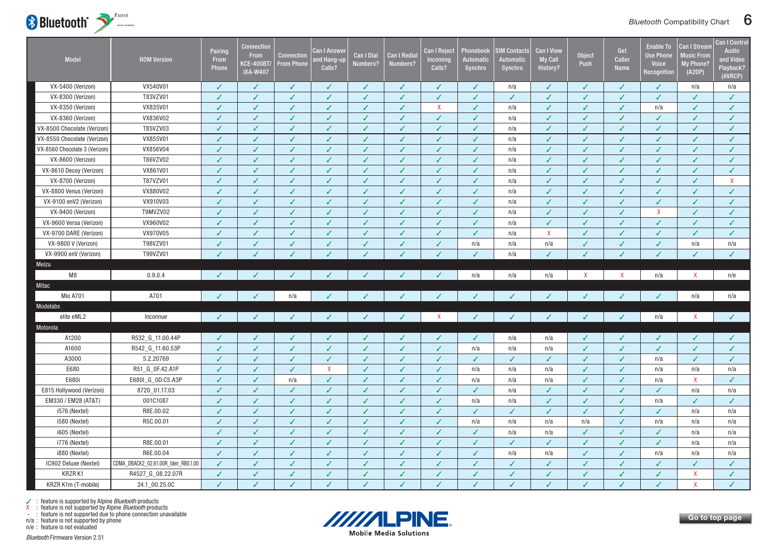<span id="page-6-0"></span>

| Model                         | <b>ROM Version</b>                  | Pairing<br>From<br>Phone | <b>Connection</b><br><b>From</b><br><b>KCE-400BT/</b><br><b>iXA-W407</b> | <b>Connection</b><br><b>From Phone</b> | Can I Answer<br>and Hang-up<br>Calls? | <b>Can I Dial</b><br>Numbers? | <b>Can I Redial</b><br>Numbers? | <b>Can I Reject</b><br>Incoming<br>Calls? | Phonebook<br><b>Automatic</b><br><b>Synchro</b> | <b>IM Contacts</b><br>Automatic<br>Synchro | <b>Can I View</b><br><b>My Call</b><br>History? | <b>Object</b><br>Push | Get<br>Caller<br>Name | <b>Enable To</b><br><b>Use Phone</b><br>Voice<br>Recognition | Can I Stream<br>Music From<br>My Phone?<br>(A2DP) | <b>Can I Control</b><br>Audio<br>and Video<br>Playback?<br>(AVRCP) |
|-------------------------------|-------------------------------------|--------------------------|--------------------------------------------------------------------------|----------------------------------------|---------------------------------------|-------------------------------|---------------------------------|-------------------------------------------|-------------------------------------------------|--------------------------------------------|-------------------------------------------------|-----------------------|-----------------------|--------------------------------------------------------------|---------------------------------------------------|--------------------------------------------------------------------|
| VX-5400 (Verizon)             | VX540V01                            | ✓                        | $\checkmark$                                                             | $\checkmark$                           | ✓                                     | ✓                             | $\checkmark$                    | $\checkmark$                              | $\checkmark$                                    | n/a                                        | ✓                                               | ✓                     | $\checkmark$          | ✓                                                            | n/a                                               | n/a                                                                |
| VX-8300 (Verizon)             | T83VZV01                            | $\checkmark$             | $\checkmark$                                                             | $\checkmark$                           | $\checkmark$                          | ✓                             | ✓                               | $\checkmark$                              | $\checkmark$                                    | ✓                                          | ✓                                               | $\checkmark$          | $\checkmark$          | ✓                                                            | $\checkmark$                                      | $\checkmark$                                                       |
| VX-8350 (Verizon)             | VX835V01                            | J                        |                                                                          | $\checkmark$                           | ✓                                     | J                             | J                               | $\boldsymbol{\mathsf{X}}$                 | $\checkmark$                                    | n/a                                        | ✓                                               |                       | J                     | n/a                                                          | J                                                 | ✓                                                                  |
| VX-8360 (Verizon)             | VX836V02                            | $\checkmark$             | $\checkmark$                                                             | $\checkmark$                           | $\checkmark$                          | ✓                             | ✓                               | $\checkmark$                              | $\sqrt{2}$                                      | n/a                                        | $\checkmark$                                    |                       | $\checkmark$          | $\checkmark$                                                 | $\checkmark$                                      | $\checkmark$                                                       |
| VX-8500 Chocolate (Verizon)   | T85VZV03                            | J                        | J                                                                        | $\checkmark$                           | ✓                                     | ✓                             | ✓                               | $\checkmark$                              | ✓                                               | n/a                                        | ✓                                               |                       | $\checkmark$          | ✓                                                            | ✓                                                 | ✓                                                                  |
| VX-8550 Chocolate (Verizon)   | VX855V01                            | J                        | ℐ                                                                        | $\checkmark$                           | ✓                                     | ✓                             | ✓                               | $\checkmark$                              | ✓                                               | n/a                                        | ✓                                               |                       | ✓                     | ✓                                                            | ✓                                                 | ✓                                                                  |
| VX-8560 Chocolate 3 (Verizon) | VX856V04                            | J                        | $\checkmark$                                                             | $\checkmark$                           | ✓                                     | ✓                             | J                               | $\checkmark$                              | $\sqrt{2}$                                      | n/a                                        | ✓                                               | J                     | $\checkmark$          | ✓                                                            | ✓                                                 | $\checkmark$                                                       |
| VX-8600 (Verizon)             | T86VZV02                            | $\checkmark$             | $\checkmark$                                                             | $\checkmark$                           | ✓                                     | ✓                             | ✓                               | $\checkmark$                              | $\checkmark$                                    | n/a                                        | ✓                                               | $\sqrt{2}$            | $\checkmark$          | ✓                                                            | $\checkmark$                                      | $\checkmark$                                                       |
| VX-8610 Decoy (Verizon)       | VX861V01                            | ✓                        | $\checkmark$                                                             | $\checkmark$                           | $\checkmark$                          | ✓                             | ✓                               | $\checkmark$                              | $\checkmark$                                    | n/a                                        | ✓                                               | ✓                     | $\checkmark$          | ✓                                                            | $\checkmark$                                      | ✓                                                                  |
| VX-8700 (Verizon)             | T87VZV01                            | J                        | ✓                                                                        | $\checkmark$                           | ✓                                     | ✓                             | ✓                               | $\checkmark$                              | ✓                                               | n/a                                        | ✓                                               | ✓                     | $\checkmark$          | ✓                                                            | ✓                                                 | X                                                                  |
| VX-8800 Venus (Verizon)       | VX880V02                            | $\checkmark$             | $\checkmark$                                                             | $\checkmark$                           | $\checkmark$                          | ✓                             | ✓                               | $\checkmark$                              | $\checkmark$                                    | n/a                                        | $\checkmark$                                    | $\checkmark$          | $\checkmark$          | $\checkmark$                                                 | $\checkmark$                                      | $\checkmark$                                                       |
| VX-9100 enV2 (Verizon)        | VX910V03                            | $\checkmark$             | $\checkmark$                                                             | $\checkmark$                           | $\checkmark$                          | ✓                             | $\checkmark$                    | $\checkmark$                              | $\checkmark$                                    | n/a                                        | $\checkmark$                                    | $\checkmark$          | $\checkmark$          | $\checkmark$                                                 | $\checkmark$                                      | $\checkmark$                                                       |
| VX-9400 (Verizon)             | T9MVZV02                            | ✓                        | $\checkmark$                                                             | $\checkmark$                           | $\checkmark$                          | ✓                             | ✓                               | $\checkmark$                              | $\checkmark$                                    | n/a                                        | $\checkmark$                                    | √                     | $\checkmark$          | $\mathsf{X}$                                                 | $\checkmark$                                      | ✓                                                                  |
| VX-9600 Versa (Verizon)       | VX960V02                            | ✓                        | ✓                                                                        | $\checkmark$                           | $\checkmark$                          | ✓                             | ✓                               | $\checkmark$                              | $\checkmark$                                    | n/a                                        | ✓                                               | ✓                     | ✓                     | $\checkmark$                                                 | ✓                                                 | ✓                                                                  |
| VX-9700 DARE (Verizon)        | VX970V05                            | ✓                        | $\checkmark$                                                             | $\checkmark$                           | ✓                                     | ✓                             | J                               | $\checkmark$                              | $\checkmark$                                    | n/a                                        | $\boldsymbol{\mathsf{X}}$                       | ✓                     | ✓                     | ✓                                                            | $\checkmark$                                      | $\checkmark$                                                       |
| VX-9800 V (Verizon)           | T98VZV01                            | ✓                        | ✓                                                                        | $\checkmark$                           | ✓                                     | ✓                             | ✓                               | $\checkmark$                              | n/a                                             | n/a                                        | n/a                                             |                       | $\checkmark$          | ✓                                                            | n/a                                               | n/a                                                                |
| VX-9900 enV (Verizon)         | T99VZV01                            | J                        |                                                                          | $\checkmark$                           | $\checkmark$                          | ✓                             | J                               | $\checkmark$                              | $\checkmark$                                    | n/a                                        | ✓                                               |                       | ✓                     | J                                                            | $\checkmark$                                      | ✓                                                                  |
| Meizu                         |                                     |                          |                                                                          |                                        |                                       |                               |                                 |                                           |                                                 |                                            |                                                 |                       |                       |                                                              |                                                   |                                                                    |
| M8                            | 0.9.0.4                             | $\checkmark$             | ✓                                                                        | ✓                                      | ✓                                     | ✓                             | ✓                               | $\checkmark$                              | n/a                                             | n/a                                        | n/a                                             | X                     | $\mathsf{X}$          | n/a                                                          | X                                                 | n/e                                                                |
| Mitac                         |                                     |                          |                                                                          |                                        |                                       |                               |                                 |                                           |                                                 |                                            |                                                 |                       |                       |                                                              |                                                   |                                                                    |
| <b>Mio A701</b>               | A701                                | $\checkmark$             | $\checkmark$                                                             | n/a                                    | ✓                                     |                               |                                 | $\checkmark$                              | ✓                                               | ✓                                          |                                                 |                       | ✓                     |                                                              | n/a                                               | n/a                                                                |
| Modelabs                      |                                     |                          |                                                                          |                                        |                                       |                               |                                 |                                           |                                                 |                                            |                                                 |                       |                       |                                                              |                                                   |                                                                    |
| elite eML2                    | Inconnue                            | $\checkmark$             | $\checkmark$                                                             | $\checkmark$                           | ✓                                     | ✓                             | ✓                               | $\mathsf{X}$                              | $\checkmark$                                    | ✓                                          | ✓                                               |                       | $\checkmark$          | n/a                                                          | X                                                 | $\checkmark$                                                       |
| Motorola                      |                                     |                          |                                                                          |                                        |                                       |                               |                                 |                                           |                                                 |                                            |                                                 |                       |                       |                                                              |                                                   |                                                                    |
| A1200                         | R532_G_11.00.44P                    | ✓                        | ✓                                                                        | ✓                                      | J                                     | ✓                             | ✓                               | ✓                                         | ✓                                               | n/a                                        | n/a                                             |                       | ✓                     | ✓                                                            |                                                   | ✓                                                                  |
| A1600                         | R542_G_11.60.53P                    | $\checkmark$             | $\checkmark$                                                             | $\checkmark$                           | J                                     | J                             | J                               | $\overline{J}$                            | n/a                                             | n/a                                        | n/a                                             | $\overline{J}$        | $\checkmark$          | $\checkmark$                                                 | J                                                 | $\checkmark$                                                       |
| A3000                         | 5.2.20769                           | $\checkmark$             | $\checkmark$                                                             | $\checkmark$                           | $\checkmark$                          | ✓                             | $\checkmark$                    | $\checkmark$                              | $\checkmark$                                    | ✓                                          | $\checkmark$                                    | ✓                     | $\checkmark$          | n/a                                                          | $\checkmark$                                      | $\checkmark$                                                       |
| E680                          | R51_G_0F.42.A1P                     | ✓                        | $\checkmark$                                                             | $\checkmark$                           | $\mathsf{X}$                          | ✓                             | ✓                               | $\checkmark$                              | n/a                                             | n/a                                        | n/a                                             | J                     | ✓                     | n/a                                                          | n/a                                               | n/a                                                                |
| E680i                         | E680I_G_0D.C5.A3P                   | J                        | ✓                                                                        | n/a                                    | ✓                                     | ✓                             | ✓                               | $\checkmark$                              | n/a                                             | n/a                                        | n/a                                             | J                     | ✓                     | n/a                                                          | X                                                 | ✓                                                                  |
| E815 Hollywood (Verizon)      | 8720_01.17.03                       | $\checkmark$             | $\checkmark$                                                             | $\checkmark$                           | $\checkmark$                          | ✓                             | ✓                               | $\checkmark$                              | $\checkmark$                                    | n/a                                        | $\checkmark$                                    | J                     | $\checkmark$          | $\checkmark$                                                 | n/a                                               | n/a                                                                |
| EM330 / EM28 (AT&T)           | 001C1087                            | $\checkmark$             | $\checkmark$                                                             | $\checkmark$                           | $\checkmark$                          | ✓                             | $\checkmark$                    | $\checkmark$                              | n/a                                             | n/a                                        | ✓                                               | ✓                     | $\checkmark$          | n/a                                                          | $\checkmark$                                      | ✓                                                                  |
| i576 (Nextel)                 | R8E.00.02                           | $\checkmark$             | $\checkmark$                                                             | $\checkmark$                           | ✓                                     | ✓                             | ✓                               | $\checkmark$                              | $\checkmark$                                    | ✓                                          | $\checkmark$                                    | J                     | $\checkmark$          | $\checkmark$                                                 | n/a                                               | n/a                                                                |
| i580 (Nextel)                 | R5C.00.01                           | ✓                        | ✓                                                                        | $\checkmark$                           | ✓                                     | ✓                             | ✓                               | $\checkmark$                              | n/a                                             | n/a                                        | n/a                                             | n/a                   | ✓                     | n/a                                                          | n/a                                               | n/a                                                                |
| i605 (Nextel)                 |                                     | $\checkmark$             | $\checkmark$                                                             | $\checkmark$                           | $\checkmark$                          | ✓                             | J                               | $\checkmark$                              | $\checkmark$                                    | n/a                                        | n/a                                             | ✓                     | $\checkmark$          | $\checkmark$                                                 | n/a                                               | n/a                                                                |
| i776 (Nextel)                 | R8E.00.01                           | $\checkmark$             | $\checkmark$                                                             | $\checkmark$                           | $\checkmark$                          | ✓                             | ✓                               | $\checkmark$                              | $\checkmark$                                    | ✓                                          | ✓                                               | $\checkmark$          | $\checkmark$          | $\checkmark$                                                 | n/a                                               | n/a                                                                |
| i880 (Nextel)                 | R6E.00.04                           | ✓                        | ✓                                                                        | $\checkmark$                           | $\checkmark$                          | ✓                             | ✓                               | $\checkmark$                              | $\checkmark$                                    | n/a                                        | n/a                                             |                       | ✓                     | n/a                                                          | n/a                                               | n/a                                                                |
| IC902 Deluxe (Nextel)         | CDMA_DBACK2_02.61.00R_Iden_RB0.1.00 | ✓                        | J                                                                        | $\checkmark$                           | J                                     | J                             | ✓                               | $\checkmark$                              | ✓                                               | ✓                                          |                                                 |                       | J                     | ✓                                                            | J                                                 | $\checkmark$                                                       |
| KRZR K1                       | R4527_G_08.22.07R                   | $\checkmark$             | $\checkmark$                                                             | $\checkmark$                           | $\checkmark$                          | ✓                             | ✓                               | $\checkmark$                              | ✓                                               | ✓                                          | ✓                                               |                       | $\checkmark$          | ✓                                                            | X                                                 | $\checkmark$                                                       |
| KRZR K1m (T-mobile)           | 24.1 00.25.0C                       | J                        |                                                                          | $\checkmark$                           | V                                     | J                             | J                               | J                                         | J                                               | V                                          | V                                               |                       | $\checkmark$          | J                                                            | $\mathbf{x}$                                      |                                                                    |

n/a : feature is not supported by phone



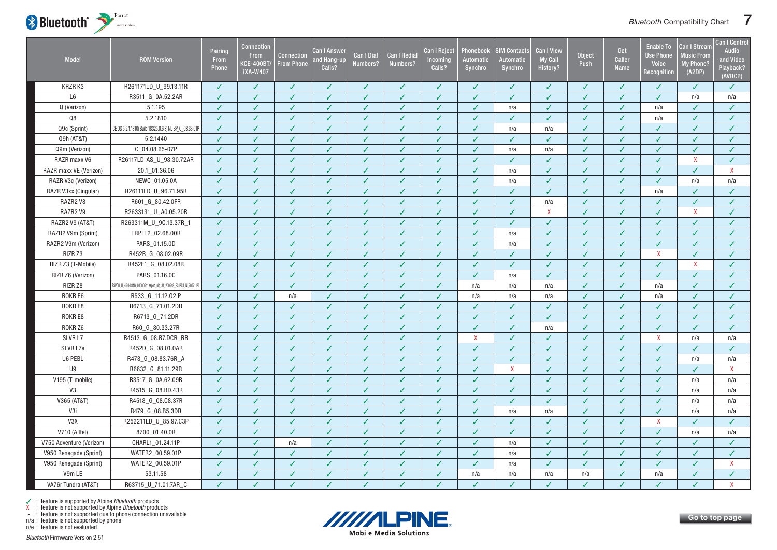

| <b>Model</b>             | <b>ROM Version</b>                                              | Pairing<br>From<br><b>Phone</b> | Connection<br><b>From</b><br><b>(CE-400BT/</b><br><b>iXA-W407</b> | Connection<br><b>From Phone</b> | Can I Answer<br>nd Hang-up.<br>Calls? | <b>Can I Dial</b><br>Numbers? | <b>Can I Redia</b><br>Numbers? | <b>Can I Reject</b><br>Incoming<br>Calls? | Phonebook<br><b>Automatic</b><br>Synchro | <b>SIM Contacts</b><br>Automatic<br>Synchro | Can I View<br><b>My Call</b><br>History? | <b>Object</b><br>Push | Get<br>Caller<br><b>Name</b> | <b>Enable To</b><br><b>Use Phone</b><br>Voice<br>Recognition | Can I Stream<br><b>Music From</b><br><b>My Phone?</b><br>(A2DP) | <b>Can I Control</b><br><b>Audio</b><br>and Video<br>Playback?<br>(AVRCP) |
|--------------------------|-----------------------------------------------------------------|---------------------------------|-------------------------------------------------------------------|---------------------------------|---------------------------------------|-------------------------------|--------------------------------|-------------------------------------------|------------------------------------------|---------------------------------------------|------------------------------------------|-----------------------|------------------------------|--------------------------------------------------------------|-----------------------------------------------------------------|---------------------------------------------------------------------------|
| KRZR K3                  | R261171LD_U_99.13.11R                                           | ✓                               | ✓                                                                 | ✓                               | ✓                                     | ✓                             | ✓                              | ✓                                         | ✓                                        | ✓                                           | ✓                                        | ✓                     | $\checkmark$                 | ✓                                                            | ✓                                                               | ✓                                                                         |
| L <sub>6</sub>           | R3511_G_0A.52.2AR                                               | J                               | $\checkmark$                                                      | $\checkmark$                    | ✓                                     | ✓                             | J                              | $\checkmark$                              | $\checkmark$                             | $\checkmark$                                | ✓                                        | J                     | $\checkmark$                 | ✓                                                            | n/a                                                             | n/a                                                                       |
| Q (Verizon)              | 5.1.195                                                         | J                               | $\checkmark$                                                      | ✓                               | ✓                                     | ✓                             | ✓                              | $\checkmark$                              | $\checkmark$                             | n/a                                         | ✓                                        | J                     | $\checkmark$                 | n/a                                                          | ✓                                                               | ✓                                                                         |
| Q8                       | 5.2.1810                                                        | ✓                               | $\checkmark$                                                      | ✓                               | ✓                                     | ✓                             | ✓                              | $\checkmark$                              | $\checkmark$                             | ✓                                           | ✓                                        | ✓                     | $\checkmark$                 | n/a                                                          | $\checkmark$                                                    | $\checkmark$                                                              |
| Q9c (Sprint)             | CE OS 5.2.1.1810(Build 18325.0.6.3) NL-BP C 03.33.01F           | ✓                               | ✓                                                                 | $\checkmark$                    | ✓                                     | ✓                             | ✓                              | $\checkmark$                              | $\checkmark$                             | n/a                                         | n/a                                      | ✓                     | ✓                            | ✓                                                            | $\checkmark$                                                    | ✓                                                                         |
| Q9h (AT&T)               | 5.2.1440                                                        | J                               | ✓                                                                 | $\checkmark$                    | ✓                                     | ✓                             | J                              | $\checkmark$                              | $\checkmark$                             | ✓                                           | ✓                                        | J                     | ✓                            | ✓                                                            | ✓                                                               | ✓                                                                         |
| Q9m (Verizon)            | C_04.08.65-07P                                                  | ✓                               | $\checkmark$                                                      | $\checkmark$                    | ✓                                     | ✓                             | ✓                              | $\checkmark$                              | $\checkmark$                             | n/a                                         | n/a                                      | $\checkmark$          | $\checkmark$                 | ✓                                                            | $\checkmark$                                                    | $\checkmark$                                                              |
| RAZR maxx V6             | R26117LD-AS_U_98.30.72AR                                        | ✓                               | ✓                                                                 | ✓                               | ✓                                     | ✓                             | ✓                              | $\checkmark$                              | ✓                                        | ✓                                           | ✓                                        | J                     | ✓                            | ✓                                                            | $\mathsf{X}$                                                    | ✓                                                                         |
| RAZR maxx VE (Verizon)   | 20.1_01.36.06                                                   | J                               | J                                                                 | ✓                               | ✓                                     | ✓                             | J                              | ✓                                         | ✓                                        | n/a                                         | J                                        | J                     | ✓                            | ✓                                                            | ✓                                                               | X                                                                         |
| RAZR V3c (Verizon)       | NEWC_01.05.0A                                                   | ✓                               | $\checkmark$                                                      | $\checkmark$                    | ✓                                     | ✓                             | $\checkmark$                   | $\checkmark$                              | ✓                                        | n/a                                         | ✓                                        | ✓                     | $\checkmark$                 | $\checkmark$                                                 | n/a                                                             | n/a                                                                       |
| RAZR V3xx (Cingular)     | R26111LD_U_96.71.95R                                            | ✓                               | $\checkmark$                                                      | $\checkmark$                    | ✓                                     | ✓                             | ✓                              | $\checkmark$                              | $\checkmark$                             | ✓                                           | ✓                                        | J                     | $\checkmark$                 | n/a                                                          | ✓                                                               | ✓                                                                         |
| RAZR2 V8                 | R601_G_80.42.0FR                                                | ✓                               | $\checkmark$                                                      | $\checkmark$                    | ✓                                     | ✓                             | ✓                              | $\checkmark$                              | $\checkmark$                             | $\checkmark$                                | n/a                                      | J                     | ✓                            | ✓                                                            | $\checkmark$                                                    | ✓                                                                         |
| RAZR2 V9                 | R2633131_U_A0.05.20R                                            | J                               | J                                                                 | $\checkmark$                    | ✓                                     | ✓                             | J                              | $\checkmark$                              | ✓                                        | ✓                                           | $\mathsf{x}$                             | J                     | ✓                            | ✓                                                            | $\mathsf{X}$                                                    | ✓                                                                         |
| RAZR2 V9 (AT&T)          | R263311M_U_9C.13.37R_1                                          | ✓                               | ✓                                                                 | $\checkmark$                    | ✓                                     | ✓                             | ✓                              | $\checkmark$                              | $\checkmark$                             | ✓                                           | ✓                                        | ✓                     | $\checkmark$                 | ✓                                                            | ✓                                                               | ✓                                                                         |
| RAZR2 V9m (Sprint)       | TRPLT2_02.68.00R                                                | ✓                               | $\checkmark$                                                      | $\checkmark$                    | ✓                                     | ✓                             | $\checkmark$                   | $\checkmark$                              | $\checkmark$                             | n/a                                         | ✓                                        | J                     | $\checkmark$                 | ✓                                                            | ✓                                                               | $\checkmark$                                                              |
| RAZR2 V9m (Verizon)      | PARS_01.15.0D                                                   | J                               | ✓                                                                 | $\checkmark$                    | ✓                                     | ✓                             | ✓                              | $\checkmark$                              | $\checkmark$                             | n/a                                         | ✓                                        | J                     | ✓                            | ✓                                                            | ✓                                                               | ✓                                                                         |
| RIZR Z3                  | R452B_G_08.02.09R                                               | ✓                               | ✓                                                                 | $\checkmark$                    | ✓                                     | ✓                             | ✓                              | $\checkmark$                              | ✓                                        | ✓                                           | ✓                                        | √                     | ✓                            | X                                                            | ✓                                                               | ✓                                                                         |
| RIZR Z3 (T-Mobile)       | R452F1_G_08.02.08R                                              | ✓                               | J                                                                 | $\checkmark$                    | ✓                                     | ✓                             | ✓                              | $\checkmark$                              | $\checkmark$                             | $\checkmark$                                | ✓                                        | J                     | $\checkmark$                 | ✓                                                            | X                                                               | $\checkmark$                                                              |
| RIZR Z6 (Verizon)        | PARS 01.16.0C                                                   | ✓                               | $\checkmark$                                                      | $\checkmark$                    | ✓                                     | ✓                             | $\checkmark$                   | $\checkmark$                              | $\checkmark$                             | n/a                                         | ✓                                        | J                     | $\checkmark$                 | $\checkmark$                                                 | $\checkmark$                                                    | ✓                                                                         |
| RIZR Z8                  | ESP00_U_46.04.84G_000006b1 espoo_uiq_31_200648_2312C4_N_2007112 | ✓                               | ✓                                                                 | $\checkmark$                    | ✓                                     | ✓                             | ✓                              | $\checkmark$                              | n/a                                      | n/a                                         | n/a                                      | J                     | ✓                            | n/a                                                          | $\checkmark$                                                    | ✓                                                                         |
| ROKR E6                  | R533_G_11.12.02.P                                               | ✓                               | ✓                                                                 | n/a                             | ✓                                     | ✓                             | ✓                              | $\checkmark$                              | n/a                                      | n/a                                         | n/a                                      |                       | J                            | n/a                                                          | ℐ                                                               | ✓                                                                         |
| ROKR E8                  | R6713_G_71.01.2DR                                               | ✓                               | J                                                                 | $\checkmark$                    | ✓                                     | ✓                             | ✓                              | $\checkmark$                              | ✓                                        | ✓                                           | ✓                                        | J                     | J                            | ✓                                                            | ✓                                                               | $\checkmark$                                                              |
| ROKR E8                  | R6713_G_71.2DR                                                  | ✓                               | $\checkmark$                                                      | J                               | ✓                                     | ✓                             | ✓                              | $\checkmark$                              | ✓                                        | $\checkmark$                                | ✓                                        |                       | J                            | J                                                            | ℐ                                                               | ✓                                                                         |
| ROKR Z6                  | R60_G_80.33.27R                                                 | ✓                               | J                                                                 | ✓                               | ✓                                     | ✓                             | ✓                              | $\checkmark$                              | $\checkmark$                             | ✓                                           | n/a                                      |                       | J                            | ✓                                                            | ✓                                                               | ✓                                                                         |
| SLVR <sub>L7</sub>       | R4513_G_08.B7.DCR_RB                                            | ✓                               | ✓                                                                 | ✓                               | ✓                                     | ✓                             | ✓                              | $\checkmark$                              | $\mathsf{X}$                             | ✓                                           |                                          |                       | J                            | $\mathsf{X}$                                                 | n/a                                                             | n/a                                                                       |
| SLVR L7e                 | R452D_G_08.01.0AR                                               |                                 | J                                                                 | J                               | V                                     | ✓                             | J                              | $\checkmark$                              | $\checkmark$                             | $\checkmark$                                |                                          |                       | ✓                            | J                                                            | ✓                                                               | ✓                                                                         |
| U6 PEBL                  | R478_G_08.83.76R_A                                              | ✓                               | $\checkmark$                                                      | ✓                               | ✓                                     | ✓                             | ✓                              | $\checkmark$                              | $\checkmark$                             | ✓                                           | ✓                                        |                       | ✓                            | ✓                                                            | n/a                                                             | n/a                                                                       |
| U9                       | R6632_G_81.11.29R                                               | ✓                               | ✓                                                                 | ✓                               | ✓                                     | ✓                             | ✓                              | $\checkmark$                              | $\checkmark$                             | X                                           | ✓                                        |                       | J                            | ✓                                                            | ✓                                                               | X                                                                         |
| V195 (T-mobile)          | R3517 G 0A.62.09R                                               | ✓                               | ✓                                                                 | J                               | J                                     |                               | J                              | J                                         | J                                        | $\checkmark$                                |                                          |                       | J                            | J                                                            | n/a                                                             | n/a                                                                       |
| V3                       | R4515_G_08.BD.43R                                               | ✓                               | ✓                                                                 | ✓                               | ✓                                     | ✓                             | ✓                              | $\checkmark$                              | ✓                                        | $\checkmark$                                | ✓                                        |                       | ✓                            | ✓                                                            | n/a                                                             | n/a                                                                       |
| V365 (AT&T)              | R4518_G_08.C8.37R                                               | ✓                               | $\checkmark$                                                      | ✓                               | ✓                                     | ✓                             | ✓                              | $\checkmark$                              | ✓                                        | ✓                                           | ✓                                        |                       | ✓                            | ✓                                                            | n/a                                                             | n/a                                                                       |
| V3i                      | R479_G_08.B5.3DR                                                | J                               | ✓                                                                 | ✓                               | ✓                                     | ✓                             | ✓                              | $\checkmark$                              | ✓                                        | n/a                                         | n/a                                      |                       | ✓                            | ✓                                                            | n/a                                                             | n/a                                                                       |
| V3X                      | R252211LD_U_85.97.C3P                                           | ✓                               | ✓                                                                 | ✓                               | ✓                                     | ✓                             | ✓                              | $\checkmark$                              | ✓                                        | ✓                                           |                                          |                       | ✓                            | $\pmb{\mathsf{X}}$                                           | J                                                               | ✓                                                                         |
| V710 (Alltel)            | 8700_01.40.0R                                                   |                                 |                                                                   | ✓                               | ✓                                     | ✓                             |                                | ✓                                         | ✓                                        | ✓                                           |                                          |                       | J                            | ✓                                                            | n/a                                                             | n/a                                                                       |
| V750 Adventure (Verizon) | CHARL1_01.24.11P                                                | ✓                               | $\checkmark$                                                      | n/a                             | ✓                                     | ✓                             | ✓                              | $\checkmark$                              | $\checkmark$                             | n/a                                         | ✓                                        | J                     | $\checkmark$                 | ✓                                                            | ✓                                                               | ✓                                                                         |
| V950 Renegade (Sprint)   | WATER2_00.59.01P                                                |                                 |                                                                   | ✓                               | ✓                                     | ✓                             | ✓                              | $\checkmark$                              | ✓                                        | n/a                                         | ✓                                        |                       | J                            | J                                                            | ✓                                                               | $\checkmark$                                                              |
| V950 Renegade (Sprint)   | WATER2_00.59.01P                                                | √                               |                                                                   | ✓                               | ✓                                     | ✓                             | ✓                              | ✓                                         | ✓                                        | n/a                                         |                                          |                       | J                            | ✓                                                            | ✓                                                               | X                                                                         |
| V9m LE                   | 53.11.58                                                        | ✓                               | $\checkmark$                                                      | ✓                               | ✓                                     | $\checkmark$                  | $\checkmark$                   | $\checkmark$                              | n/a                                      | n/a                                         | n/a                                      | n/a                   | $\checkmark$                 | n/a                                                          | $\checkmark$                                                    | $\checkmark$                                                              |
| VA76r Tundra (AT&T)      | R63715 U 71.01.7AR C                                            |                                 |                                                                   | J                               | ✓                                     | J                             |                                | $\checkmark$                              | J                                        | J                                           |                                          |                       | J                            | ✓                                                            | J                                                               | $\mathsf{X}$                                                              |



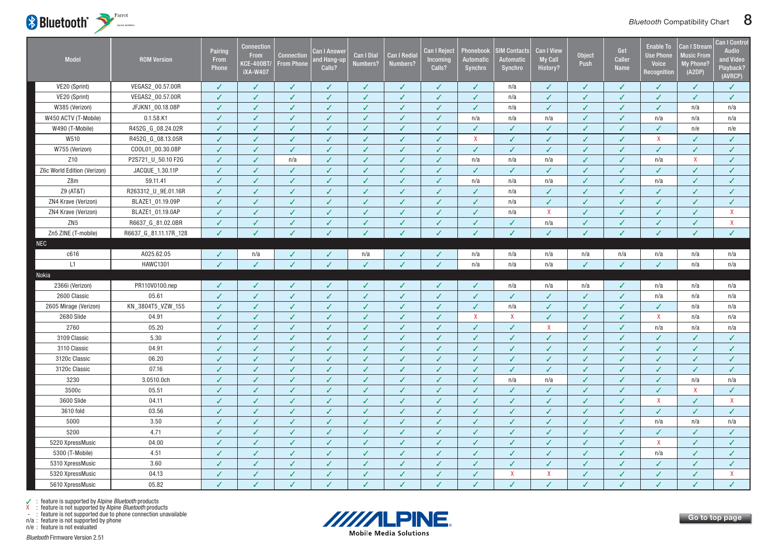<span id="page-8-0"></span>

| <b>Model</b>                | <b>ROM Version</b>    | Pairing<br>From<br><b>Phone</b> | Connection<br><b>From</b><br>KCE-400BT/<br><b>iXA-W407</b> | <b>Connection</b><br><b>From Phone</b> | Can I Answer<br><b>nd Hang-up</b><br>Calls? | <b>Can I Dial</b><br>Numbers? | Can I Redia<br>Numbers? | <b>Can I Reject</b><br>Incoming<br>Calls? | Phonebook<br>Automatic<br>Synchro | <b>SIM Contacts</b><br>Automatic<br>Synchro | <b>Can I View</b><br><b>My Call</b><br>History? | Object<br>Push | Get<br>Caller<br><b>Name</b> | <b>Enable To</b><br><b>Use Phone</b><br><b>Voice</b><br>Recognition | <b>Can I Strean</b><br>Music From<br>My Phone?<br>(A2DP) | <b>Can I Control</b><br>Audio<br>and Video<br>Playback?<br>(AVRCP) |
|-----------------------------|-----------------------|---------------------------------|------------------------------------------------------------|----------------------------------------|---------------------------------------------|-------------------------------|-------------------------|-------------------------------------------|-----------------------------------|---------------------------------------------|-------------------------------------------------|----------------|------------------------------|---------------------------------------------------------------------|----------------------------------------------------------|--------------------------------------------------------------------|
| VE20 (Sprint)               | VEGAS2_00.57.00R      | ✓                               | $\checkmark$                                               | ✓                                      | ✓                                           | ✓                             | ✓                       | $\checkmark$                              | ✓                                 | n/a                                         | ✓                                               | ✓              | $\checkmark$                 | ✓                                                                   | ✓                                                        | $\checkmark$                                                       |
| VE20 (Sprint)               | VEGAS2_00.57.00R      | ✓                               | J                                                          | ✓                                      | J                                           | J                             | J                       | $\checkmark$                              | ✓                                 | n/a                                         |                                                 | $\checkmark$   | $\sqrt{2}$                   | J                                                                   | ✓                                                        | $\checkmark$                                                       |
| W385 (Verizon)              | JFJKN1_00.18.08P      | ✓                               | $\checkmark$                                               | $\checkmark$                           | $\checkmark$                                | ✓                             | $\checkmark$            | $\checkmark$                              | ✓                                 | n/a                                         | $\checkmark$                                    | $\checkmark$   | $\checkmark$                 | ✓                                                                   | n/a                                                      | n/a                                                                |
| W450 ACTV (T-Mobile)        | 0.1.58.K1             | ✓                               | $\checkmark$                                               | ✓                                      | ✓                                           | ✓                             | ✓                       | $\checkmark$                              | n/a                               | n/a                                         | n/a                                             | J              | ✓                            | n/a                                                                 | n/a                                                      | n/a                                                                |
| W490 (T-Mobile)             | R452G_G_08.24.02R     | ✓                               | $\checkmark$                                               | ✓                                      | $\checkmark$                                | ✓                             | ✓                       | $\checkmark$                              | ✓                                 | $\checkmark$                                | ✓                                               |                | ✓                            | ✓                                                                   | n/e                                                      | n/e                                                                |
| W510                        | R452G_G_08.13.05R     |                                 |                                                            | ✓                                      | ✓                                           | J                             |                         | $\checkmark$                              | $\mathsf{X}$                      | ✓                                           |                                                 |                |                              | $\mathsf{X}$                                                        | ✓                                                        | $\checkmark$                                                       |
| W755 (Verizon)              | COOL01_00.30.08P      | ✓                               | $\checkmark$                                               | $\checkmark$                           | $\checkmark$                                | $\checkmark$                  | $\checkmark$            | $\sqrt{2}$                                | $\checkmark$                      | $\checkmark$                                | $\checkmark$                                    | $\checkmark$   | ✓                            | $\checkmark$                                                        | ✓                                                        | $\checkmark$                                                       |
| Z10                         | P2S721_U_50.10 F2G    |                                 | J                                                          | n/a                                    | ✓                                           |                               |                         | ✓                                         | n/a                               | n/a                                         | n/a                                             |                | ✓                            | n/a                                                                 | $\mathsf{X}$                                             | ✓                                                                  |
| Z6c World Edition (Verizon) | JACQUE_1.30.11P       |                                 | J                                                          | ✓                                      | ✓                                           | ✓                             | J                       | ✓                                         | ✓                                 | J                                           | ✓                                               | J              | J                            | ✓                                                                   | ✓                                                        | $\checkmark$                                                       |
| 28m                         | 59.11.41              | J                               | $\overline{\mathcal{L}}$                                   | $\checkmark$                           | $\checkmark$                                | ✓                             | $\checkmark$            | $\checkmark$                              | n/a                               | n/a                                         | n/a                                             | $\checkmark$   | ✓                            | n/a                                                                 | V                                                        | $\checkmark$                                                       |
| Z9 (AT&T)                   | R263312_U_9E.01.16R   | ✓                               | $\checkmark$                                               | ✓                                      | ✓                                           | ✓                             | $\checkmark$            | $\checkmark$                              | ✓                                 | n/a                                         | ✓                                               | $\checkmark$   | J                            | ✓                                                                   | ✓                                                        | $\checkmark$                                                       |
| ZN4 Krave (Verizon)         | BLAZE1_01.19.09P      | ✓                               | J                                                          | ✓                                      | ✓                                           | ✓                             | J                       | $\checkmark$                              | ✓                                 | n/a                                         | ✓                                               | J              | ✓                            | ✓                                                                   | ✓                                                        | $\checkmark$                                                       |
| ZN4 Krave (Verizon)         | BLAZE1_01.19.0AP      | J                               | J                                                          | ✓                                      | $\checkmark$                                | ✓                             | ✓                       | $\checkmark$                              | ✓                                 | n/a                                         | $\mathsf{X}$                                    | J              | $\checkmark$                 | J                                                                   | ✓                                                        | $\mathsf{X}$                                                       |
| ZN <sub>5</sub>             | R6637_G_81.02.0BR     | ✓                               | $\checkmark$                                               | ✓                                      | ✓                                           | ✓                             | ✓                       | $\checkmark$                              | ✓                                 | ✓                                           | n/a                                             | ✓              | ✓                            | ✓                                                                   | ✓                                                        | $\mathsf{X}$                                                       |
| Zn5 ZINE (T-mobile)         | R6637_G_81.11.17R_128 | J                               | $\checkmark$                                               | J.                                     | $\checkmark$                                | ✓                             | $\checkmark$            | $\checkmark$                              | V                                 | $\checkmark$                                | ✓                                               | J              | ✓                            | $\checkmark$                                                        | ✓                                                        | $\checkmark$                                                       |
| <b>NEC</b>                  |                       |                                 |                                                            |                                        |                                             |                               |                         |                                           |                                   |                                             |                                                 |                |                              |                                                                     |                                                          |                                                                    |
| c616                        | A025.62.05            | ✓                               | n/a                                                        | ✓                                      | ✓                                           | n/a                           | ✓                       | $\checkmark$                              | n/a                               | n/a                                         | n/a                                             | n/a            | n/a                          | n/a                                                                 | n/a                                                      | n/a                                                                |
| L1                          | <b>HAWC1301</b>       |                                 | $\checkmark$                                               | ✓                                      | ✓                                           |                               | J                       | ✓                                         | n/a                               | n/a                                         | n/a                                             | J              | J                            | ✓                                                                   | n/a                                                      | n/a                                                                |
| Nokia                       |                       |                                 |                                                            |                                        |                                             |                               |                         |                                           |                                   |                                             |                                                 |                |                              |                                                                     |                                                          |                                                                    |
| 2366i (Verizon)             | PR110V0100.nep        | J                               | ✓                                                          | ✓                                      |                                             | J                             | ✓                       | $\sqrt{2}$                                | ✓                                 | n/a                                         | n/a                                             | n/a            | ✓                            | n/a                                                                 | n/a                                                      | n/a                                                                |
| 2600 Classic                | 05.61                 | J                               | $\checkmark$                                               | $\checkmark$                           | $\checkmark$                                | ✓                             | ✓                       | $\checkmark$                              | ✓                                 | ✓                                           | ✓                                               | $\checkmark$   | ✓                            | n/a                                                                 | n/a                                                      | n/a                                                                |
| 2605 Mirage (Verizon)       | KN_3804T5_VZW_155     | J                               | $\checkmark$                                               | $\checkmark$                           | $\checkmark$                                | ✓                             | $\checkmark$            | $\checkmark$                              | ✓                                 | n/a                                         | ✓                                               | $\checkmark$   | $\checkmark$                 | ✓                                                                   | n/a                                                      | n/a                                                                |
| 2680 Slide                  | 04.91                 | ✓                               | $\checkmark$                                               | $\checkmark$                           | $\checkmark$                                | ✓                             | $\checkmark$            | $\checkmark$                              | $\pmb{\mathsf{X}}$                | X                                           | ✓                                               | $\checkmark$   | $\checkmark$                 | $\mathsf{X}$                                                        | n/a                                                      | n/a                                                                |
| 2760                        | 05.20                 | ✓                               | $\checkmark$                                               | $\checkmark$                           | $\checkmark$                                | ✓                             | ✓                       | $\checkmark$                              | ✓                                 | $\checkmark$                                | X                                               | ✓              | ✓                            | n/a                                                                 | n/a                                                      | n/a                                                                |
| 3109 Classic                | 5.30                  | ✓                               | $\checkmark$                                               | $\checkmark$                           | $\checkmark$                                | ✓                             | $\checkmark$            | $\checkmark$                              | ✓                                 | $\checkmark$                                | $\checkmark$                                    | $\checkmark$   | ✓                            | ✓                                                                   | ✓                                                        | $\checkmark$                                                       |
| 3110 Classic                | 04.91                 | ✓                               | $\checkmark$                                               | ✓                                      | $\checkmark$                                | ✓                             | ✓                       | $\checkmark$                              | ✓                                 | ✓                                           | ✓                                               | $\checkmark$   | ✓                            | ✓                                                                   | ✓                                                        | $\checkmark$                                                       |
| 3120c Classic               | 06.20                 | ✓                               | $\checkmark$                                               | $\checkmark$                           | $\checkmark$                                | ✓                             | $\checkmark$            | $\checkmark$                              | ✓                                 | $\checkmark$                                | ✓                                               | $\checkmark$   | $\checkmark$                 | ✓                                                                   | ✓                                                        | $\checkmark$                                                       |
| 3120c Classic               | 07.16                 | ✓                               | $\checkmark$                                               | ✓                                      | $\checkmark$                                | ✓                             | ✓                       | $\checkmark$                              | ✓                                 | $\checkmark$                                | ✓                                               | ✓              | ✓                            | ✓                                                                   | ✓                                                        | $\checkmark$                                                       |
| 3230                        | 3.0510.0ch            | √                               | J                                                          | ✓                                      | ✓                                           |                               | ✓                       | ✓                                         | ✓                                 | n/a                                         | n/a                                             | √              | J                            | ✓                                                                   | n/a                                                      | n/a                                                                |
| 3500c                       | 05.51                 | ✓                               | $\checkmark$                                               | ✓                                      | $\checkmark$                                | ✓                             | $\checkmark$            | $\checkmark$                              | ✓                                 | ✓                                           | ✓                                               | $\checkmark$   | ✓                            | ✓                                                                   | $\mathsf{X}$                                             | $\checkmark$                                                       |
| 3600 Slide                  | 04.11                 | ✓                               | $\checkmark$                                               | ✓                                      | ✓                                           | ✓                             | $\checkmark$            | $\checkmark$                              | ✓                                 | ✓                                           | ✓                                               | $\checkmark$   | ✓                            | $\pmb{\mathsf{X}}$                                                  | ✓                                                        | $\pmb{\chi}$                                                       |
| 3610 fold                   | 03.56                 |                                 | $\checkmark$                                               | ✓                                      | ✓                                           | ✓                             | J                       | $\checkmark$                              | ✓                                 | ✓                                           | ✓                                               | J              | J                            | ✓                                                                   | ✓                                                        | $\checkmark$                                                       |
| 5000                        | 3.50                  | ✓                               | $\checkmark$                                               | ✓                                      | ✓                                           | ✓                             | J                       | $\checkmark$                              | ✓                                 | J                                           | ✓                                               | J              | J                            | n/a                                                                 | n/a                                                      | n/a                                                                |
| 5200                        | 4.71                  |                                 |                                                            | ✓                                      | $\checkmark$                                |                               | J                       | ✓                                         | ✓                                 | V                                           |                                                 |                | J                            | ✓                                                                   |                                                          |                                                                    |
| 5220 XpressMusic            | 04.00                 | ✓                               | $\checkmark$                                               | ✓                                      | ✓                                           | ✓                             | $\checkmark$            | $\checkmark$                              | ✓                                 | $\checkmark$                                | $\checkmark$                                    | $\checkmark$   | $\checkmark$                 | $\mathsf{X}$                                                        | ✓                                                        | $\checkmark$                                                       |
| 5300 (T-Mobile)             | 4.51                  |                                 | $\checkmark$                                               | ✓                                      | $\checkmark$                                | ✓                             | J                       | $\checkmark$                              | ✓                                 | $\checkmark$                                | $\checkmark$                                    | J              | ✓                            | n/a                                                                 | ✓                                                        | $\checkmark$                                                       |
| 5310 XpressMusic            | 3.60                  | J                               | ✓                                                          | ✓                                      | ✓                                           |                               | J                       | ✓                                         | ✓                                 | $\checkmark$                                | ✓                                               |                | J                            | ✓                                                                   | ✓                                                        | $\checkmark$                                                       |
| 5320 XpressMusic            | 04.13                 | ✓                               | $\checkmark$                                               | ✓                                      | $\checkmark$                                | ✓                             | $\checkmark$            | $\checkmark$                              | ✓                                 | X                                           | X                                               | J              | ✓                            | ✓                                                                   | $\checkmark$                                             | $\mathsf{X}$                                                       |
| 5610 XpressMusic            | 05.82                 |                                 | J                                                          | J                                      | $\checkmark$                                | $\checkmark$                  | J                       | $\checkmark$                              | ✓                                 | J                                           | V                                               |                | $\checkmark$                 | ✓                                                                   | J                                                        | $\checkmark$                                                       |

n/a : feature is not supported by phone



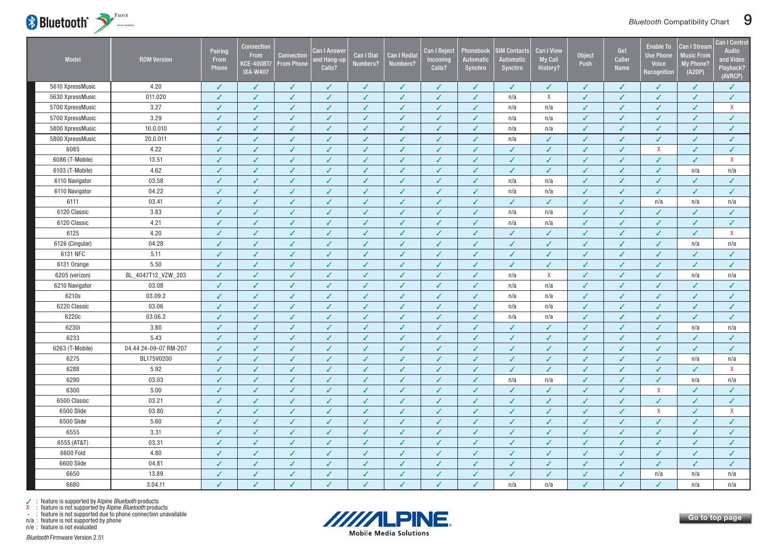

| Model            | <b>ROM Version</b>    | Pairing<br>From<br>Phone | <b>Connection</b><br><b>From</b><br><b>KCE-400BT/</b><br><b>iXA-W407</b> | <b>Connection</b><br><b>From Phone</b> | Can I Answer<br>nd Hang-up<br>Calls? | Can I Dial<br>Numbers? | Can I Redia<br>Numbers?  | <b>Can I Reject</b><br>Incoming<br>Calls? | Phonebook<br><b>Automatic</b><br>Synchro | <b>SIM Contacts</b><br><b>Automatic</b><br>Synchro | <b>Can I View</b><br><b>My Call</b><br>History? | Object<br>Push | Get<br><b>Caller</b><br><b>Name</b> | <b>Enable To</b><br><b>Use Phone</b><br><b>Voice</b><br>Recognition | Can I Stream<br><b>Music From</b><br>My Phone?<br>(A2DP) | <b>Can I Control</b><br><b>Audio</b><br>and Video<br>Playback?<br>(AVRCP) |
|------------------|-----------------------|--------------------------|--------------------------------------------------------------------------|----------------------------------------|--------------------------------------|------------------------|--------------------------|-------------------------------------------|------------------------------------------|----------------------------------------------------|-------------------------------------------------|----------------|-------------------------------------|---------------------------------------------------------------------|----------------------------------------------------------|---------------------------------------------------------------------------|
| 5610 XpressMusic | 4.20                  | ✓                        | ✓                                                                        | ✓                                      | ✓                                    | ✓                      | J                        | ✓                                         | ✓                                        | J                                                  | ✓                                               | J              | ✓                                   | ✓                                                                   | ✓                                                        | ✓                                                                         |
| 5630 XpressMusic | 011.020               | J                        | $\checkmark$                                                             | $\checkmark$                           | J                                    | ✓                      | $\checkmark$             | $\sqrt{2}$                                | J                                        | n/a                                                | $\boldsymbol{\mathsf{X}}$                       | $\overline{J}$ | J                                   | $\checkmark$                                                        | $\checkmark$                                             | $\mathcal{L}$                                                             |
| 5700 XpressMusic | 3.27                  | ✓                        | $\checkmark$                                                             | $\checkmark$                           | ✓                                    | ✓                      | $\checkmark$             | $\checkmark$                              | ✓                                        | n/a                                                | n/a                                             | $\checkmark$   | ✓                                   | $\checkmark$                                                        | ✓                                                        | $\mathsf{X}$                                                              |
| 5700 XpressMusic | 3.29                  | ✓                        | $\checkmark$                                                             | $\checkmark$                           | $\checkmark$                         | ✓                      | $\checkmark$             | $\sqrt{2}$                                | ✓                                        | n/a                                                | n/a                                             | ✓              | ✓                                   | $\checkmark$                                                        | $\checkmark$                                             | $\checkmark$                                                              |
| 5800 XpressMusic | 10.0.010              | J                        | ✓                                                                        | ✓                                      | ✓                                    | ✓                      | ✓                        | $\checkmark$                              | ✓                                        | n/a                                                | n/a                                             | J              | J                                   | ✓                                                                   | ✓                                                        | $\checkmark$                                                              |
| 5800 XpressMusic | 20.0.011              | J                        | $\checkmark$                                                             | $\checkmark$                           | $\checkmark$                         | $\checkmark$           | $\checkmark$             | $\checkmark$                              | ✓                                        | n/a                                                | $\checkmark$                                    | $\checkmark$   | ✓                                   | $\checkmark$                                                        | $\checkmark$                                             | $\checkmark$                                                              |
| 6085             | 4.22                  | J                        | $\checkmark$                                                             | $\checkmark$                           | ✓                                    | ✓                      | $\checkmark$             | $\checkmark$                              | ✓                                        | ✓                                                  | $\checkmark$                                    | ✓              | ✓                                   | $\mathsf{X}$                                                        | $\checkmark$                                             | $\checkmark$                                                              |
| 6086 (T-Mobile)  | 13.51                 | ✓                        | ✓                                                                        | $\checkmark$                           | ✓                                    | ✓                      | ✓                        | $\checkmark$                              | ✓                                        | ✓                                                  | ✓                                               | √              | ✓                                   | $\checkmark$                                                        | $\checkmark$                                             | $\mathsf{X}$                                                              |
| 6103 (T-Mobile)  | 4.62                  | ✓                        | $\checkmark$                                                             | ✓                                      | ✓                                    | ✓                      | J                        | $\checkmark$                              | ✓                                        | ✓                                                  | ✓                                               | J              | J                                   | $\checkmark$                                                        | n/a                                                      | n/a                                                                       |
| 6110 Navigator   | 03.58                 |                          |                                                                          | J                                      | $\checkmark$                         |                        | J                        | ✓                                         | J                                        | n/a                                                | n/a                                             | V              | J                                   | $\checkmark$                                                        | $\checkmark$                                             | ✓                                                                         |
| 6110 Navigator   | 04.22                 | ✓                        | $\checkmark$                                                             | $\checkmark$                           | ✓                                    | ✓                      | $\checkmark$             | $\checkmark$                              | ✓                                        | n/a                                                | n/a                                             | $\checkmark$   | ✓                                   | $\checkmark$                                                        | $\checkmark$                                             | $\checkmark$                                                              |
| 6111             | 03.41                 | ✓                        | ✓                                                                        | ✓                                      | ✓                                    | ✓                      | √                        | $\checkmark$                              | ✓                                        | $\checkmark$                                       | ✓                                               | J              | ✓                                   | n/a                                                                 | n/a                                                      | n/a                                                                       |
| 6120 Classic     | 3.83                  | J                        | J                                                                        | ✓                                      | ✓                                    | ✓                      | J                        | $\checkmark$                              | ✓                                        | n/a                                                | n/a                                             | ✓              | J                                   | ✓                                                                   | $\checkmark$                                             | $\checkmark$                                                              |
| 6120 Classic     | 4.21                  | ✓                        | $\checkmark$                                                             | $\checkmark$                           | $\checkmark$                         | $\checkmark$           | $\checkmark$             | $\checkmark$                              | ✓                                        | n/a                                                | n/a                                             | ✓              | ✓                                   | $\checkmark$                                                        | $\checkmark$                                             | $\checkmark$                                                              |
| 6125             | 4.20                  | ✓                        | ✓                                                                        | $\checkmark$                           | ✓                                    | ✓                      | $\checkmark$             | $\sqrt{2}$                                | ✓                                        | $\checkmark$                                       | $\checkmark$                                    | J              | J                                   | $\checkmark$                                                        | $\checkmark$                                             | $\mathsf{X}$                                                              |
| 6126 (Cingular)  | 04.28                 | J                        | $\checkmark$                                                             | ✓                                      | ✓                                    | ✓                      | J                        | $\checkmark$                              | ✓                                        | ✓                                                  | J                                               | J              | J                                   | $\checkmark$                                                        | n/a                                                      | n/a                                                                       |
| 6131 NFC         | 5.11                  | J                        | $\checkmark$                                                             | $\checkmark$                           | J                                    | J                      | $\overline{\mathcal{L}}$ | $\checkmark$                              | J                                        | J                                                  |                                                 |                | J                                   | ✓                                                                   | ✓                                                        | $\checkmark$                                                              |
| 6131 Orange      | 5.50                  | $\checkmark$             | $\checkmark$                                                             | $\checkmark$                           | $\checkmark$                         | ✓                      | $\checkmark$             | $\checkmark$                              | ✓                                        | $\checkmark$                                       | $\checkmark$                                    | ✓              | ✓                                   | $\checkmark$                                                        | $\checkmark$                                             | $\checkmark$                                                              |
| 6205 (verizon)   | BL_4047T12_VZW_203    | ✓                        | $\checkmark$                                                             | $\checkmark$                           | $\checkmark$                         | ✓                      | $\checkmark$             | $\checkmark$                              | ✓                                        | n/a                                                | $\mathsf{X}$                                    | $\checkmark$   | J                                   | $\checkmark$                                                        | n/a                                                      | n/a                                                                       |
| 6210 Navigator   | 03.08                 | $\checkmark$             | $\checkmark$                                                             | $\checkmark$                           | $\checkmark$                         | ✓                      | ✓                        | $\checkmark$                              | ✓                                        | n/a                                                | n/a                                             | $\checkmark$   | ✓                                   | $\checkmark$                                                        | $\checkmark$                                             | $\checkmark$                                                              |
| 6210s            | 03.09.2               | ✓                        | ✓                                                                        | $\checkmark$                           | $\checkmark$                         | ✓                      | ✓                        | $\sqrt{2}$                                | ✓                                        | n/a                                                | n/a                                             | $\checkmark$   | J                                   | $\checkmark$                                                        | ✓                                                        | $\checkmark$                                                              |
| 6220 Classic     | 03.06                 | ✓                        | $\checkmark$                                                             | $\checkmark$                           | $\checkmark$                         | $\checkmark$           | $\checkmark$             | $\checkmark$                              | ✓                                        | n/a                                                | n/a                                             | $\checkmark$   | $\checkmark$                        | $\checkmark$                                                        | $\checkmark$                                             | $\checkmark$                                                              |
| 6220c            | 03.06.2               | ✓                        | $\checkmark$                                                             | $\checkmark$                           | ✓                                    | ✓                      | ✓                        | $\checkmark$                              | ✓                                        | n/a                                                | n/a                                             | $\checkmark$   | ✓                                   | $\checkmark$                                                        | $\checkmark$                                             | ✓                                                                         |
| 6230i            | 3.80                  | ✓                        | ✓                                                                        | ✓                                      | ✓                                    | ✓                      | J                        | $\checkmark$                              | ✓                                        | ✓                                                  | √                                               | J              | J                                   | ✓                                                                   | n/a                                                      | n/a                                                                       |
| 6233             | 5.43                  | J                        | $\checkmark$                                                             | $\checkmark$                           | $\checkmark$                         | $\checkmark$           | $\checkmark$             | $\checkmark$                              | ✓                                        | $\checkmark$                                       | $\checkmark$                                    | J              | ✓                                   | $\checkmark$                                                        | $\checkmark$                                             | $\checkmark$                                                              |
| 6263 (T-Mobile)  | 04.44 24-09-07 RM-207 | √                        | $\checkmark$                                                             | ✓                                      | ✓                                    | ✓                      | ✓                        | $\checkmark$                              | ✓                                        | ✓                                                  | ✓                                               | ✓              | ✓                                   | $\checkmark$                                                        | $\checkmark$                                             | ✓                                                                         |
| 6275             | BL175V0200            | ✓                        | $\checkmark$                                                             | $\checkmark$                           | $\checkmark$                         | $\checkmark$           | $\checkmark$             | $\checkmark$                              | $\checkmark$                             | $\checkmark$                                       | $\checkmark$                                    | J              | $\checkmark$                        | $\checkmark$                                                        | n/a                                                      | n/a                                                                       |
| 6288             | 5.92                  | J                        | J                                                                        | $\checkmark$                           | ✓                                    | ✓                      | J                        | $\checkmark$                              | ✓                                        | $\checkmark$                                       | $\checkmark$                                    | J              | $\checkmark$                        | ✓                                                                   | $\checkmark$                                             | $\mathsf{X}$                                                              |
| 6290             | 03.03                 | ✓                        | $\checkmark$                                                             | $\checkmark$                           | $\checkmark$                         | $\checkmark$           | $\checkmark$             | $\sqrt{2}$                                | ✓                                        | n/a                                                | n/a                                             | ✓              | ✓                                   | $\checkmark$                                                        | n/a                                                      | n/a                                                                       |
| 6300             | 5.00                  | $\checkmark$             | $\checkmark$                                                             | $\checkmark$                           | ✓                                    | ✓                      | $\checkmark$             | $\checkmark$                              | ✓                                        | $\checkmark$                                       | ✓                                               | $\checkmark$   | ✓                                   | $\mathsf{X}$                                                        | $\checkmark$                                             | $\checkmark$                                                              |
| 6500 Classic     | 03.21                 | ✓                        | $\checkmark$                                                             | $\sqrt{2}$                             | $\checkmark$                         | ✓                      | ✓                        | $\checkmark$                              | ✓                                        | $\checkmark$                                       | $\checkmark$                                    | J              | J                                   | $\checkmark$                                                        | $\checkmark$                                             | $\checkmark$                                                              |
| 6500 Slide       | 03.80                 | J                        | $\checkmark$                                                             | $\checkmark$                           | $\checkmark$                         | ✓                      | J                        | $\checkmark$                              | J                                        | J                                                  | J                                               | J              | J                                   | $\mathsf{X}$                                                        | $\checkmark$                                             | $\mathsf{X}$                                                              |
| 6500 Slide       | 5.60                  | J                        | $\checkmark$                                                             | $\checkmark$                           | $\checkmark$                         | ✓                      | $\checkmark$             | $\checkmark$                              | ✓                                        | $\checkmark$                                       | $\checkmark$                                    | J              | ✓                                   | $\checkmark$                                                        | $\checkmark$                                             | $\checkmark$                                                              |
| 6555             | 3.31                  | ✓                        | $\checkmark$                                                             | ✓                                      | ✓                                    | ✓                      | ✓                        | $\checkmark$                              | ✓                                        | $\checkmark$                                       | ✓                                               | ✓              | J                                   | $\checkmark$                                                        | $\checkmark$                                             | $\checkmark$                                                              |
| 6555 (AT&T)      | 03.31                 | J                        | $\checkmark$                                                             | $\checkmark$                           | ✓                                    | ✓                      | $\checkmark$             | $\checkmark$                              | ✓                                        | V                                                  | $\checkmark$                                    | ✓              | J                                   | J                                                                   | $\checkmark$                                             | $\checkmark$                                                              |
| 6600 Fold        | 4.80                  | $\checkmark$             | $\checkmark$                                                             | $\checkmark$                           | $\checkmark$                         | $\checkmark$           | ✓                        | $\checkmark$                              | ✓                                        | $\checkmark$                                       | $\checkmark$                                    | $\checkmark$   | $\checkmark$                        | $\checkmark$                                                        | $\checkmark$                                             | $\checkmark$                                                              |
| 6600 Slide       | 04.81                 | ✓                        | $\checkmark$                                                             | $\checkmark$                           | ✓                                    | ✓                      | ✓                        | $\checkmark$                              | ✓                                        | $\checkmark$                                       | $\checkmark$                                    | $\checkmark$   | ✓                                   | $\checkmark$                                                        | $\checkmark$                                             | $\checkmark$                                                              |
| 6650             | 13.89                 | ✓                        | $\checkmark$                                                             | ✓                                      | ✓                                    | ✓                      | ✓                        | $\checkmark$                              | ✓                                        | ✓                                                  | $\checkmark$                                    | J              | ✓                                   | n/a                                                                 | n/a                                                      | n/a                                                                       |
| 6680             | 3.04.11               |                          |                                                                          | J                                      | $\checkmark$                         |                        |                          | J                                         | J                                        | n/a                                                | n/a                                             | J              | J                                   | J                                                                   | n/a                                                      | n/a                                                                       |

n/a : feature is not supported by phone



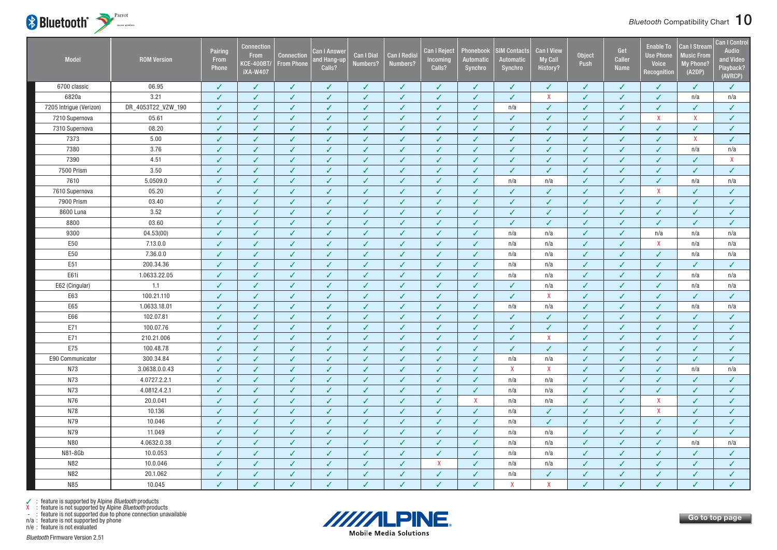

| <b>Model</b>            | <b>ROM Version</b> | Pairing<br>From<br>Phone | <b>Connection</b><br><b>From</b><br><b>KCE-400BT/</b><br><b>iXA-W407</b> | <b>Connection</b><br><b>From Phone</b> | <b>Can I Answer</b><br>Ind Hang-up<br>Calls? | Can I Dial<br>Numbers? | <b>Can I Redial</b><br>Numbers? | <b>Can I Reject</b><br>Incoming<br>Calls? | Phonebook<br>Automatic<br>Synchro | <b>SIM Contacts</b><br><b>Automatic</b><br>Synchro | <b>Can I View</b><br><b>My Call</b><br>History? | <b>Object</b><br>Push | Get<br>Caller<br><b>Name</b> | <b>Enable To</b><br><b>Use Phone</b><br><b>Voice</b><br>Recognition | <b>Can I Stream</b><br><b>Music From</b><br><b>My Phone?</b><br>(A2DP) | <b>Can I Control</b><br><b>Audio</b><br>and Video<br>Playback?<br>(AVRCP) |
|-------------------------|--------------------|--------------------------|--------------------------------------------------------------------------|----------------------------------------|----------------------------------------------|------------------------|---------------------------------|-------------------------------------------|-----------------------------------|----------------------------------------------------|-------------------------------------------------|-----------------------|------------------------------|---------------------------------------------------------------------|------------------------------------------------------------------------|---------------------------------------------------------------------------|
| 6700 classic            | 06.95              | ✓                        | ✓                                                                        | $\checkmark$                           | ✓                                            | $\checkmark$           | ✓                               | J                                         | ✓                                 | ✓                                                  | ✓                                               | J                     | ✓                            | ✓                                                                   | ✓                                                                      | $\checkmark$                                                              |
| 6820a                   | 3.21               | $\checkmark$             | J                                                                        | $\checkmark$                           | $\checkmark$                                 | $\checkmark$           | $\checkmark$                    | V                                         | $\checkmark$                      | $\checkmark$                                       | $\mathsf{X}$                                    | J                     | J                            | $\checkmark$                                                        | n/a                                                                    | n/a                                                                       |
| 7205 Intrigue (Verizon) | DR_4053T22_VZW_190 | $\checkmark$             | ✓                                                                        | $\checkmark$                           | ✓                                            | $\checkmark$           | $\checkmark$                    | $\checkmark$                              | $\checkmark$                      | n/a                                                | $\checkmark$                                    | $\checkmark$          | $\checkmark$                 | $\checkmark$                                                        | ✓                                                                      | $\checkmark$                                                              |
| 7210 Supernova          | 05.61              | ✓                        | J                                                                        | $\checkmark$                           | ✓                                            | $\checkmark$           | ✓                               | ✓                                         | $\checkmark$                      | $\checkmark$                                       | $\checkmark$                                    | ✓                     | J                            | $\mathsf{X}$                                                        | $\mathsf{X}$                                                           | $\checkmark$                                                              |
| 7310 Supernova          | 08.20              | ✓                        | J                                                                        | $\checkmark$                           | ✓                                            | $\checkmark$           | $\checkmark$                    | ✓                                         | $\checkmark$                      | $\checkmark$                                       | $\checkmark$                                    | J                     | J                            | $\checkmark$                                                        | ✓                                                                      | $\checkmark$                                                              |
| 7373                    | 5.00               | ✓                        | J                                                                        | $\checkmark$                           | ✓                                            | $\checkmark$           | √                               | ✓                                         | ✓                                 | ✓                                                  | $\checkmark$                                    | ✓                     | J                            | $\checkmark$                                                        | X                                                                      | $\checkmark$                                                              |
| 7380                    | 3.76               | $\checkmark$             | ✓                                                                        | $\checkmark$                           | $\checkmark$                                 | $\checkmark$           | $\checkmark$                    | $\checkmark$                              | $\checkmark$                      | $\checkmark$                                       | $\checkmark$                                    | $\checkmark$          | ✓                            | $\checkmark$                                                        | n/a                                                                    | n/a                                                                       |
| 7390                    | 4.51               | ✓                        | ✓                                                                        | $\checkmark$                           | ✓                                            | ✓                      | $\checkmark$                    | ✓                                         | $\checkmark$                      | $\checkmark$                                       | J                                               | J                     | ✓                            | $\checkmark$                                                        | ✓                                                                      | $\mathsf{X}$                                                              |
| 7500 Prism              | 3.50               | ✓                        | ✓                                                                        | $\checkmark$                           | ✓                                            | $\checkmark$           | $\checkmark$                    | ✓                                         | $\checkmark$                      | $\checkmark$                                       | $\checkmark$                                    | ✓                     | ✓                            | ✓                                                                   | ✓                                                                      | $\checkmark$                                                              |
| 7610                    | 5.0509.0           | ✓                        | ✓                                                                        | $\checkmark$                           | ✓                                            | $\checkmark$           | $\checkmark$                    | ✓                                         | $\checkmark$                      | n/a                                                | n/a                                             | $\checkmark$          | ✓                            | $\checkmark$                                                        | n/a                                                                    | n/a                                                                       |
| 7610 Supernova          | 05.20              | $\checkmark$             | ✓                                                                        | $\checkmark$                           | ✓                                            | $\checkmark$           | $\checkmark$                    | $\checkmark$                              | $\checkmark$                      | ✓                                                  | $\checkmark$                                    | ✓                     | J                            | $\mathsf{X}$                                                        | ✓                                                                      | $\checkmark$                                                              |
| 7900 Prism              | 03.40              | ✓                        | ✓                                                                        | $\checkmark$                           | $\checkmark$                                 | $\checkmark$           | $\checkmark$                    | $\checkmark$                              | $\checkmark$                      | $\checkmark$                                       | $\checkmark$                                    | ✓                     | $\checkmark$                 | $\checkmark$                                                        | ✓                                                                      | $\checkmark$                                                              |
| 8600 Luna               | 3.52               | $\checkmark$             | ✓                                                                        | $\checkmark$                           | $\checkmark$                                 | $\checkmark$           | $\checkmark$                    | ✓                                         | $\checkmark$                      | $\checkmark$                                       | $\checkmark$                                    | ✓                     | J                            | $\checkmark$                                                        | ✓                                                                      | $\checkmark$                                                              |
| 8800                    | 03.60              | ✓                        | ✓                                                                        | $\checkmark$                           | ✓                                            | $\checkmark$           | $\checkmark$                    | ✓                                         | $\checkmark$                      | ✓                                                  | $\checkmark$                                    | J                     | J                            | $\checkmark$                                                        | ✓                                                                      | $\checkmark$                                                              |
| 9300                    | 04.53(00)          | $\checkmark$             | ✓                                                                        | $\checkmark$                           | $\checkmark$                                 | $\checkmark$           | $\checkmark$                    | $\checkmark$                              | $\checkmark$                      | n/a                                                | n/a                                             | $\checkmark$          | $\checkmark$                 | n/a                                                                 | n/a                                                                    | n/a                                                                       |
| E50                     | 7.13.0.0           | ✓                        | ✓                                                                        | $\checkmark$                           | ✓                                            | $\checkmark$           | $\checkmark$                    | ✓                                         | $\checkmark$                      | n/a                                                | n/a                                             | ✓                     | ✓                            | X                                                                   | n/a                                                                    | n/a                                                                       |
| E50                     | 7.36.0.0           | ✓                        | J                                                                        | ✓                                      | ✓                                            | $\checkmark$           | $\checkmark$                    | J                                         | $\checkmark$                      | n/a                                                | n/a                                             | J                     | J                            | ✓                                                                   | n/a                                                                    | n/a                                                                       |
| E51                     | 200.34.36          | $\checkmark$             | ✓                                                                        | $\checkmark$                           | $\checkmark$                                 | $\checkmark$           | $\checkmark$                    | ✓                                         | $\checkmark$                      | n/a                                                | n/a                                             | $\checkmark$          | ✓                            | $\checkmark$                                                        | ✓                                                                      | $\checkmark$                                                              |
| E61i                    | 1.0633.22.05       | $\checkmark$             | ✓                                                                        | $\checkmark$                           | ✓                                            | $\checkmark$           | $\checkmark$                    | $\checkmark$                              | $\checkmark$                      | n/a                                                | n/a                                             | ✓                     | ✓                            | $\checkmark$                                                        | n/a                                                                    | n/a                                                                       |
| E62 (Cingular)          | 1.1                | ✓                        | ✓                                                                        | $\checkmark$                           | ✓                                            | $\checkmark$           | $\checkmark$                    | $\checkmark$                              | $\checkmark$                      | $\checkmark$                                       | n/a                                             | ✓                     | ✓                            | $\checkmark$                                                        | n/a                                                                    | n/a                                                                       |
| E63                     | 100.21.110         | $\checkmark$             | ✓                                                                        | $\checkmark$                           | $\checkmark$                                 | $\checkmark$           | $\checkmark$                    | ✓                                         | $\checkmark$                      | $\checkmark$                                       | $\boldsymbol{X}$                                | ✓                     | ✓                            | ✓                                                                   | ✓                                                                      | $\checkmark$                                                              |
| E65                     | 1.0633.18.01       | $\checkmark$             | ✓                                                                        | $\checkmark$                           | ✓                                            | $\checkmark$           | $\checkmark$                    | ✓                                         | $\checkmark$                      | n/a                                                | n/a                                             | ✓                     | ✓                            | $\checkmark$                                                        | n/a                                                                    | n/a                                                                       |
| E66                     | 102.07.81          | $\checkmark$             | $\checkmark$                                                             | $\checkmark$                           | $\checkmark$                                 | $\checkmark$           | $\checkmark$                    | $\checkmark$                              | $\checkmark$                      | $\checkmark$                                       | $\checkmark$                                    | $\checkmark$          | $\checkmark$                 | $\checkmark$                                                        | ✓                                                                      | $\checkmark$                                                              |
| E71                     | 100.07.76          | ✓                        | ✓                                                                        | $\checkmark$                           | $\checkmark$                                 | $\checkmark$           | $\checkmark$                    | ✓                                         | $\checkmark$                      | $\checkmark$                                       | ✓                                               | J                     | J                            | $\checkmark$                                                        | ✓                                                                      | $\checkmark$                                                              |
| E71                     | 210.21.006         | ✓                        | J                                                                        | ✓                                      | ✓                                            | ✓                      | ✓                               | ✓                                         | ✓                                 | ✓                                                  | $\boldsymbol{\mathsf{X}}$                       | J                     | J                            | ✓                                                                   | ✓                                                                      | $\checkmark$                                                              |
| E75                     | 100.48.78          | $\checkmark$             | ✓                                                                        | $\checkmark$                           | ✓                                            | $\checkmark$           | $\checkmark$                    | ✓                                         | $\checkmark$                      | $\checkmark$                                       | $\checkmark$                                    | ✓                     | ✓                            | $\checkmark$                                                        | ✓                                                                      | $\checkmark$                                                              |
| E90 Communicator        | 300.34.84          | $\checkmark$             | J                                                                        | ✓                                      | $\checkmark$                                 | $\checkmark$           | $\checkmark$                    | $\checkmark$                              | $\checkmark$                      | n/a                                                | n/a                                             | ✓                     | J                            | $\checkmark$                                                        | $\checkmark$                                                           | $\checkmark$                                                              |
| N73                     | 3.0638.0.0.43      | ✓                        | ✓                                                                        | $\checkmark$                           | ✓                                            | ✓                      | √                               | $\checkmark$                              | $\checkmark$                      | X                                                  | X                                               | ✓                     | ✓                            | $\checkmark$                                                        | n/a                                                                    | n/a                                                                       |
| N73                     | 4.0727.2.2.1       | ✓                        | J                                                                        | $\checkmark$                           | ✓                                            | $\checkmark$           | $\checkmark$                    | ✓                                         | $\checkmark$                      | n/a                                                | n/a                                             | ✓                     | J                            | $\checkmark$                                                        | ✓                                                                      | $\checkmark$                                                              |
| N73                     | 4.0812.4.2.1       | $\checkmark$             | ✓                                                                        | $\checkmark$                           | $\checkmark$                                 | $\checkmark$           | $\checkmark$                    | ✓                                         | $\checkmark$                      | n/a                                                | n/a                                             | J                     | ✓                            | $\checkmark$                                                        | $\checkmark$                                                           | $\checkmark$                                                              |
| N76                     | 20.0.041           | $\checkmark$             | $\checkmark$                                                             | $\checkmark$                           | $\checkmark$                                 | $\checkmark$           | $\checkmark$                    | $\checkmark$                              | X                                 | n/a                                                | n/a                                             | ✓                     | $\checkmark$                 | X                                                                   | ✓                                                                      | $\checkmark$                                                              |
| N78                     | 10.136             | √                        | J                                                                        | $\checkmark$                           | ✓                                            | ✓                      | √                               | ✓                                         | $\checkmark$                      | n/a                                                | J                                               | J                     | J                            | $\mathsf{X}$                                                        | ✓                                                                      | $\checkmark$                                                              |
| N79                     | 10.046             | J                        | J                                                                        | J                                      | ✓                                            | ✓                      | J                               | J                                         | ✓                                 | n/a                                                | J                                               | J                     | J                            | $\checkmark$                                                        | J                                                                      | $\checkmark$                                                              |
| N79                     | 11.049             | J                        | ✓                                                                        | ✓                                      | ✓                                            | ✓                      | ✓                               | ✓                                         | $\checkmark$                      | n/a                                                | n/a                                             | ✓                     | ✓                            | ✓                                                                   | ✓                                                                      | $\checkmark$                                                              |
| <b>N80</b>              | 4.0632.0.38        | ✓                        | $\checkmark$                                                             | $\checkmark$                           | ✓                                            | ✓                      | ✓                               | $\checkmark$                              | $\checkmark$                      | n/a                                                | n/a                                             | ✓                     | ✓                            | $\checkmark$                                                        | n/a                                                                    | n/a                                                                       |
| N81-8Gb                 | 10.0.053           | J                        | ✓                                                                        | $\checkmark$                           | $\checkmark$                                 | $\checkmark$           | ✓                               | $\checkmark$                              | $\checkmark$                      | n/a                                                | n/a                                             | ✓                     | ✓                            | $\checkmark$                                                        | ✓                                                                      | $\checkmark$                                                              |
| N82                     | 10.0.046           | ✓                        | ✓                                                                        | ✓                                      | ✓                                            | ✓                      | $\checkmark$                    | X                                         | $\checkmark$                      | n/a                                                | n/a                                             | ✓                     | ✓                            | ✓                                                                   | ✓                                                                      | $\checkmark$                                                              |
| N82                     | 20.1.062           | $\checkmark$             | ✓                                                                        | $\checkmark$                           | ✓                                            | $\checkmark$           | $\checkmark$                    | ✓                                         | $\checkmark$                      | n/a                                                | $\checkmark$                                    | ✓                     | ✓                            | $\checkmark$                                                        | ✓                                                                      | $\checkmark$                                                              |
| N85                     | 10.045             | $\checkmark$             | V                                                                        | J                                      | $\checkmark$                                 | $\checkmark$           | $\checkmark$                    | V                                         | J                                 | $\mathbf{x}$                                       | $\mathsf{x}$                                    | J                     | J                            | $\checkmark$                                                        | J                                                                      | $\checkmark$                                                              |



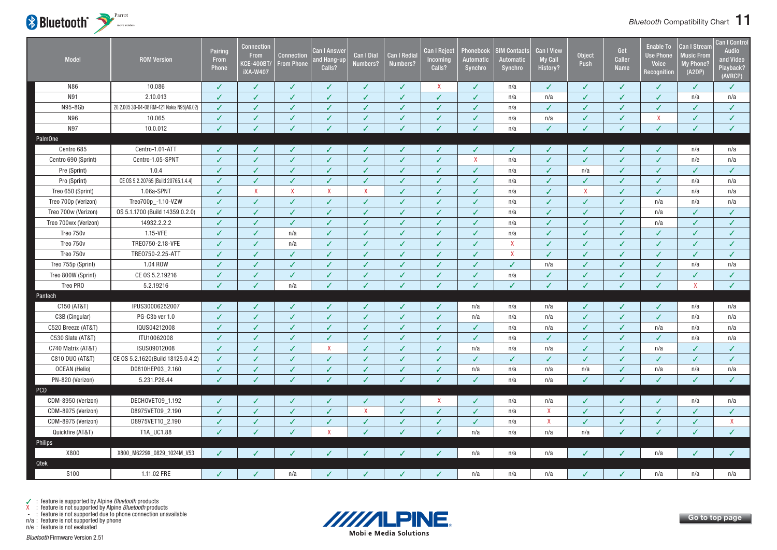<span id="page-11-0"></span>

| Model                | <b>ROM Version</b>                        | Pairing<br>From<br>Phone | <b>Connection</b><br><b>From</b><br><b>KCE-400BT/</b><br><b>iXA-W407</b> | <b>Connection</b><br><b>From Phone</b> | <u>Can I Answer</u><br>and Hang-up<br>Calls? | <b>Can I Dial</b><br>Numbers? | <b>Can I Redial</b><br>Numbers? | <b>Can I Reject</b><br>Incoming<br>Calls? | Phonebook<br>Automatic<br>Synchro | <b>SIM Contacts</b><br><b>Automatic</b><br>Synchro | <b>Can I View</b><br>My Call<br>History? | <b>Object</b><br>Push | Get<br>Caller<br><b>Name</b> | <b>Enable To</b><br><b>Use Phone</b><br>Voice<br>Recognition | Can I Stream<br><b>Music From</b><br><b>My Phone?</b><br>(A2DP) | <b>Can I Control</b><br>Audio<br>and Video<br>Playback?<br>(AVRCP) |
|----------------------|-------------------------------------------|--------------------------|--------------------------------------------------------------------------|----------------------------------------|----------------------------------------------|-------------------------------|---------------------------------|-------------------------------------------|-----------------------------------|----------------------------------------------------|------------------------------------------|-----------------------|------------------------------|--------------------------------------------------------------|-----------------------------------------------------------------|--------------------------------------------------------------------|
| N86                  | 10.086                                    | $\checkmark$             | $\checkmark$                                                             | $\checkmark$                           | ✓                                            | ✓                             | $\checkmark$                    | $\mathsf{X}$                              | $\checkmark$                      | n/a                                                | $\checkmark$                             | √                     | $\checkmark$                 | $\checkmark$                                                 | $\checkmark$                                                    | $\checkmark$                                                       |
| N91                  | 2.10.013                                  | ✓                        | ✓                                                                        | ✓                                      | $\checkmark$                                 | ✓                             | $\checkmark$                    | $\checkmark$                              | ✓                                 | n/a                                                | n/a                                      | ✓                     | ✓                            | $\checkmark$                                                 | n/a                                                             | n/a                                                                |
| N95-8Gb              | 20.2.005 30-04-08 RM-421 Nokia N95(A6.02) | ✓                        | $\checkmark$                                                             | ✓                                      | ✓                                            | ✓                             | $\checkmark$                    | $\checkmark$                              | ✓                                 | n/a                                                | $\checkmark$                             | ✓                     | ✓                            | ✓                                                            | $\checkmark$                                                    | $\checkmark$                                                       |
| N96                  | 10.065                                    | ✓                        | ✓                                                                        | ✓                                      | ℐ                                            | ✓                             | ✓                               | $\checkmark$                              | ✓                                 | n/a                                                | n/a                                      | J                     | J                            | $\mathsf{X}$                                                 | ✓                                                               | $\checkmark$                                                       |
| N97                  | 10.0.012                                  | $\overline{\mathscr{L}}$ | J                                                                        | J                                      | $\checkmark$                                 | $\checkmark$                  | J                               | $\checkmark$                              | $\checkmark$                      | n/a                                                | $\sqrt{2}$                               | J                     | J                            | J                                                            | J                                                               | $\checkmark$                                                       |
| PalmOne              |                                           |                          |                                                                          |                                        |                                              |                               |                                 |                                           |                                   |                                                    |                                          |                       |                              |                                                              |                                                                 |                                                                    |
| Centro 685           | Centro-1.01-ATT                           |                          | ✓                                                                        | ✓                                      | ✓                                            |                               | ✓                               | ✓                                         | ✓                                 | ✓                                                  | ✓                                        | J                     | ✓                            | ✓                                                            | n/a                                                             | n/a                                                                |
| Centro 690 (Sprint)  | Centro-1.05-SPNT                          | J                        | $\checkmark$                                                             | ✓                                      | $\checkmark$                                 | ✓                             | $\checkmark$                    | $\checkmark$                              | $\mathsf{X}$                      | n/a                                                | $\checkmark$                             | $\checkmark$          | ✓                            | $\checkmark$                                                 | n/e                                                             | n/a                                                                |
| Pre (Sprint)         | 1.0.4                                     |                          | J                                                                        | ✓                                      | $\checkmark$                                 | $\checkmark$                  | $\checkmark$                    | $\checkmark$                              | $\checkmark$                      | n/a                                                | $\checkmark$                             | n/a                   | V                            | $\checkmark$                                                 | $\checkmark$                                                    | $\checkmark$                                                       |
| Pro (Sprint)         | CE 0S 5.2.20765 (Build 20765.1.4.4)       | ✓                        | $\checkmark$                                                             | $\checkmark$                           | $\checkmark$                                 | ✓                             | $\checkmark$                    | $\checkmark$                              | ✓                                 | n/a                                                | $\checkmark$                             | ✓                     | $\checkmark$                 | $\checkmark$                                                 | n/a                                                             | n/a                                                                |
| Treo 650 (Sprint)    | 1.06a-SPNT                                | ✓                        | $\mathsf{X}$                                                             | $\mathsf{X}$                           | X                                            | X                             | $\checkmark$                    | $\checkmark$                              | ✓                                 | n/a                                                | $\checkmark$                             | $\mathsf{X}$          | ✓                            | $\checkmark$                                                 | n/a                                                             | n/a                                                                |
| Treo 700p (Verizon)  | Treo700p_-1.10-VZW                        | ℐ                        | J                                                                        | ✓                                      | $\overline{J}$                               | ✓                             | ℐ                               | $\checkmark$                              | ✓                                 | n/a                                                | ✓                                        | J                     | ✓                            | n/a                                                          | n/a                                                             | n/a                                                                |
| Treo 700w (Verizon)  | 0S 5.1.1700 (Build 14359.0.2.0)           | J                        | J                                                                        | ✓                                      | $\checkmark$                                 | $\checkmark$                  | $\overline{\mathcal{L}}$        | $\checkmark$                              | $\checkmark$                      | n/a                                                | $\checkmark$                             | J                     | J                            | n/a                                                          | ✓                                                               | $\checkmark$                                                       |
| Treo 700wx (Verizon) | 14932.2.2.2                               | ✓                        | $\checkmark$                                                             | $\checkmark$                           | $\checkmark$                                 | $\checkmark$                  | $\checkmark$                    | $\sqrt{2}$                                | $\checkmark$                      | n/a                                                | $\checkmark$                             | $\checkmark$          | ✓                            | n/a                                                          | $\checkmark$                                                    | $\checkmark$                                                       |
| Treo 750v            | 1.15-VFE                                  | ✓                        | $\checkmark$                                                             | n/a                                    | ✓                                            | ✓                             | $\checkmark$                    | $\checkmark$                              | ✓                                 | n/a                                                | $\checkmark$                             | $\checkmark$          | ✓                            | $\checkmark$                                                 | $\checkmark$                                                    | $\checkmark$                                                       |
| Treo 750v            | TRE0750-2.18-VFE                          |                          | J                                                                        | n/a                                    | $\checkmark$                                 |                               | J                               | $\checkmark$                              | ✓                                 | X                                                  | ✓                                        | J                     | J                            | $\checkmark$                                                 | ✓                                                               | ✓                                                                  |
| Treo 750v            | TRE0750-2.25-ATT                          |                          | J                                                                        | ✓                                      | ✓                                            | ✓                             | $\checkmark$                    | $\checkmark$                              | ✓                                 | $\mathsf{X}$                                       | $\checkmark$                             | J                     | J                            | ℐ                                                            | ✓                                                               | ✓                                                                  |
| Treo 755p (Sprint)   | 1.04 ROW                                  | ✓                        | ✓                                                                        | ✓                                      | $\checkmark$                                 | ✓                             | $\checkmark$                    | $\checkmark$                              | ✓                                 | $\checkmark$                                       | n/a                                      | ✓                     | ✓                            | $\checkmark$                                                 | n/a                                                             | n/a                                                                |
| Treo 800W (Sprint)   | CE 0S 5.2.19216                           | ✓                        | $\checkmark$                                                             | ✓                                      | ✓                                            | ✓                             | $\checkmark$                    | $\checkmark$                              | ✓                                 | n/a                                                | $\checkmark$                             | J                     | J                            | $\checkmark$                                                 | ✓                                                               | $\checkmark$                                                       |
| Treo PRO             | 5.2.19216                                 | $\checkmark$             | J                                                                        | n/a                                    | $\checkmark$                                 | $\checkmark$                  | $\checkmark$                    | $\checkmark$                              | $\checkmark$                      | ✓                                                  | $\checkmark$                             | $\checkmark$          | J                            | V                                                            | $\mathsf{X}$                                                    | $\checkmark$                                                       |
| Pantech              |                                           |                          |                                                                          |                                        |                                              |                               |                                 |                                           |                                   |                                                    |                                          |                       |                              |                                                              |                                                                 |                                                                    |
| C150 (AT&T)          | IPUS30006252007                           | ✓                        | J                                                                        | ✓                                      | J                                            | ✓                             | ✓                               | $\checkmark$                              | n/a                               | n/a                                                | n/a                                      | √                     | J                            | ✓                                                            | n/a                                                             | n/a                                                                |
| C3B (Cingular)       | PG-C3b ver 1.0                            | $\checkmark$             | $\checkmark$                                                             | J.                                     | $\checkmark$                                 | $\checkmark$                  | $\checkmark$                    | $\checkmark$                              | n/a                               | n/a                                                | n/a                                      | $\checkmark$          | J.                           | $\checkmark$                                                 | n/a                                                             | n/a                                                                |
| C520 Breeze (AT&T)   | IQUS04212008                              | ✓                        | $\checkmark$                                                             | ✓                                      | ✓                                            | ✓                             | $\checkmark$                    | $\checkmark$                              | ✓                                 | n/a                                                | n/a                                      | ✓                     | $\checkmark$                 | n/a                                                          | n/a                                                             | n/a                                                                |
| C530 Slate (AT&T)    | ITU10062008                               |                          | $\checkmark$                                                             | ✓                                      | $\checkmark$                                 | ✓                             | $\checkmark$                    | $\checkmark$                              | ✓                                 | n/a                                                | $\checkmark$                             | √                     | ✓                            | $\checkmark$                                                 | n/a                                                             | n/a                                                                |
| C740 Matrix (AT&T)   | ISUS09012008                              | ✓                        | ✓                                                                        | ✓                                      | $\mathsf{X}$                                 | ✓                             | $\checkmark$                    | $\checkmark$                              | n/a                               | n/a                                                | n/a                                      | ✓                     | ✓                            | n/a                                                          | $\checkmark$                                                    | ✓                                                                  |
| C810 DUO (AT&T)      | CE 0S 5.2.1620(Build 18125.0.4.2)         | J                        | $\checkmark$                                                             | ✓                                      | $\checkmark$                                 | $\checkmark$                  | $\checkmark$                    | $\checkmark$                              | $\checkmark$                      | ✓                                                  | $\checkmark$                             | √                     | J                            | $\checkmark$                                                 | $\checkmark$                                                    | $\checkmark$                                                       |
| <b>OCEAN (Helio)</b> | D0810HEP03_2.160                          | ✓                        | $\checkmark$                                                             | ✓                                      | $\checkmark$                                 | ✓                             | $\checkmark$                    | $\checkmark$                              | n/a                               | n/a                                                | n/a                                      | n/a                   | ✓                            | n/a                                                          | n/a                                                             | n/a                                                                |
| PN-820 (Verizon)     | 5.231.P26.44                              |                          |                                                                          | J                                      | J                                            |                               | $\overline{\mathcal{L}}$        | $\sqrt{2}$                                | $\checkmark$                      | n/a                                                | n/a                                      |                       | J                            | ✓                                                            | J                                                               | $\checkmark$                                                       |
| <b>PCD</b>           |                                           |                          |                                                                          |                                        |                                              |                               |                                 |                                           |                                   |                                                    |                                          |                       |                              |                                                              |                                                                 |                                                                    |
| CDM-8950 (Verizon)   | DECHOVET09_1.192                          | J                        | J                                                                        | ✓                                      | J                                            | ✓                             | ✓                               | $\mathsf{X}$                              | ✓                                 | n/a                                                | n/a                                      | √                     | J                            | ✓                                                            | n/a                                                             | n/a                                                                |
| CDM-8975 (Verizon)   | D8975VET09_2.190                          | $\checkmark$             | $\checkmark$                                                             | $\checkmark$                           | $\checkmark$                                 | $\mathsf{X}$                  | $\checkmark$                    | $\checkmark$                              | $\checkmark$                      | n/a                                                | $\boldsymbol{\mathsf{X}}$                | $\checkmark$          | $\checkmark$                 | $\checkmark$                                                 | J                                                               | $\checkmark$                                                       |
| CDM-8975 (Verizon)   | D8975VET10_2.190                          | ✓                        | $\checkmark$                                                             | ✓                                      | $\checkmark$                                 | ✓                             | $\checkmark$                    | $\checkmark$                              | $\checkmark$                      | n/a                                                | $\boldsymbol{\mathsf{X}}$                | $\checkmark$          | $\checkmark$                 | $\checkmark$                                                 | $\checkmark$                                                    | $\mathsf{X}$                                                       |
| Quickfire (AT&T)     | T1A_UC1.88                                |                          |                                                                          | J                                      | X                                            |                               |                                 | $\checkmark$                              | n/a                               | n/a                                                | n/a                                      | n/a                   | J                            |                                                              |                                                                 | $\checkmark$                                                       |
| <b>Philips</b>       |                                           |                          |                                                                          |                                        |                                              |                               |                                 |                                           |                                   |                                                    |                                          |                       |                              |                                                              |                                                                 |                                                                    |
| X800                 | X800_M6229X_0829_1024M_V53                |                          |                                                                          |                                        |                                              |                               |                                 |                                           | n/a                               | n/a                                                | n/a                                      |                       |                              | n/a                                                          |                                                                 |                                                                    |
| Qtek                 |                                           |                          |                                                                          |                                        |                                              |                               |                                 |                                           |                                   |                                                    |                                          |                       |                              |                                                              |                                                                 |                                                                    |
| S100                 | 1.11.02 FRE                               |                          | $\checkmark$                                                             | n/a                                    | $\checkmark$                                 | ✓                             |                                 |                                           | n/a                               | n/a                                                | n/a                                      | ✓                     | ✓                            | n/a                                                          | n/a                                                             | n/a                                                                |

n/a : feature is not supported by phone



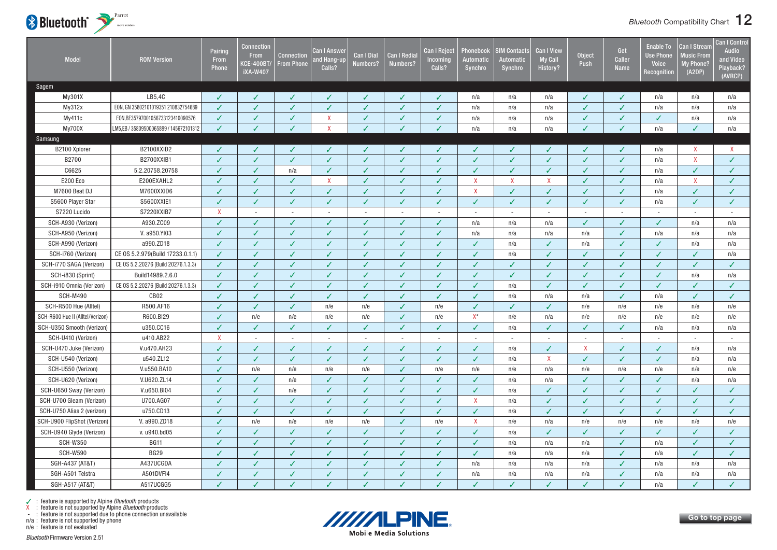<span id="page-12-0"></span>

| <b>Model</b>                     | <b>ROM Version</b>                     | Pairing<br>From<br><b>Phone</b> | <b>Connection</b><br><b>From</b><br><b>KCE-400BT/</b><br><b>iXA-W407</b> | <b>Connection</b><br><b>From Phone</b> | Can I Answer<br>nd Hang-up<br>Calls? | <b>Can I Dial</b><br>Numbers? | Can I Redial<br>Numbers? | <b>Can I Reject</b><br>ncoming<br>Calls? | Phonebook<br>Automatic<br>Synchro | <b>SIM Contacts</b><br><b>Automatic</b><br>Synchro | <b>Can I View</b><br><b>My Call</b><br>History? | <b>Object</b><br>Push | Get<br><b>Caller</b><br><b>Name</b> | <b>Enable To</b><br><b>Use Phone</b><br><b>Voice</b><br>Recognition | Can I Stream<br><b>Music From</b><br>My Phone?<br>(A2DP) | <b>Can I Control</b><br><b>Audio</b><br>and Video<br>Playback?<br>(AVRCP) |
|----------------------------------|----------------------------------------|---------------------------------|--------------------------------------------------------------------------|----------------------------------------|--------------------------------------|-------------------------------|--------------------------|------------------------------------------|-----------------------------------|----------------------------------------------------|-------------------------------------------------|-----------------------|-------------------------------------|---------------------------------------------------------------------|----------------------------------------------------------|---------------------------------------------------------------------------|
| Sagem                            |                                        |                                 |                                                                          |                                        |                                      |                               |                          |                                          |                                   |                                                    |                                                 |                       |                                     |                                                                     |                                                          |                                                                           |
| My301X                           | LB5,4C                                 | J                               | ✓                                                                        | ✓                                      | ℐ                                    |                               | J                        | ✓                                        | n/a                               | n/a                                                | n/a                                             | ✓                     | ✓                                   | n/a                                                                 | n/a                                                      | n/a                                                                       |
| My312x                           | EON, GN 35802101019351 210832754689    | $\checkmark$                    | $\checkmark$                                                             | $\checkmark$                           | $\checkmark$                         | ✓                             | J                        | $\checkmark$                             | n/a                               | n/a                                                | n/a                                             | $\checkmark$          | ✓                                   | n/a                                                                 | n/a                                                      | n/a                                                                       |
| My411c                           | EON,BE35797001056733123410090576       | ✓                               | ✓                                                                        | $\checkmark$                           | $\mathsf{X}$                         | ✓                             | ✓                        | ✓                                        | n/a                               | n/a                                                | n/a                                             | ✓                     | ✓                                   | $\checkmark$                                                        | n/a                                                      | n/a                                                                       |
| My700X                           | LM5,EB / 35809500065899 / 145672101312 | J                               |                                                                          | $\overline{\mathcal{L}}$               | $\mathsf{x}$                         |                               |                          | J                                        | n/a                               | n/a                                                | n/a                                             |                       |                                     | n/a                                                                 | J                                                        | n/a                                                                       |
| <b>Samsung</b>                   |                                        |                                 |                                                                          |                                        |                                      |                               |                          |                                          |                                   |                                                    |                                                 |                       |                                     |                                                                     |                                                          |                                                                           |
| B2100 Xplorer                    | B2100XXID2                             | ✓                               | J                                                                        | ✓                                      | J                                    |                               | ✓                        | ✓                                        | ✓                                 | ✓                                                  |                                                 | ✓                     | J                                   | n/a                                                                 | X                                                        | X                                                                         |
| B2700                            | B2700XXIB1                             | $\checkmark$                    | ✓                                                                        | $\checkmark$                           | ✓                                    | ✓                             | $\checkmark$             | $\checkmark$                             | $\checkmark$                      | $\checkmark$                                       | ✓                                               | $\checkmark$          | ✓                                   | n/a                                                                 | $\mathsf{X}$                                             | ✓                                                                         |
| C6625                            | 5.2.20758.20758                        | ✓                               | ✓                                                                        | n/a                                    | $\checkmark$                         | ✓                             | ✓                        | ✓                                        | $\checkmark$                      | $\checkmark$                                       | ✓                                               | ✓                     | ✓                                   | n/a                                                                 | $\checkmark$                                             | ✓                                                                         |
| <b>E200 Eco</b>                  | E200EXAHL2                             | ✓                               | ✓                                                                        | ✓                                      | $\mathsf{X}$                         | ✓                             | J                        | $\checkmark$                             | $\boldsymbol{\mathsf{X}}$         | $\mathsf{X}$                                       | X                                               | ✓                     | ✓                                   | n/a                                                                 | $\mathsf{X}$                                             | ✓                                                                         |
| M7600 Beat DJ                    | M7600XXID6                             | $\checkmark$                    | ✓                                                                        | $\checkmark$                           | $\checkmark$                         | ✓                             | $\checkmark$             | $\checkmark$                             | $\mathsf{X}$                      | $\checkmark$                                       | ✓                                               | ✓                     | ✓                                   | n/a                                                                 | $\checkmark$                                             | ✓                                                                         |
| S5600 Player Star                | S5600XXIE1                             | J                               | ✓                                                                        | ✓                                      | ✓                                    | J                             | ✓                        | ✓                                        | $\checkmark$                      | ✓                                                  | J                                               | ✓                     | ✓                                   | n/a                                                                 | $\checkmark$                                             | J                                                                         |
| S7220 Lucido                     | S7220XXIB7                             | $\mathsf{x}$                    |                                                                          | $\sim$                                 |                                      |                               |                          | $\overline{\phantom{a}}$                 | $\overline{\phantom{a}}$          | $\overline{\phantom{a}}$                           | $\overline{\phantom{a}}$                        |                       |                                     | $\sim$                                                              |                                                          | $\overline{\phantom{a}}$                                                  |
| SCH-A930 (Verizon)               | A930.ZC09                              | ✓                               | ✓                                                                        | $\checkmark$                           | ✓                                    | ✓                             | ✓                        | $\checkmark$                             | n/a                               | n/a                                                | n/a                                             | $\checkmark$          | ✓                                   | $\checkmark$                                                        | n/a                                                      | n/a                                                                       |
| SCH-A950 (Verizon)               | V. a950.YI03                           | ✓                               | J                                                                        | J                                      | ✓                                    | J                             | $\checkmark$             | $\checkmark$                             | n/a                               | n/a                                                | n/a                                             | n/a                   | ✓                                   | n/a                                                                 | n/a                                                      | n/a                                                                       |
| SCH-A990 (Verizon)               | a990.ZD18                              | ✓                               | ✓                                                                        | ✓                                      | ✓                                    | ✓                             | $\checkmark$             | $\checkmark$                             | $\checkmark$                      | n/a                                                | ✓                                               | n/a                   | ✓                                   | ✓                                                                   | n/a                                                      | n/a                                                                       |
| SCH-i760 (Verizon)               | CE OS 5.2.979(Build 17233.0.1.1)       | ✓                               | ✓                                                                        | ✓                                      | ✓                                    | ✓                             | ✓                        | ✓                                        | $\checkmark$                      | n/a                                                | ✓                                               | ✓                     | ✓                                   | ✓                                                                   | ✓                                                        | n/a                                                                       |
| SCH-i770 SAGA (Verizon)          | CE 0S 5.2.20276 (Build 20276.1.3.3)    | $\checkmark$                    | J                                                                        | $\checkmark$                           | $\checkmark$                         | $\checkmark$                  | $\checkmark$             | $\checkmark$                             | $\checkmark$                      | $\checkmark$                                       | ✓                                               | $\checkmark$          | ✓                                   | J                                                                   | $\checkmark$                                             | ✓                                                                         |
| SCH-i830 (Sprint)                | Build14989.2.6.0                       | $\checkmark$                    | ✓                                                                        | $\checkmark$                           | $\checkmark$                         | ✓                             | ✓                        | $\checkmark$                             | $\checkmark$                      | $\checkmark$                                       | ✓                                               | $\checkmark$          | ✓                                   | $\checkmark$                                                        | n/a                                                      | n/a                                                                       |
| SCH-i910 Omnia (Verizon)         | CE 0S 5.2.20276 (Build 20276.1.3.3)    | ✓                               | ✓                                                                        | ✓                                      | ✓                                    | ✓                             | ✓                        | $\checkmark$                             | $\checkmark$                      | n/a                                                | ✓                                               | $\checkmark$          | ✓                                   | ✓                                                                   | ✓                                                        | ✓                                                                         |
| <b>SCH-M490</b>                  | CB <sub>02</sub>                       |                                 |                                                                          |                                        |                                      |                               | J                        | J                                        | $\overline{1}$                    | n/a                                                | n/a                                             | n/a                   |                                     | n/a                                                                 |                                                          |                                                                           |
| SCH-R500 Hue (Alltel)            | R500.AF16                              | $\checkmark$                    | ✓                                                                        | $\checkmark$                           | n/e                                  | n/e                           | $\checkmark$             | n/e                                      | $\checkmark$                      | $\checkmark$                                       | ✓                                               | n/e                   | n/e                                 | n/e                                                                 | n/e                                                      | n/e                                                                       |
| SCH-R600 Hue II (Alltel/Verizon) | R600.BI29                              | J                               | n/e                                                                      | n/e                                    | n/e                                  | n/e                           | J                        | n/e                                      | $\mathsf{X}^\star$                | n/e                                                | n/a                                             | n/e                   | n/e                                 | n/e                                                                 | n/e                                                      | n/e                                                                       |
| SCH-U350 Smooth (Verizon)        | u350.CC16                              |                                 | ℐ                                                                        | ✓                                      | ✓                                    | ℐ                             | ℐ                        | ✓                                        | $\checkmark$                      | n/a                                                | J                                               | J                     | ✓                                   | n/a                                                                 | n/a                                                      | n/a                                                                       |
| SCH-U410 (Verizon)               | u410.AB22                              | $\mathsf{X}$                    |                                                                          | ×.                                     |                                      | $\sim$                        |                          | $\sim$                                   | $\overline{\phantom{a}}$          |                                                    | ÷,                                              |                       |                                     | ÷.                                                                  | ÷,                                                       | $\bar{a}$                                                                 |
| SCH-U470 Juke (Verizon)          | V.u470.AH23                            | J                               | ✓                                                                        | $\checkmark$                           | ✓                                    | ✓                             | J                        | $\checkmark$                             | $\checkmark$                      | n/a                                                | ✓                                               | $\mathsf{X}$          | ✓                                   | $\checkmark$                                                        | n/a                                                      | n/a                                                                       |
| SCH-U540 (Verizon)               | u540.ZL12                              | J                               | $\checkmark$                                                             | $\checkmark$                           | $\checkmark$                         | ✓                             | $\checkmark$             | $\checkmark$                             | $\checkmark$                      | n/a                                                | $\mathsf{x}$                                    | $\checkmark$          | ✓                                   | $\checkmark$                                                        | n/a                                                      | n/a                                                                       |
| SCH-U550 (Verizon)               | V.u550.BA10                            | ✓                               | n/e                                                                      | n/e                                    | n/e                                  | n/e                           | J                        | n/e                                      | n/e                               | n/e                                                | n/a                                             | n/e                   | n/e                                 | n/e                                                                 | n/e                                                      | n/e                                                                       |
| SCH-U620 (Verizon)               | V.U620.ZL14                            | J                               | ✓                                                                        | n/e                                    | ✓                                    | ℐ                             | ✓                        | ✓                                        | $\checkmark$                      | n/a                                                | n/a                                             | J                     | ✓                                   | ✓                                                                   | n/a                                                      | n/a                                                                       |
| SCH-U650 Sway (Verizon)          | V.u650.BI04                            | J                               | ✓                                                                        | n/e                                    | $\checkmark$                         | ✓                             | J                        | $\checkmark$                             | $\checkmark$                      | n/a                                                | ✓                                               | J                     | ✓                                   | $\checkmark$                                                        | $\checkmark$                                             | ✓                                                                         |
| SCH-U700 Gleam (Verizon)         | U700.AG07                              | ✓                               | ✓                                                                        | $\checkmark$                           | ✓                                    | ✓                             | ✓                        | $\checkmark$                             | $\boldsymbol{\mathsf{X}}$         | n/a                                                | ✓                                               | ✓                     | ✓                                   | $\checkmark$                                                        | $\checkmark$                                             | ✓                                                                         |
| SCH-U750 Alias 2 (verizon)       | u750.CD13                              | J                               | ✓                                                                        | ✓                                      | ✓                                    | ✓                             | ℐ                        | ✓                                        | $\checkmark$                      | n/a                                                | ✓                                               | ✓                     | ✓                                   | $\checkmark$                                                        | $\checkmark$                                             | ✓                                                                         |
| SCH-U900 FlipShot (Verizon)      | V. a990.ZD18                           | ✓                               | n/e                                                                      | n/e                                    | n/e                                  | n/e                           | $\checkmark$             | n/e                                      | $\boldsymbol{\mathsf{X}}$         | n/e                                                | n/a                                             | n/e                   | n/e                                 | n/e                                                                 | n/e                                                      | n/e                                                                       |
| SCH-U940 Glyde (Verizon)         | v. u940.bd05                           | ✓                               | ✓                                                                        | $\checkmark$                           | ✓                                    | ✓                             | J                        | $\checkmark$                             | $\checkmark$                      | n/a                                                | J                                               | ✓                     | ✓                                   | $\checkmark$                                                        | $\checkmark$                                             | ✓                                                                         |
| <b>SCH-W350</b>                  | <b>BG11</b>                            | ✓                               | ✓                                                                        | $\checkmark$                           | ✓                                    | ✓                             | ✓                        | ✓                                        | $\checkmark$                      | n/a                                                | n/a                                             | n/a                   | ✓                                   | n/a                                                                 | $\checkmark$                                             | J                                                                         |
| <b>SCH-W590</b>                  | <b>BG29</b>                            | J                               | ✓                                                                        | ✓                                      | ✓                                    | J                             | ✓                        | ✓                                        | $\checkmark$                      | n/a                                                | n/a                                             | n/a                   | ✓                                   | n/a                                                                 | $\checkmark$                                             | ✓                                                                         |
| SGH-A437 (AT&T)                  | A437UCGDA                              | J                               |                                                                          | $\checkmark$                           | ✓                                    | ✓                             | J                        | $\checkmark$                             | n/a                               | n/a                                                | n/a                                             | n/a                   |                                     | n/a                                                                 | n/a                                                      | n/a                                                                       |
| SGH-A501 Telstra                 | A501DVFI4                              | ✓                               | ✓                                                                        | ✓                                      | ✓                                    | ✓                             | ✓                        | ✓                                        | n/a                               | n/a                                                | n/a                                             | n/a                   | ✓                                   | n/a                                                                 | n/a                                                      | n/a                                                                       |
| SGH-A517 (AT&T)                  | A517UCGG5                              | J                               |                                                                          | J                                      | J                                    | ℐ                             | ℐ                        | ✓                                        | J                                 | J                                                  |                                                 | J                     |                                     | n/a                                                                 | ℐ                                                        | J                                                                         |

n/a : feature is not supported by phone



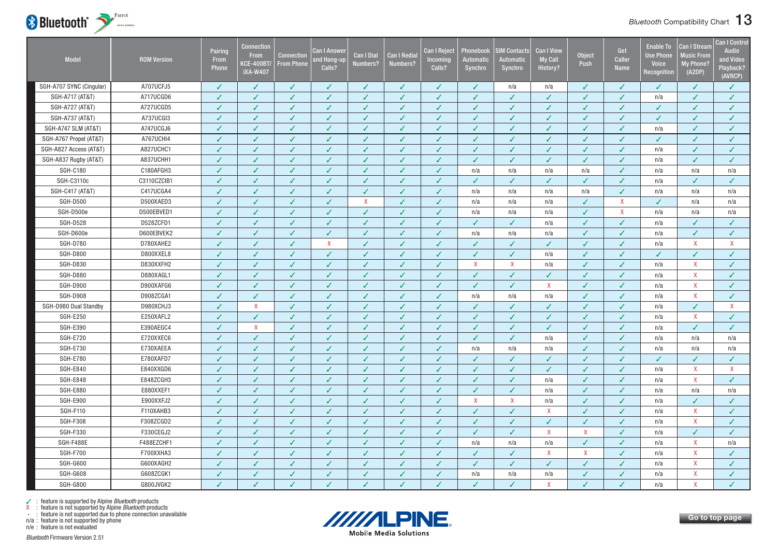

| <b>Model</b>             | <b>ROM Version</b> | Pairing<br>From<br><b>Phone</b> | Connection<br><b>From</b><br><b>CE-400BT</b><br><b>iXA-W407</b> | <b>Connection</b><br><b>From Phone</b> | <b>Can I Answer</b><br>and Hang-up<br>Calls? | <b>Can I Dial</b><br>Numbers? | <b>Can I Redial</b><br>Numbers? | <b>Can I Reject</b><br>Incoming<br>Calls? | Phonebook<br>Automatic<br>Synchro | <b>SIM Contacts</b><br><b>Automatic</b><br>Synchro | <b>Can I View</b><br><b>My Call</b><br>History? | <b>Object</b><br>Push     | Get<br>Caller<br><b>Name</b> | <b>Enable To</b><br><b>Use Phone</b><br><b>Voice</b><br>Recognition | <b>Can I Stream</b><br><b>Music From</b><br><b>My Phone?</b><br>(A2DP) | <b>Can I Control</b><br><b>Audio</b><br>and Video<br>Playback?<br>(AVRCP) |
|--------------------------|--------------------|---------------------------------|-----------------------------------------------------------------|----------------------------------------|----------------------------------------------|-------------------------------|---------------------------------|-------------------------------------------|-----------------------------------|----------------------------------------------------|-------------------------------------------------|---------------------------|------------------------------|---------------------------------------------------------------------|------------------------------------------------------------------------|---------------------------------------------------------------------------|
| SGH-A707 SYNC (Cingular) | A707UCFJ5          | J                               | $\checkmark$                                                    | ✓                                      | J                                            | ✓                             | ✓                               | ✓                                         | ✓                                 | n/a                                                | n/a                                             | J                         | $\checkmark$                 | ✓                                                                   | ✓                                                                      | ✓                                                                         |
| SGH-A717 (AT&T)          | A717UCGD6          | J                               | J                                                               | $\checkmark$                           | J                                            | $\checkmark$                  | $\overline{\mathcal{L}}$        | V                                         | V                                 | J                                                  | $\checkmark$                                    | $\overline{J}$            | J                            | n/a                                                                 | J                                                                      | $\checkmark$                                                              |
| SGH-A727 (AT&T)          | A727UCGD5          | $\checkmark$                    | ✓                                                               | ✓                                      | ✓                                            | $\checkmark$                  | $\checkmark$                    | $\checkmark$                              | ✓                                 | $\checkmark$                                       | ✓                                               | $\checkmark$              | $\checkmark$                 | ✓                                                                   | ✓                                                                      | $\checkmark$                                                              |
| SGH-A737 (AT&T)          | A737UCGI3          | $\overline{\mathcal{L}}$        | ✓                                                               | ✓                                      | ✓                                            |                               | J                               | $\checkmark$                              | ✓                                 | ✓                                                  | ✓                                               | J                         | $\sqrt{2}$                   | ✓                                                                   | ✓                                                                      | ✓                                                                         |
| SGH-A747 SLM (AT&T)      | A747UCGJ6          | J                               | J                                                               | J                                      | ✓                                            | ✓                             | J                               | $\checkmark$                              | ✓                                 | ✓                                                  | ✓                                               | J                         | $\overline{\mathcal{L}}$     | n/a                                                                 | ✓                                                                      | ✓                                                                         |
| SGH-A767 Propel (AT&T)   | A767UCHI4          | J                               | ℐ                                                               | ✓                                      | ✓                                            | ✓                             | ✓                               | $\sqrt{2}$                                | ✓                                 | ✓                                                  | ✓                                               | J                         | J                            | ✓                                                                   | ✓                                                                      | ✓                                                                         |
| SGH-A827 Access (AT&T)   | A827UCHC1          | $\checkmark$                    | $\checkmark$                                                    | $\checkmark$                           | ✓                                            | $\checkmark$                  | $\checkmark$                    | $\checkmark$                              | ✓                                 | ✓                                                  | ✓                                               | $\checkmark$              | $\checkmark$                 | n/a                                                                 | ✓                                                                      | $\checkmark$                                                              |
| SGH-A837 Rugby (AT&T)    | A837UCHH1          | J                               | $\checkmark$                                                    | $\checkmark$                           | J                                            | J                             | $\checkmark$                    | $\checkmark$                              | ✓                                 | J                                                  | J                                               | J                         | ✓                            | n/a                                                                 | J                                                                      | ✓                                                                         |
| <b>SGH-C180</b>          | C180AFGH3          | J                               | ✓                                                               | ✓                                      | ✓                                            | ✓                             | ✓                               | $\sqrt{2}$                                | n/a                               | n/a                                                | n/a                                             | n/a                       | ✓                            | n/a                                                                 | n/a                                                                    | n/a                                                                       |
| SGH-C3110c               | C3110CZCIB1        | $\checkmark$                    | $\checkmark$                                                    | ✓                                      | ✓                                            | ✓                             | $\checkmark$                    | $\checkmark$                              | ✓                                 | $\checkmark$                                       | ✓                                               | $\checkmark$              | $\checkmark$                 | n/a                                                                 | $\checkmark$                                                           | ✓                                                                         |
| SGH-C417 (AT&T)          | C417UCGA4          | J                               | $\checkmark$                                                    | $\checkmark$                           | ✓                                            | $\checkmark$                  | $\checkmark$                    | $\checkmark$                              | n/a                               | n/a                                                | n/a                                             | n/a                       | $\checkmark$                 | n/a                                                                 | n/a                                                                    | n/a                                                                       |
| <b>SGH-D500</b>          | D500XAED3          | $\checkmark$                    | $\checkmark$                                                    | $\checkmark$                           | ✓                                            | $\mathsf{X}$                  | $\checkmark$                    | $\checkmark$                              | n/a                               | n/a                                                | n/a                                             | $\checkmark$              | $\mathsf{X}$                 | $\checkmark$                                                        | n/a                                                                    | n/a                                                                       |
| SGH-D500e                | D500EBVED1         | J                               | ✓                                                               | ✓                                      | ✓                                            | $\checkmark$                  | ✓                               | $\checkmark$                              | n/a                               | n/a                                                | n/a                                             | ✓                         | $\mathsf{X}$                 | n/a                                                                 | n/a                                                                    | n/a                                                                       |
| <b>SGH-D528</b>          | D528ZCFD1          | J                               | ✓                                                               | $\checkmark$                           | ✓                                            | ✓                             | $\checkmark$                    | $\checkmark$                              | ✓                                 | ✓                                                  | n/a                                             | ✓                         | $\checkmark$                 | n/a                                                                 | ✓                                                                      | ✓                                                                         |
| SGH-D600e                | D600EBVEK2         | $\checkmark$                    | $\checkmark$                                                    | $\checkmark$                           | ✓                                            | $\checkmark$                  | $\checkmark$                    | $\checkmark$                              | n/a                               | n/a                                                | n/a                                             | $\checkmark$              | $\checkmark$                 | n/a                                                                 | ✓                                                                      | $\checkmark$                                                              |
| <b>SGH-D780</b>          | D780XAHE2          | J                               | ✓                                                               | ✓                                      | $\mathsf{X}$                                 | ✓                             | ✓                               | $\checkmark$                              | ✓                                 | ✓                                                  | ✓                                               | ✓                         | ✓                            | n/a                                                                 | X                                                                      | X                                                                         |
| <b>SGH-D800</b>          | D800XXEL8          | J                               | ℐ                                                               | ✓                                      | ✓                                            | ✓                             | ✓                               | ✓                                         | ✓                                 | ✓                                                  | n/a                                             | J                         | J                            | ℐ                                                                   | ✓                                                                      | ✓                                                                         |
| <b>SGH-D830</b>          | D830XXFH2          | ✓                               | $\checkmark$                                                    | ✓                                      | ✓                                            | $\checkmark$                  | $\checkmark$                    | $\checkmark$                              | X                                 | $\mathsf{X}$                                       | n/a                                             | ✓                         | $\checkmark$                 | n/a                                                                 | $\mathsf{X}$                                                           | $\checkmark$                                                              |
| <b>SGH-D880</b>          | D880XAGL1          | ✓                               | $\checkmark$                                                    | ✓                                      | ✓                                            | $\checkmark$                  | $\checkmark$                    | $\checkmark$                              | ✓                                 | ✓                                                  | ✓                                               | $\checkmark$              | $\checkmark$                 | n/a                                                                 | X                                                                      | ✓                                                                         |
| <b>SGH-D900</b>          | D900XAFG6          | J                               | ✓                                                               | ✓                                      | ✓                                            | ✓                             | ✓                               | $\checkmark$                              | ✓                                 | ✓                                                  | X                                               | ✓                         | $\checkmark$                 | n/a                                                                 | X                                                                      | $\checkmark$                                                              |
| <b>SGH-D908</b>          | D908ZCGA1          | ✓                               | $\checkmark$                                                    | ✓                                      | ✓                                            | ✓                             | ✓                               | ✓                                         | n/a                               | n/a                                                | n/a                                             | ✓                         | ✓                            | n/a                                                                 | $\mathsf{X}$                                                           | ✓                                                                         |
| SGH-D980 Dual Standby    | D980XCHJ3          | $\checkmark$                    | $\mathsf{X}$                                                    | ✓                                      | ✓                                            | $\checkmark$                  | $\checkmark$                    | $\checkmark$                              | ✓                                 | ✓                                                  | ✓                                               | $\checkmark$              | $\checkmark$                 | n/a                                                                 | $\checkmark$                                                           | X                                                                         |
| <b>SGH-E250</b>          | E250XAFL2          | $\checkmark$                    | $\checkmark$                                                    | ✓                                      | ✓                                            | $\checkmark$                  | $\checkmark$                    | $\checkmark$                              | ✓                                 | ✓                                                  | ✓                                               | $\checkmark$              | $\checkmark$                 | n/a                                                                 | X                                                                      | $\checkmark$                                                              |
| <b>SGH-E390</b>          | E390AEGC4          | J                               | $\mathsf{X}$                                                    | ✓                                      | ✓                                            | ✓                             | ✓                               | ✓                                         | ✓                                 | ✓                                                  | ✓                                               | ✓                         | ✓                            | n/a                                                                 | ✓                                                                      | ✓                                                                         |
| <b>SGH-E720</b>          | E720XXEC6          | J                               | $\sqrt{2}$                                                      | ✓                                      | ✓                                            | ✓                             | ✓                               | ✓                                         | ✓                                 | ✓                                                  | n/a                                             | J                         | J                            | n/a                                                                 | n/a                                                                    | n/a                                                                       |
| <b>SGH-E730</b>          | E730XAEEA          | $\checkmark$                    | ✓                                                               | $\checkmark$                           | ✓                                            | $\checkmark$                  | $\checkmark$                    | $\checkmark$                              | n/a                               | n/a                                                | n/a                                             | $\checkmark$              | $\checkmark$                 | n/a                                                                 | n/a                                                                    | n/a                                                                       |
| <b>SGH-E780</b>          | E780XAFD7          | J                               | J                                                               | ✓                                      | J                                            | ✓                             | $\checkmark$                    | $\checkmark$                              | ✓                                 | ✓                                                  |                                                 | J                         | J                            | ✓                                                                   | ✓                                                                      | $\sqrt{2}$                                                                |
| <b>SGH-E840</b>          | E840XXGD6          | J                               | ✓                                                               | ✓                                      | ✓                                            | ✓                             | ✓                               | $\checkmark$                              | ✓                                 | ✓                                                  | ✓                                               | J                         | ✓                            | n/a                                                                 | X                                                                      | X                                                                         |
| <b>SGH-E848</b>          | E848ZCGH3          | J                               | J                                                               | ✓                                      | ✓                                            | $\checkmark$                  | $\checkmark$                    | $\checkmark$                              | ✓                                 | ✓                                                  | n/a                                             | $\checkmark$              | J                            | n/a                                                                 | X                                                                      | $\checkmark$                                                              |
| <b>SGH-E880</b>          | E880XXEF1          | $\checkmark$                    | ✓                                                               | ✓                                      | $\checkmark$                                 | $\checkmark$                  | $\checkmark$                    | ✓                                         | $\checkmark$                      | $\checkmark$                                       | n/a                                             | J                         | J                            | n/a                                                                 | n/a                                                                    | n/a                                                                       |
| <b>SGH-E900</b>          | E900XXFJ2          | $\checkmark$                    | $\checkmark$                                                    | ✓                                      | ✓                                            | $\checkmark$                  | $\checkmark$                    | $\checkmark$                              | X                                 | $\mathsf{X}$                                       | n/a                                             | $\checkmark$              | $\checkmark$                 | n/a                                                                 | ✓                                                                      | ✓                                                                         |
| <b>SGH-F110</b>          | F110XAHB3          | ✓                               | J                                                               | ✓                                      | ✓                                            | $\checkmark$                  | ✓                               | ✓                                         | ✓                                 | ✓                                                  | X                                               | J                         | J                            | n/a                                                                 | X                                                                      | ✓                                                                         |
| <b>SGH-F308</b>          | F308ZCGD2          |                                 | J                                                               | ✓                                      | J                                            |                               | J                               | J                                         | ✓                                 | ✓                                                  |                                                 |                           | J                            | n/a                                                                 | $\mathsf{X}$                                                           | ✓                                                                         |
| <b>SGH-F330</b>          | F330CEGJ2          | J                               | ℐ                                                               | ✓                                      | ✓                                            | $\checkmark$                  | $\checkmark$                    | ✓                                         | ✓                                 | ✓                                                  | X                                               | $\boldsymbol{\mathsf{X}}$ | J                            | n/a                                                                 | ✓                                                                      | ✓                                                                         |
| SGH-F488E                | F488EZCHF1         | $\checkmark$                    | ✓                                                               | ✓                                      | ✓                                            |                               | $\checkmark$                    | $\checkmark$                              | n/a                               | n/a                                                | n/a                                             | $\checkmark$              | $\checkmark$                 | n/a                                                                 | X                                                                      | n/a                                                                       |
| <b>SGH-F700</b>          | F700XXHA3          | J                               | $\sqrt{2}$                                                      | ✓                                      | ✓                                            | $\checkmark$                  | $\checkmark$                    | $\checkmark$                              | ✓                                 | ✓                                                  | X                                               | $\boldsymbol{\mathsf{X}}$ | J                            | n/a                                                                 | $\mathsf{X}$                                                           | $\checkmark$                                                              |
| SGH-G600                 | G600XAGH2          | ✓                               | J                                                               | ✓                                      | ✓                                            | ✓                             | $\checkmark$                    | ✓                                         | ✓                                 | ✓                                                  | ✓                                               | J                         | J                            | n/a                                                                 | X                                                                      | ✓                                                                         |
| <b>SGH-G608</b>          | G608ZCGK1          | ✓                               | ✓                                                               | ✓                                      | $\checkmark$                                 | $\checkmark$                  | ✓                               | ✓                                         | n/a                               | n/a                                                | n/a                                             | J                         | ✓                            | n/a                                                                 | $\mathsf{X}$                                                           | $\checkmark$                                                              |
| <b>SGH-G800</b>          | G800JVGK2          |                                 | J                                                               | ✓                                      | J                                            |                               | J                               | V                                         | J                                 | ✓                                                  | $\mathbf{x}$                                    |                           | $\sqrt{2}$                   | n/a                                                                 | $\mathsf{x}$                                                           |                                                                           |



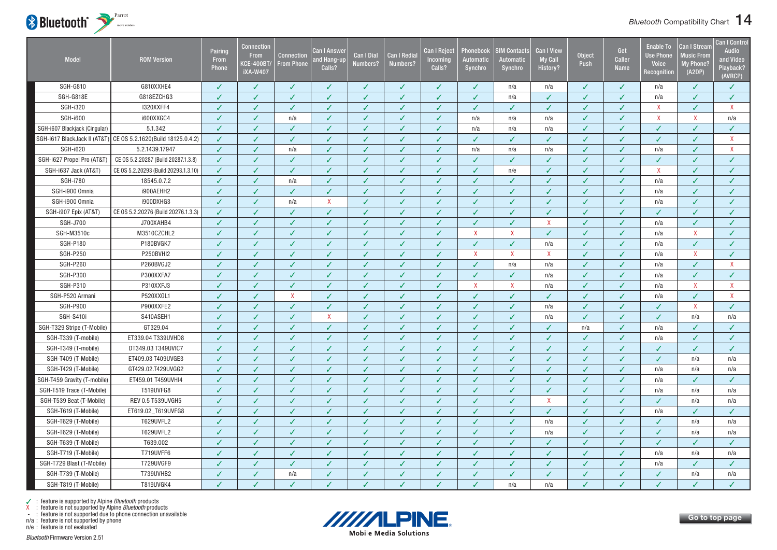

| Model                         | <b>ROM Version</b>                                             | Pairing<br>From<br>Phone | Connection<br><b>From</b><br><b>KCE-400BT/</b><br><b>iXA-W407</b> | <b>Connection</b><br><b>From Phone</b> | Can I Answei<br>and Hang-up<br>Calls? | <b>Can I Dial</b><br>Numbers? | <b>Can I Redia</b><br>Numbers? | <b>Can I Reject</b><br><b>Incoming</b><br>Calls? | Phonebook<br>Automatic<br>Synchro | <b>SIM Contacts</b><br><b>Automatic</b><br>Synchro | <b>Can I View</b><br><b>My Call</b><br><b>History?</b> | <b>Object</b><br>Push    | Get<br>Caller<br><b>Name</b> | <b>Enable To</b><br><b>Use Phone</b><br><b>Voice</b><br>Recognition | Can I Stream<br><b>Music From</b><br>My Phone?<br>(A2DP) | <b>Can I Control</b><br><b>Audio</b><br>and Video<br>Playback?<br>(AVRCP) |
|-------------------------------|----------------------------------------------------------------|--------------------------|-------------------------------------------------------------------|----------------------------------------|---------------------------------------|-------------------------------|--------------------------------|--------------------------------------------------|-----------------------------------|----------------------------------------------------|--------------------------------------------------------|--------------------------|------------------------------|---------------------------------------------------------------------|----------------------------------------------------------|---------------------------------------------------------------------------|
| SGH-G810                      | G810XXHE4                                                      | √                        | ✓                                                                 | ✓                                      | ✓                                     | ✓                             | ✓                              | ✓                                                | ✓                                 | n/a                                                | n/a                                                    | ✓                        | ✓                            | n/a                                                                 | $\checkmark$                                             | ✓                                                                         |
| <b>SGH-G818E</b>              | G818EZCHG3                                                     | ✓                        | ✓                                                                 | ✓                                      | ✓                                     | $\checkmark$                  | $\checkmark$                   | ✓                                                | $\checkmark$                      | n/a                                                | $\checkmark$                                           | ✓                        | J                            | n/a                                                                 | ✓                                                        | ✓                                                                         |
| <b>SGH-i320</b>               | I320XXFF4                                                      | ✓                        | $\checkmark$                                                      | $\checkmark$                           | $\checkmark$                          | $\checkmark$                  | $\checkmark$                   | $\checkmark$                                     | $\checkmark$                      | ✓                                                  | $\checkmark$                                           | ✓                        | ✓                            | $\mathsf{X}$                                                        | $\checkmark$                                             | $\mathsf{X}$                                                              |
| <b>SGH-i600</b>               | i600XXGC4                                                      | ✓                        | $\checkmark$                                                      | n/a                                    | ✓                                     | ✓                             | $\checkmark$                   | $\checkmark$                                     | n/a                               | n/a                                                | n/a                                                    | ✓                        | ✓                            | X                                                                   | X                                                        | n/a                                                                       |
| SGH-i607 Blackjack (Cingular) | 5.1.342                                                        |                          | ✓                                                                 | ✓                                      | ✓                                     | ✓                             | ✓                              | ✓                                                | n/a                               | n/a                                                | n/a                                                    | J                        | J                            | ✓                                                                   | ✓                                                        | ✓                                                                         |
|                               | SGH-i617 BlackJack II (AT&T) CE OS 5.2.1620(Build 18125.0.4.2) | $\checkmark$             | ✓                                                                 | J                                      | ✓                                     | $\checkmark$                  | $\checkmark$                   | ✓                                                | $\checkmark$                      | $\checkmark$                                       | ✓                                                      | J                        | J                            | ✓                                                                   | $\checkmark$                                             | $\mathsf{X}$                                                              |
| <b>SGH-i620</b>               | 5.2.1439.17947                                                 | $\checkmark$             | ✓                                                                 | n/a                                    | $\checkmark$                          | $\checkmark$                  | $\checkmark$                   | ✓                                                | n/a                               | n/a                                                | n/a                                                    | J                        | ✓                            | n/a                                                                 | $\checkmark$                                             | $\mathsf{X}$                                                              |
| SGH-i627 Propel Pro (AT&T)    | CE 0S 5.2.20287 (Build 20287.1.3.8)                            | $\checkmark$             | $\checkmark$                                                      | ✓                                      | ✓                                     | $\checkmark$                  | $\checkmark$                   | $\checkmark$                                     | $\checkmark$                      | $\checkmark$                                       | $\checkmark$                                           | $\checkmark$             | $\checkmark$                 | $\checkmark$                                                        | $\checkmark$                                             | $\checkmark$                                                              |
| SGH-i637 Jack (AT&T)          | CE 0S 5.2.20293 (Build 20293.1.3.10)                           |                          | ✓                                                                 | ✓                                      | ✓                                     | ✓                             | ✓                              | ✓                                                | $\checkmark$                      | n/e                                                | $\checkmark$                                           | J                        | ✓                            | $\mathsf{X}$                                                        | $\checkmark$                                             | $\checkmark$                                                              |
| <b>SGH-i780</b>               | 18545.0.7.2                                                    |                          | √                                                                 | n/a                                    | ✓                                     |                               |                                | J                                                | ✓                                 | ✓                                                  |                                                        |                          | J                            | n/a                                                                 | J                                                        |                                                                           |
| SGH-i900 Omnia                | i900AEHH2                                                      | $\checkmark$             | $\checkmark$                                                      | ✓                                      | $\checkmark$                          | $\checkmark$                  | $\checkmark$                   | $\checkmark$                                     | $\checkmark$                      | $\checkmark$                                       | $\checkmark$                                           | $\checkmark$             | J                            | n/a                                                                 | $\checkmark$                                             | $\checkmark$                                                              |
| SGH-i900 Omnia                | i900DXHG3                                                      |                          | ✓                                                                 | n/a                                    | $\mathsf{X}$                          |                               | $\checkmark$                   | ✓                                                | $\checkmark$                      | ✓                                                  | ✓                                                      | J                        | ✓                            | n/a                                                                 | ✓                                                        | ✓                                                                         |
| SGH-i907 Epix (AT&T)          | CE 0S 5.2.20276 (Build 20276.1.3.3)                            | J                        | ✓                                                                 | ✓                                      | $\checkmark$                          | ✓                             | ✓                              | ✓                                                | $\checkmark$                      | ✓                                                  | $\checkmark$                                           | J                        | ✓                            | ✓                                                                   | ✓                                                        | ✓                                                                         |
| SGH-J700                      | J700XAHB4                                                      | J                        | $\checkmark$                                                      | ✓                                      | J                                     |                               | $\checkmark$                   | $\checkmark$                                     | $\checkmark$                      | $\checkmark$                                       | $\boldsymbol{X}$                                       | J                        | J                            | n/a                                                                 | $\checkmark$                                             | $\checkmark$                                                              |
| SGH-M3510c                    | M3510CZCHL2                                                    | $\checkmark$             | $\sqrt{2}$                                                        | ✓                                      | $\checkmark$                          | $\checkmark$                  | $\checkmark$                   | $\checkmark$                                     | $\mathsf{X}$                      | $\mathsf{X}$                                       | $\checkmark$                                           | ✓                        | ✓                            | n/a                                                                 | $\mathsf{X}$                                             | $\checkmark$                                                              |
| <b>SGH-P180</b>               | P180BVGK7                                                      | J                        | ✓                                                                 | ✓                                      | ✓                                     |                               | $\checkmark$                   | $\checkmark$                                     | $\checkmark$                      | $\checkmark$                                       | n/a                                                    | J                        | J                            | n/a                                                                 | $\checkmark$                                             | ✓                                                                         |
| <b>SGH-P250</b>               | P250BVHI2                                                      |                          | ✓                                                                 | ✓                                      | ✓                                     | ✓                             | J                              | ✓                                                | $\mathsf{X}$                      | $\mathsf{X}$                                       | $\mathsf{X}$                                           | J                        | J                            | n/a                                                                 | $\mathsf{X}$                                             | ✓                                                                         |
| <b>SGH-P260</b>               | P260BVGJ2                                                      |                          | $\sqrt{2}$                                                        | J                                      | J                                     |                               | $\overline{\mathcal{L}}$       | ✓                                                | $\checkmark$                      | n/a                                                | n/a                                                    | J                        | J                            | n/a                                                                 | $\checkmark$                                             | $\mathsf{X}$                                                              |
| <b>SGH-P300</b>               | P300XXFA7                                                      | J                        | $\checkmark$                                                      | J                                      | ✓                                     | $\checkmark$                  | $\checkmark$                   | $\checkmark$                                     | $\checkmark$                      | $\checkmark$                                       | n/a                                                    | $\checkmark$             | ✓                            | n/a                                                                 | $\checkmark$                                             | $\checkmark$                                                              |
| SGH-P310                      | P310XXFJ3                                                      |                          | ✓                                                                 | ✓                                      | ✓                                     |                               | J                              | $\checkmark$                                     | $\mathsf{X}$                      | X                                                  | n/a                                                    | J                        | J                            | n/a                                                                 | $\mathsf{X}$                                             | $\mathsf{X}$                                                              |
| SGH-P520 Armani               | P520XXGL1                                                      | J                        | J                                                                 | $\mathsf{X}$                           | ✓                                     | ✓                             | $\checkmark$                   | ✓                                                | $\checkmark$                      | $\checkmark$                                       | $\checkmark$                                           | J                        | J                            | n/a                                                                 | $\checkmark$                                             | $\mathsf{X}$                                                              |
| <b>SGH-P900</b>               | P900XXFE2                                                      |                          | J                                                                 | ✓                                      | J                                     |                               | J                              | J                                                | J                                 | ✓                                                  | n/a                                                    |                          | ℐ                            | J                                                                   | $\mathsf{X}$                                             | ✓                                                                         |
| SGH-S410i                     | S410ASEH1                                                      | $\checkmark$             | $\checkmark$                                                      | ✓                                      | $\mathsf{X}$                          | $\checkmark$                  | $\checkmark$                   | $\sqrt{2}$                                       | $\checkmark$                      | $\checkmark$                                       | n/a                                                    | $\checkmark$             | ✓                            | $\checkmark$                                                        | n/a                                                      | n/a                                                                       |
| SGH-T329 Stripe (T-Mobile)    | GT329.04                                                       | J                        | ✓                                                                 | ✓                                      | ✓                                     | ✓                             | $\checkmark$                   | $\checkmark$                                     | $\checkmark$                      | $\checkmark$                                       | ✓                                                      | n/a                      | ✓                            | n/a                                                                 | $\checkmark$                                             | ✓                                                                         |
| SGH-T339 (T-mobile)           | ET339.04 T339UVHD8                                             | J                        | ✓                                                                 | ✓                                      | ✓                                     | ✓                             | ✓                              | ✓                                                | ✓                                 | ✓                                                  | ✓                                                      | J                        | ✓                            | n/a                                                                 | ✓                                                        | ✓                                                                         |
| SGH-T349 (T-mobile)           | DT349.03 T349UVIC7                                             | ✓                        | $\checkmark$                                                      | ✓                                      | $\checkmark$                          | ✓                             | $\checkmark$                   | $\checkmark$                                     | $\checkmark$                      | ✓                                                  | $\checkmark$                                           | ✓                        | ✓                            | ✓                                                                   | $\checkmark$                                             | $\checkmark$                                                              |
| SGH-T409 (T-Mobile)           | ET409.03 T409UVGE3                                             | $\checkmark$             | $\checkmark$                                                      | ✓                                      | ✓                                     | $\checkmark$                  | $\checkmark$                   | $\checkmark$                                     | $\checkmark$                      | ✓                                                  | $\checkmark$                                           | ✓                        | ✓                            | $\checkmark$                                                        | n/a                                                      | n/a                                                                       |
| SGH-T429 (T-Mobile)           | GT429.02.T429UVGG2                                             | √                        | ✓                                                                 | ✓                                      | ✓                                     | ✓                             | $\checkmark$                   | $\checkmark$                                     | $\checkmark$                      | ✓                                                  | $\checkmark$                                           | J                        | ✓                            | n/a                                                                 | n/a                                                      | n/a                                                                       |
| SGH-T459 Gravity (T-mobile)   | ET459.01 T459UVHI4                                             | J                        | J                                                                 | ✓                                      | J                                     | ✓                             | J                              | J                                                | ✓                                 | ✓                                                  | ✓                                                      | $\overline{\mathcal{L}}$ | J                            | n/a                                                                 | $\checkmark$                                             | J                                                                         |
| SGH-T519 Trace (T-Mobile)     | T519UVFG8                                                      | ✓                        | $\checkmark$                                                      | ✓                                      | ✓                                     | $\checkmark$                  | $\checkmark$                   | ✓                                                | $\checkmark$                      | ✓                                                  | $\checkmark$                                           | ✓                        | ✓                            | n/a                                                                 | n/a                                                      | n/a                                                                       |
| SGH-T539 Beat (T-Mobile)      | <b>REV 0.5 T539UVGH5</b>                                       | $\checkmark$             | ✓                                                                 | ✓                                      | ✓                                     | ✓                             | $\checkmark$                   | $\checkmark$                                     | $\checkmark$                      | ✓                                                  | $\boldsymbol{\mathsf{X}}$                              | J                        | J                            | $\checkmark$                                                        | n/a                                                      | n/a                                                                       |
| SGH-T619 (T-Mobile)           | ET619.02_T619UVFG8                                             | J                        | ✓                                                                 | ✓                                      | ✓                                     | ✓                             | ✓                              | ✓                                                | $\checkmark$                      | ✓                                                  | $\checkmark$                                           | J                        | J                            | n/a                                                                 | ✓                                                        | ✓                                                                         |
| SGH-T629 (T-Mobile)           | T629UVFL2                                                      | √                        | ✓                                                                 | ✓                                      | ✓                                     | ✓                             | $\checkmark$                   | ✓                                                | $\checkmark$                      | $\checkmark$                                       | n/a                                                    | J                        | J                            | $\checkmark$                                                        | n/a                                                      | n/a                                                                       |
| SGH-T629 (T-Mobile)           | T629UVFL2                                                      |                          | J                                                                 | J                                      | V                                     | $\checkmark$                  | $\checkmark$                   | ✓                                                | $\checkmark$                      | $\checkmark$                                       | n/a                                                    | J                        | J                            | J                                                                   | n/a                                                      | n/a                                                                       |
| SGH-T639 (T-Mobile)           | T639.002                                                       | ✓                        | ✓                                                                 | ✓                                      | ✓                                     | $\checkmark$                  | $\checkmark$                   | $\checkmark$                                     | $\checkmark$                      | $\checkmark$                                       | ✓                                                      | J                        | ✓                            | $\checkmark$                                                        | $\checkmark$                                             | $\checkmark$                                                              |
| SGH-T719 (T-Mobile)           | T719UVFF6                                                      |                          | √                                                                 | ✓                                      | ✓                                     | $\checkmark$                  | $\checkmark$                   | ✓                                                | $\checkmark$                      | $\checkmark$                                       | $\checkmark$                                           | J                        | J                            | n/a                                                                 | n/a                                                      | n/a                                                                       |
| SGH-T729 Blast (T-Mobile)     | T729UVGF9                                                      |                          | J                                                                 | ✓                                      | ✓                                     |                               | ✓                              | ✓                                                | $\checkmark$                      | $\checkmark$                                       |                                                        |                          | J                            | n/a                                                                 | $\checkmark$                                             | ✓                                                                         |
| SGH-T739 (T-Mobile)           | T739UVHB2                                                      | ✓                        | $\checkmark$                                                      | n/a                                    | $\checkmark$                          | $\checkmark$                  | $\checkmark$                   | $\checkmark$                                     | $\checkmark$                      | $\checkmark$                                       | $\checkmark$                                           | ✓                        | ✓                            | $\checkmark$                                                        | n/a                                                      | n/a                                                                       |
| SGH-T819 (T-Mobile)           | T819UVGK4                                                      |                          | $\checkmark$                                                      | ✓                                      | ✓                                     |                               | J                              | J                                                | J                                 | n/a                                                | n/a                                                    | J                        | J                            | J                                                                   | J                                                        | $\checkmark$                                                              |



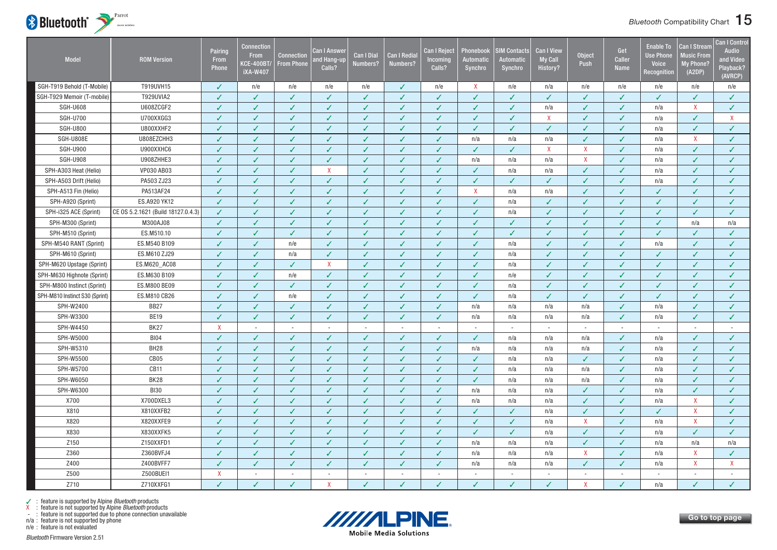

| <b>Model</b>                   | <b>ROM Version</b>                 | Pairing<br>From<br>Phone | Connection<br><b>From</b><br><b>KCE-400BT/</b><br><b>iXA-W407</b> | Connection<br><b>From Phone</b> | Can I Answer<br><b>nd Hang-up</b><br>Calls? | <b>Can I Dial</b><br>Numbers? | Can I Redia<br>Numbers?  | <b>Can I Reject</b><br>Incoming<br>Calls? | Phonebook<br><b>Automatic</b><br>Synchro | <b>SIM Contacts</b><br><b>Automatic</b><br>Synchro | <b>Can I View</b><br><b>My Call</b><br>History? | Object<br>Push            | Get<br><b>Caller</b><br><b>Name</b> | <b>Enable To</b><br><b>Use Phone</b><br><b>Voice</b><br>Recognition | <b>Can I Strean</b><br><b>Music From</b><br>My Phone?<br>(A2DP) | <b>Can I Control</b><br><b>Audio</b><br>and Video<br>Playback?<br>(AVRCP) |
|--------------------------------|------------------------------------|--------------------------|-------------------------------------------------------------------|---------------------------------|---------------------------------------------|-------------------------------|--------------------------|-------------------------------------------|------------------------------------------|----------------------------------------------------|-------------------------------------------------|---------------------------|-------------------------------------|---------------------------------------------------------------------|-----------------------------------------------------------------|---------------------------------------------------------------------------|
| SGH-T919 Behold (T-Mobile)     | T919UVH15                          | ✓                        | n/e                                                               | n/e                             | n/e                                         | n/e                           | J                        | n/e                                       | X                                        | n/e                                                | n/a                                             | n/e                       | n/e                                 | n/e                                                                 | n/e                                                             | n/e                                                                       |
| SGH-T929 Memoir (T-mobile)     | <b>T929UVIA2</b>                   | J                        | $\overline{\mathcal{L}}$                                          | $\checkmark$                    | $\checkmark$                                | ✓                             | $\checkmark$             | ✓                                         | V                                        | $\checkmark$                                       | $\checkmark$                                    | $\checkmark$              | $\checkmark$                        | $\checkmark$                                                        | ✓                                                               | $\checkmark$                                                              |
| <b>SGH-U608</b>                | U608ZCGF2                          | J                        | $\checkmark$                                                      | $\checkmark$                    | $\checkmark$                                | $\checkmark$                  | $\checkmark$             | $\checkmark$                              | ✓                                        | $\checkmark$                                       | n/a                                             | $\overline{\mathcal{L}}$  | $\checkmark$                        | n/a                                                                 | $\mathsf{X}$                                                    | $\checkmark$                                                              |
| <b>SGH-U700</b>                | U700XXGG3                          | ✓                        | $\checkmark$                                                      | ✓                               | ✓                                           | ✓                             | J                        | $\checkmark$                              | ✓                                        | ✓                                                  | X                                               | J                         | ✓                                   | n/a                                                                 | ✓                                                               | $\boldsymbol{\mathsf{X}}$                                                 |
| <b>SGH-U800</b>                | U800XXHF2                          | J                        | J                                                                 | ✓                               | $\checkmark$                                | ✓                             | J                        | ✓                                         | ✓                                        | V                                                  | ✓                                               | J                         | J                                   | n/a                                                                 | ✓                                                               | $\checkmark$                                                              |
| SGH-U808E                      | U808EZCHH3                         | J                        | ✓                                                                 | ✓                               | ✓                                           | ✓                             | ✓                        | ✓                                         | n/a                                      | n/a                                                | n/a                                             | $\checkmark$              | ✓                                   | n/a                                                                 | X                                                               | $\checkmark$                                                              |
| <b>SGH-U900</b>                | U900XXHC6                          | J                        | $\checkmark$                                                      | $\checkmark$                    | $\checkmark$                                | $\checkmark$                  | $\checkmark$             | $\checkmark$                              | ✓                                        | ✓                                                  | $\mathsf{X}$                                    | $\mathsf{X}$              | $\checkmark$                        | n/a                                                                 | ✓                                                               | $\checkmark$                                                              |
| <b>SGH-U908</b>                | U908ZHHE3                          | ✓                        | $\checkmark$                                                      | $\checkmark$                    | $\checkmark$                                | ✓                             | ✓                        | $\sqrt{2}$                                | n/a                                      | n/a                                                | n/a                                             | $\boldsymbol{\mathsf{X}}$ | ✓                                   | n/a                                                                 | ✓                                                               | $\checkmark$                                                              |
| SPH-A303 Heat (Helio)          | VP030 AB03                         | ✓                        | $\checkmark$                                                      | $\checkmark$                    | $\mathsf{X}$                                | ✓                             | ✓                        | $\checkmark$                              | ✓                                        | n/a                                                | n/a                                             | $\checkmark$              | ✓                                   | n/a                                                                 | ✓                                                               | $\checkmark$                                                              |
| SPH-A503 Drift (Helio)         | PA503 ZJ23                         | J                        | $\checkmark$                                                      | $\checkmark$                    | $\checkmark$                                | $\checkmark$                  | $\checkmark$             | $\checkmark$                              | ✓                                        | $\checkmark$                                       | ✓                                               | $\checkmark$              | $\checkmark$                        | n/a                                                                 | ✓                                                               | $\checkmark$                                                              |
| SPH-A513 Fin (Helio)           | PA513AF24                          | ✓                        | $\checkmark$                                                      | $\checkmark$                    | ✓                                           | ✓                             | ✓                        | $\checkmark$                              | $\mathsf{X}$                             | n/a                                                | n/a                                             | $\checkmark$              | $\checkmark$                        | ✓                                                                   | ✓                                                               | $\checkmark$                                                              |
| SPH-A920 (Sprint)              | ES.A920 YK12                       | J                        | $\checkmark$                                                      | ✓                               | $\checkmark$                                | ✓                             | ✓                        | $\checkmark$                              | $\checkmark$                             | n/a                                                | $\checkmark$                                    | ✓                         | ✓                                   | ✓                                                                   | ✓                                                               | $\checkmark$                                                              |
| SPH-i325 ACE (Sprint)          | CE 0S 5.2.1621 (Build 18127.0.4.3) | ✓                        | J                                                                 | ✓                               | ✓                                           | ✓                             | ✓                        | ✓                                         | ✓                                        | n/a                                                | ✓                                               | J                         | J                                   | ✓                                                                   | ✓                                                               | $\checkmark$                                                              |
| SPH-M300 (Sprint)              | M300AJ08                           | ✓                        | $\checkmark$                                                      | $\checkmark$                    | $\checkmark$                                | ✓                             | $\checkmark$             | $\checkmark$                              | ✓                                        | ✓                                                  | $\checkmark$                                    | $\checkmark$              | ✓                                   | ✓                                                                   | n/a                                                             | n/a                                                                       |
| SPH-M510 (Sprint)              | ES.M510.10                         | ✓                        | $\checkmark$                                                      | $\checkmark$                    | ✓                                           | ✓                             | J                        | $\checkmark$                              | ✓                                        | $\checkmark$                                       | ✓                                               | $\checkmark$              | ✓                                   | ✓                                                                   | ✓                                                               | $\checkmark$                                                              |
| SPH-M540 RANT (Sprint)         | ES.M540 B109                       | J                        | $\checkmark$                                                      | n/e                             | $\checkmark$                                | ✓                             | J                        | $\checkmark$                              | ✓                                        | n/a                                                | ✓                                               | J                         | ✓                                   | n/a                                                                 | ✓                                                               | $\checkmark$                                                              |
| SPH-M610 (Sprint)              | ES.M610 ZJ29                       | J                        | $\checkmark$                                                      | n/a                             | ✓                                           |                               | J                        | $\checkmark$                              | ✓                                        | n/a                                                | ✓                                               | J                         | J                                   | ✓                                                                   | ✓                                                               | $\checkmark$                                                              |
| SPH-M620 Upstage (Sprint)      | ES.M620_AC08                       |                          | J                                                                 | ✓                               | $\mathsf{X}$                                | ✓                             | $\checkmark$             | ✓                                         | ✓                                        | n/a                                                | ✓                                               |                           | J                                   | ✓                                                                   | ✓                                                               | $\checkmark$                                                              |
| SPH-M630 Highnote (Sprint)     | ES.M630 B109                       | ✓                        | $\checkmark$                                                      | n/e                             | $\checkmark$                                | $\checkmark$                  | $\checkmark$             | $\checkmark$                              | $\checkmark$                             | n/e                                                | $\checkmark$                                    | $\checkmark$              | $\checkmark$                        | ✓                                                                   | ✓                                                               | $\checkmark$                                                              |
| SPH-M800 Instinct (Sprint)     | ES.M800 BE09                       |                          | ✓                                                                 | ✓                               | ✓                                           | ✓                             | ✓                        | $\checkmark$                              | ✓                                        | n/a                                                | ✓                                               |                           | ✓                                   | ✓                                                                   | ✓                                                               | ✓                                                                         |
| SPH-M810 Instinct S30 (Sprint) | ES.M810 CB26                       |                          | J                                                                 | n/e                             | ✓                                           | ✓                             | J                        | $\checkmark$                              | ✓                                        | n/a                                                | ✓                                               | ✓                         | $\checkmark$                        | ✓                                                                   | ✓                                                               | $\checkmark$                                                              |
| SPH-W2400                      | <b>BB27</b>                        | J                        | $\checkmark$                                                      | $\checkmark$                    | $\checkmark$                                | $\checkmark$                  | $\checkmark$             | $\checkmark$                              | n/a                                      | n/a                                                | n/a                                             | n/a                       | $\checkmark$                        | n/a                                                                 | $\checkmark$                                                    | $\checkmark$                                                              |
| SPH-W3300                      | <b>BE19</b>                        | ✓                        | $\checkmark$                                                      | $\checkmark$                    | $\checkmark$                                | ✓                             | $\checkmark$             | $\checkmark$                              | n/a                                      | n/a                                                | n/a                                             | n/a                       | $\sqrt{2}$                          | n/a                                                                 | ✓                                                               | $\checkmark$                                                              |
| SPH-W4450                      | BK27                               | $\mathsf{X}$             | $\sim$                                                            | $\sim$                          | $\sim$                                      | $\sim$                        | $\sim$                   | $\sim$                                    | $\sim$                                   | $\sim$                                             | $\sim$                                          | $\sim$                    | $\sim$                              | $\sim$                                                              | $\sim$                                                          | $\sim$                                                                    |
| SPH-W5000                      | <b>BI04</b>                        |                          | J                                                                 | ✓                               | J                                           | J                             | J                        | ✓                                         | ✓                                        | n/a                                                | n/a                                             | n/a                       | ✓                                   | n/a                                                                 | J                                                               | J                                                                         |
| SPH-W5310                      | BH <sub>28</sub>                   | J                        | $\checkmark$                                                      | $\checkmark$                    | $\checkmark$                                | $\checkmark$                  | ✓                        | $\checkmark$                              | n/a                                      | n/a                                                | n/a                                             | n/a                       | $\checkmark$                        | n/a                                                                 | ✓                                                               | $\checkmark$                                                              |
| SPH-W5500                      | CB <sub>05</sub>                   |                          | $\checkmark$                                                      | ✓                               | ✓                                           | ✓                             | J                        | $\checkmark$                              | ✓                                        | n/a                                                | n/a                                             | $\checkmark$              | ✓                                   | n/a                                                                 | ✓                                                               | ✓                                                                         |
| SPH-W5700                      | <b>CB11</b>                        | J                        | $\checkmark$                                                      | $\checkmark$                    | $\checkmark$                                | ✓                             | J                        | $\checkmark$                              | ✓                                        | n/a                                                | n/a                                             | n/a                       | ✓                                   | n/a                                                                 | ✓                                                               | $\checkmark$                                                              |
| SPH-W6050                      | <b>BK28</b>                        | ✓                        | $\checkmark$                                                      | ✓                               | $\checkmark$                                | ✓                             | ✓                        | $\checkmark$                              | $\checkmark$                             | n/a                                                | n/a                                             | n/a                       | ✓                                   | n/a                                                                 | ✓                                                               | $\checkmark$                                                              |
| SPH-W6300                      | <b>BI30</b>                        | ✓                        | $\checkmark$                                                      | $\checkmark$                    | $\checkmark$                                | ✓                             | ✓                        | $\checkmark$                              | n/a                                      | n/a                                                | n/a                                             | $\checkmark$              | ✓                                   | n/a                                                                 | ✓                                                               | $\checkmark$                                                              |
| X700                           | X700DXEL3                          | ✓                        | $\checkmark$                                                      | $\checkmark$                    | $\checkmark$                                | ✓                             | $\checkmark$             | $\checkmark$                              | n/a                                      | n/a                                                | n/a                                             | ✓                         | ✓                                   | n/a                                                                 | X                                                               | $\checkmark$                                                              |
| X810                           | X810XXFB2                          | J                        | $\checkmark$                                                      | ✓                               | $\checkmark$                                | ✓                             | ✓                        | ✓                                         | ✓                                        | J                                                  | n/a                                             | ✓                         | J                                   | ✓                                                                   | $\mathsf{X}$                                                    | $\checkmark$                                                              |
| X820                           | X820XXFE9                          | J                        | $\checkmark$                                                      | $\checkmark$                    | $\checkmark$                                | ✓                             | ✓                        | $\checkmark$                              | ✓                                        | $\checkmark$                                       | n/a                                             | $\boldsymbol{\mathsf{X}}$ | ✓                                   | n/a                                                                 | $\mathsf{X}$                                                    | $\checkmark$                                                              |
| X830                           | X830XXFK5                          | ✓                        | $\checkmark$                                                      | $\checkmark$                    | $\checkmark$                                | ✓                             | $\checkmark$             | $\checkmark$                              | $\checkmark$                             | $\checkmark$                                       | n/a                                             | $\checkmark$              | $\checkmark$                        | n/a                                                                 | ✓                                                               | $\checkmark$                                                              |
| Z150                           | Z150XXFD1                          | J                        | $\checkmark$                                                      | ✓                               | ✓                                           | ✓                             | ✓                        | $\checkmark$                              | n/a                                      | n/a                                                | n/a                                             | $\checkmark$              | ✓                                   | n/a                                                                 | n/a                                                             | n/a                                                                       |
| Z360                           | Z360BVFJ4                          | ✓                        | $\checkmark$                                                      | ✓                               | $\checkmark$                                | ✓                             | ✓                        | $\checkmark$                              | n/a                                      | n/a                                                | n/a                                             | $\boldsymbol{\mathsf{X}}$ | ✓                                   | n/a                                                                 | X                                                               | $\checkmark$                                                              |
| Z400                           | Z400BVFF7                          | ✓                        | $\checkmark$                                                      | ✓                               | $\checkmark$                                | ✓                             | J                        | $\checkmark$                              | n/a                                      | n/a                                                | n/a                                             | $\checkmark$              | ✓                                   | n/a                                                                 | $\mathsf{X}$                                                    | $\mathsf{X}$                                                              |
| Z500                           | Z500BUEI1                          | $\pmb{\mathsf{X}}$       | $\blacksquare$                                                    | $\bar{a}$                       | $\sim$                                      | $\sim$                        | $\overline{\phantom{a}}$ | $\sim$                                    | $\overline{\phantom{a}}$                 | $\overline{a}$                                     | $\overline{a}$                                  | $\overline{\phantom{a}}$  |                                     | $\sim$                                                              | $\sim$                                                          | $\sim$                                                                    |
| Z710                           | Z710XXFG1                          | J                        | $\overline{\mathcal{L}}$                                          | ℐ                               | X                                           |                               |                          | J                                         | ✓                                        | J                                                  |                                                 | X                         | J                                   | n/a                                                                 |                                                                 | $\checkmark$                                                              |

n/a : feature is not supported by phone



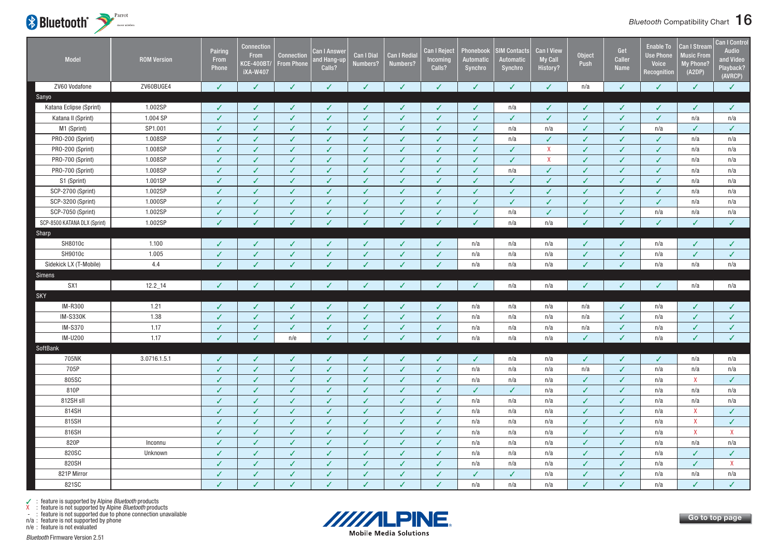

| Model                        | <b>ROM Version</b> | Pairing<br>From<br>Phone | <b>Connection</b><br>From<br><b>KCE-400BT/</b><br><b>iXA-W407</b> | <b>Connection</b><br><b>From Phone</b> | <b>Can I Answer</b><br>and Hang-up<br>Calls? | <b>Can I Dial</b><br>Numbers? | <b>Can I Redia</b><br>Numbers? | <b>Can I Reject</b><br>Incoming<br>Calls? | Phonebook<br>Automatic<br>Synchro | <b>IM Contacts</b><br>Automatic<br>Synchro | <b>Can I View</b><br><b>My Call</b><br><b>History?</b> | <b>Object</b><br>Push | Get<br><b>Caller</b><br>Name | <b>Enable To</b><br><b>Use Phone</b><br>Voice<br>Recognition | <b>Can I Stream</b><br><b>Music From</b><br>My Phone?<br>(A2DP) | <b>Can I Control</b><br><b>Audio</b><br>and Video<br>Playback?<br>(AVRCP) |
|------------------------------|--------------------|--------------------------|-------------------------------------------------------------------|----------------------------------------|----------------------------------------------|-------------------------------|--------------------------------|-------------------------------------------|-----------------------------------|--------------------------------------------|--------------------------------------------------------|-----------------------|------------------------------|--------------------------------------------------------------|-----------------------------------------------------------------|---------------------------------------------------------------------------|
| ZV60 Vodafone                | ZV60BUGE4          | ✓                        | $\checkmark$                                                      | $\checkmark$                           | $\checkmark$                                 | ✓                             | $\checkmark$                   | $\checkmark$                              | ✓                                 | ✓                                          | $\checkmark$                                           | n/a                   | $\checkmark$                 | ✓                                                            | $\checkmark$                                                    | $\checkmark$                                                              |
| Sanyo                        |                    |                          |                                                                   |                                        |                                              |                               |                                |                                           |                                   |                                            |                                                        |                       |                              |                                                              |                                                                 |                                                                           |
| Katana Eclipse (Sprint)      | 1.002SP            | ✓                        | $\checkmark$                                                      | ✓                                      | ✓                                            | ✓                             | ✓                              | $\checkmark$                              | ✓                                 | n/a                                        | ✓                                                      | ✓                     | ✓                            | ✓                                                            | ✓                                                               | $\checkmark$                                                              |
| Katana II (Sprint)           | 1.004 SP           | $\checkmark$             | $\checkmark$                                                      | $\checkmark$                           | $\checkmark$                                 | $\checkmark$                  | $\checkmark$                   | $\checkmark$                              | $\checkmark$                      | $\checkmark$                               | $\checkmark$                                           | $\checkmark$          | $\checkmark$                 | $\checkmark$                                                 | n/a                                                             | n/a                                                                       |
| M1 (Sprint)                  | SP1.001            | ✓                        | $\checkmark$                                                      | ✓                                      | $\checkmark$                                 | ✓                             | $\checkmark$                   | $\checkmark$                              | ✓                                 | n/a                                        | n/a                                                    | ✓                     | $\sqrt{2}$                   | n/a                                                          | ✓                                                               | ✓                                                                         |
| PRO-200 (Sprint)             | 1.008SP            | $\checkmark$             | $\checkmark$                                                      | ✓                                      | $\checkmark$                                 | ✓                             | $\checkmark$                   | $\checkmark$                              | ✓                                 | n/a                                        | ✓                                                      | $\checkmark$          | ✓                            | ✓                                                            | n/a                                                             | n/a                                                                       |
| PRO-200 (Sprint)             | 1.008SP            | $\checkmark$             | $\checkmark$                                                      | ✓                                      | $\checkmark$                                 | $\checkmark$                  | $\checkmark$                   | $\checkmark$                              | ✓                                 | $\checkmark$                               | X                                                      | $\checkmark$          | $\checkmark$                 | $\checkmark$                                                 | n/a                                                             | n/a                                                                       |
| PRO-700 (Sprint)             | 1.008SP            | $\checkmark$             | $\checkmark$                                                      | ✓                                      | $\checkmark$                                 | $\checkmark$                  | $\checkmark$                   | $\checkmark$                              | ✓                                 | $\checkmark$                               | X                                                      | $\checkmark$          | $\checkmark$                 | ✓                                                            | n/a                                                             | n/a                                                                       |
| PRO-700 (Sprint)             | 1.008SP            | ✓                        | $\checkmark$                                                      | $\checkmark$                           | $\checkmark$                                 | $\checkmark$                  | $\checkmark$                   | $\checkmark$                              | ✓                                 | n/a                                        | $\checkmark$                                           | $\checkmark$          | $\checkmark$                 | $\checkmark$                                                 | n/a                                                             | n/a                                                                       |
| S1 (Sprint)                  | 1.001SP            | $\checkmark$             | $\checkmark$                                                      | ✓                                      | $\checkmark$                                 | $\checkmark$                  | $\checkmark$                   | $\checkmark$                              | ✓                                 | ✓                                          | ✓                                                      | $\checkmark$          | ✓                            | ✓                                                            | n/a                                                             | n/a                                                                       |
| SCP-2700 (Sprint)            | 1.002SP            | $\checkmark$             | $\checkmark$                                                      | $\checkmark$                           | $\checkmark$                                 | ✓                             | $\checkmark$                   | $\checkmark$                              | ✓                                 | $\checkmark$                               | ✓                                                      | $\checkmark$          | ✓                            | $\checkmark$                                                 | n/a                                                             | n/a                                                                       |
| SCP-3200 (Sprint)            | 1.000SP            | $\checkmark$             | $\checkmark$                                                      | ✓                                      | $\checkmark$                                 | ✓                             | $\checkmark$                   | $\checkmark$                              | $\checkmark$                      | $\checkmark$                               | ✓                                                      | $\checkmark$          | $\checkmark$                 | $\checkmark$                                                 | n/a                                                             | n/a                                                                       |
| SCP-7050 (Sprint)            | 1.002SP            | $\checkmark$             | $\checkmark$                                                      | $\checkmark$                           | $\checkmark$                                 | ✓                             | $\checkmark$                   | $\checkmark$                              | ✓                                 | n/a                                        | ✓                                                      | ✓                     | ✓                            | n/a                                                          | n/a                                                             | n/a                                                                       |
| SCP-8500 KATANA DLX (Sprint) | 1.002SP            | $\checkmark$             | J                                                                 | J                                      | V                                            |                               | $\checkmark$                   | $\checkmark$                              | V                                 | n/a                                        | n/a                                                    | $\checkmark$          | $\checkmark$                 | V                                                            | ✓                                                               | $\checkmark$                                                              |
| Sharp                        |                    |                          |                                                                   |                                        |                                              |                               |                                |                                           |                                   |                                            |                                                        |                       |                              |                                                              |                                                                 |                                                                           |
| SH8010c                      | 1.100              |                          | $\checkmark$                                                      | ✓                                      | $\checkmark$                                 |                               | $\checkmark$                   | $\checkmark$                              | n/a                               | n/a                                        | n/a                                                    | ✓                     | $\checkmark$                 | n/a                                                          | ✓                                                               | $\checkmark$                                                              |
| SH9010c                      | 1.005              | $\checkmark$             | $\checkmark$                                                      | $\checkmark$                           | $\checkmark$                                 | ✓                             | $\checkmark$                   | $\checkmark$                              | n/a                               | n/a                                        | n/a                                                    | $\checkmark$          | $\checkmark$                 | n/a                                                          | $\checkmark$                                                    | $\checkmark$                                                              |
| Sidekick LX (T-Mobile)       | 4.4                |                          |                                                                   |                                        |                                              |                               |                                | $\checkmark$                              | n/a                               | n/a                                        | n/a                                                    |                       | J                            | n/a                                                          | n/a                                                             | n/a                                                                       |
| Simens                       |                    |                          |                                                                   |                                        |                                              |                               |                                |                                           |                                   |                                            |                                                        |                       |                              |                                                              |                                                                 |                                                                           |
| SX1                          | $12.2 - 14$        | $\checkmark$             | $\checkmark$                                                      | ✓                                      | J                                            |                               |                                | $\checkmark$                              | ✓                                 | n/a                                        | n/a                                                    | $\checkmark$          | ✓                            | ✓                                                            | n/a                                                             | n/a                                                                       |
| SKY                          |                    |                          |                                                                   |                                        |                                              |                               |                                |                                           |                                   |                                            |                                                        |                       |                              |                                                              |                                                                 |                                                                           |
| IM-R300                      | 1.21               | ✓                        | $\checkmark$                                                      | ✓                                      | $\checkmark$                                 | ✓                             | $\checkmark$                   | $\checkmark$                              | n/a                               | n/a                                        | n/a                                                    | n/a                   | ✓                            | n/a                                                          | ✓                                                               | $\checkmark$                                                              |
| <b>IM-S330K</b>              | 1.38               | $\checkmark$             | $\checkmark$                                                      | $\checkmark$                           | $\checkmark$                                 | $\checkmark$                  | $\checkmark$                   | $\checkmark$                              | n/a                               | n/a                                        | n/a                                                    | n/a                   | $\checkmark$                 | n/a                                                          | $\checkmark$                                                    | $\checkmark$                                                              |
| IM-S370                      | 1.17               | $\checkmark$             | $\sqrt{2}$                                                        | ✓                                      | $\checkmark$                                 | ✓                             | $\checkmark$                   | $\sqrt{2}$                                | n/a                               | n/a                                        | n/a                                                    | n/a                   | $\checkmark$                 | n/a                                                          | ✓                                                               | $\checkmark$                                                              |
| IM-U200                      | 1.17               | $\overline{\mathcal{L}}$ | $\checkmark$                                                      | n/e                                    | $\checkmark$                                 | ✓                             | $\overline{I}$                 | $\checkmark$                              | n/a                               | n/a                                        | n/a                                                    | J                     | $\checkmark$                 | n/a                                                          | ✓                                                               | $\checkmark$                                                              |
| SoftBank                     |                    |                          |                                                                   |                                        |                                              |                               |                                |                                           |                                   |                                            |                                                        |                       |                              |                                                              |                                                                 |                                                                           |
| 705NK                        | 3.0716.1.5.1       | $\checkmark$             | $\checkmark$                                                      | $\checkmark$                           | $\checkmark$                                 | ✓                             | $\checkmark$                   | $\checkmark$                              | $\checkmark$                      | n/a                                        | n/a                                                    | $\checkmark$          | $\checkmark$                 | $\checkmark$                                                 | n/a                                                             | n/a                                                                       |
| 705P                         |                    | $\checkmark$             | $\checkmark$                                                      | ✓                                      | $\checkmark$                                 | $\checkmark$                  | $\checkmark$                   | $\sqrt{2}$                                | n/a                               | n/a                                        | n/a                                                    | n/a                   | $\checkmark$                 | n/a                                                          | n/a                                                             | n/a                                                                       |
| 805SC                        |                    | ✓                        | ✓                                                                 | ✓                                      | $\checkmark$                                 | ✓                             | $\checkmark$                   | $\checkmark$                              | n/a                               | n/a                                        | n/a                                                    | ✓                     | $\checkmark$                 | n/a                                                          | X                                                               | ✓                                                                         |
| 810P                         |                    | $\checkmark$             | $\checkmark$                                                      | $\checkmark$                           | $\checkmark$                                 | $\checkmark$                  | $\checkmark$                   | $\checkmark$                              | $\checkmark$                      | $\checkmark$                               | n/a                                                    | $\checkmark$          | $\checkmark$                 | n/a                                                          | n/a                                                             | n/a                                                                       |
| 812SH sll                    |                    | $\checkmark$             | $\checkmark$                                                      | ✓                                      | $\checkmark$                                 | $\sqrt{2}$                    | $\checkmark$                   | $\checkmark$                              | n/a                               | n/a                                        | n/a                                                    | $\checkmark$          | $\checkmark$                 | n/a                                                          | n/a                                                             | n/a                                                                       |
| 814SH                        |                    | ✓                        | $\checkmark$                                                      | $\checkmark$                           | $\checkmark$                                 | ✓                             | $\checkmark$                   | $\checkmark$                              | n/a                               | n/a                                        | n/a                                                    | $\checkmark$          | $\checkmark$                 | n/a                                                          | X                                                               | $\checkmark$                                                              |
| 815SH                        |                    | $\checkmark$             | $\checkmark$                                                      | ✓                                      | $\checkmark$                                 | ✓                             | $\checkmark$                   | $\checkmark$                              | n/a                               | n/a                                        | n/a                                                    | $\checkmark$          | $\checkmark$                 | n/a                                                          | $\mathsf{X}$                                                    | ✓                                                                         |
| 816SH                        |                    | $\checkmark$             | $\checkmark$                                                      | ✓                                      | $\checkmark$                                 | $\checkmark$                  | $\checkmark$                   | $\checkmark$                              | n/a                               | n/a                                        | n/a                                                    | $\checkmark$          | $\sqrt{2}$                   | n/a                                                          | $\mathsf{X}$                                                    | $\mathsf{X}$                                                              |
| 820P                         | Inconnu            | $\checkmark$             | $\checkmark$                                                      | ✓                                      | $\checkmark$                                 | $\checkmark$                  | $\checkmark$                   | $\checkmark$                              | n/a                               | n/a                                        | n/a                                                    | $\checkmark$          | $\checkmark$                 | n/a                                                          | n/a                                                             | n/a                                                                       |
| 820SC                        | Unknown            | J                        | $\checkmark$                                                      | $\checkmark$                           | $\checkmark$                                 | ✓                             | $\checkmark$                   | $\checkmark$                              | n/a                               | n/a                                        | n/a                                                    | $\checkmark$          | ✓                            | n/a                                                          | $\checkmark$                                                    | ✓                                                                         |
| 820SH                        |                    | $\checkmark$             | $\checkmark$                                                      | ✓                                      | $\checkmark$                                 | $\checkmark$                  | $\checkmark$                   | $\checkmark$                              | n/a                               | n/a                                        | n/a                                                    | $\checkmark$          | ✓                            | n/a                                                          | $\checkmark$                                                    | $\mathsf{X}$                                                              |
| 821P Mirror                  |                    | $\checkmark$             | $\checkmark$                                                      | ✓                                      | $\checkmark$                                 | $\checkmark$                  | $\checkmark$                   | $\checkmark$                              | ✓                                 | $\checkmark$                               | n/a                                                    | $\checkmark$          | ✓                            | n/a                                                          | n/a                                                             | n/a                                                                       |
| 821SC                        |                    | J                        | $\sqrt{2}$                                                        | ✓                                      | $\checkmark$                                 | $\checkmark$                  | J                              | V                                         | n/a                               | n/a                                        | n/a                                                    | J                     | $\checkmark$                 | n/a                                                          | $\checkmark$                                                    | $\checkmark$                                                              |



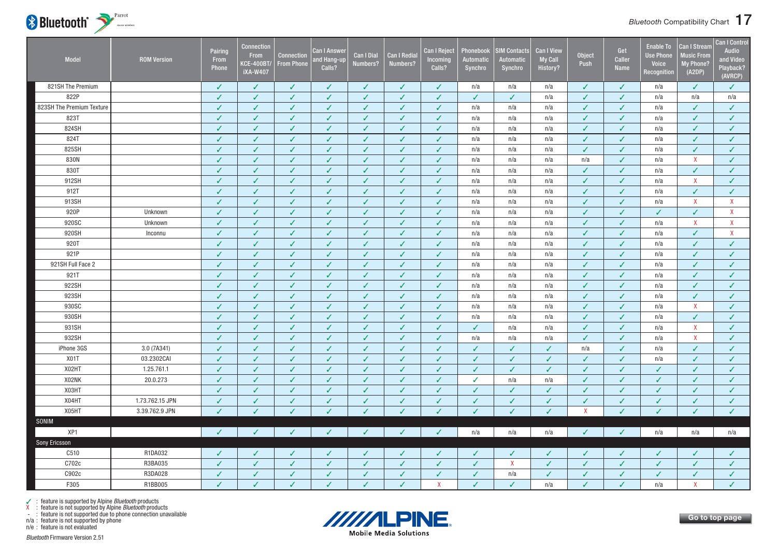

| Model                     | <b>ROM Version</b> | Pairing<br>From<br>Phone | <b>Connection</b><br><b>From</b><br><b>KCE-400BT/</b><br><b>iXA-W407</b> | <b>Connection</b><br><b>From Phone</b> | Can I Answer<br>and Hang-up<br>Calls? | <b>Can I Dial</b><br>Numbers? | <b>Can I Redial</b><br>Numbers? | Can I Reject<br>Incoming<br>Calls? | Phonebook<br>Automatic<br>Synchro | <b>SIM Contacts</b><br><b>Automatic</b><br>Synchro | <b>Can I View</b><br><b>My Call</b><br>History? | <b>Object</b><br>Push     | Get<br>Caller<br>Name | <b>Enable To</b><br><b>Use Phone</b><br>Voice<br>Recognition | <b>Can I Stream</b><br><b>Music From</b><br>My Phone?<br>(A2DP) | <b>Can I Control</b><br><b>Audio</b><br>and Video<br>Playback?<br>(AVRCP) |
|---------------------------|--------------------|--------------------------|--------------------------------------------------------------------------|----------------------------------------|---------------------------------------|-------------------------------|---------------------------------|------------------------------------|-----------------------------------|----------------------------------------------------|-------------------------------------------------|---------------------------|-----------------------|--------------------------------------------------------------|-----------------------------------------------------------------|---------------------------------------------------------------------------|
| 821SH The Premium         |                    | $\checkmark$             | $\checkmark$                                                             | $\checkmark$                           | $\checkmark$                          | $\checkmark$                  | $\checkmark$                    | $\checkmark$                       | n/a                               | n/a                                                | n/a                                             | ✓                         | $\checkmark$          | n/a                                                          | $\checkmark$                                                    | $\checkmark$                                                              |
| 822P                      |                    | $\checkmark$             | $\checkmark$                                                             | $\checkmark$                           | $\checkmark$                          | $\checkmark$                  | $\checkmark$                    | $\checkmark$                       | $\checkmark$                      | $\checkmark$                                       | n/a                                             | $\checkmark$              | $\checkmark$          | n/a                                                          | n/a                                                             | n/a                                                                       |
| 823SH The Premium Texture |                    | $\checkmark$             | $\checkmark$                                                             | $\checkmark$                           | $\checkmark$                          | $\checkmark$                  | $\checkmark$                    | $\checkmark$                       | n/a                               | n/a                                                | n/a                                             | $\checkmark$              | ✓                     | n/a                                                          | $\checkmark$                                                    | $\checkmark$                                                              |
| 823T                      |                    | $\checkmark$             | ✓                                                                        | $\checkmark$                           | $\checkmark$                          | $\checkmark$                  | $\checkmark$                    | $\checkmark$                       | n/a                               | n/a                                                | n/a                                             | ✓                         | $\checkmark$          | n/a                                                          | $\checkmark$                                                    | $\checkmark$                                                              |
| 824SH                     |                    | ✓                        | ✓                                                                        | $\checkmark$                           | $\checkmark$                          | $\checkmark$                  | $\checkmark$                    | $\checkmark$                       | n/a                               | n/a                                                | n/a                                             | ✓                         | $\checkmark$          | n/a                                                          | $\checkmark$                                                    | $\checkmark$                                                              |
| 824T                      |                    | J                        | J                                                                        | $\checkmark$                           | $\checkmark$                          | $\checkmark$                  | $\checkmark$                    | $\checkmark$                       | n/a                               | n/a                                                | n/a                                             | $\checkmark$              | J                     | n/a                                                          | $\checkmark$                                                    | $\checkmark$                                                              |
| 825SH                     |                    | $\checkmark$             | $\checkmark$                                                             | $\checkmark$                           | $\checkmark$                          | $\checkmark$                  | $\checkmark$                    | $\checkmark$                       | n/a                               | n/a                                                | n/a                                             | $\checkmark$              | $\checkmark$          | n/a                                                          | $\checkmark$                                                    | $\checkmark$                                                              |
| 830N                      |                    | $\checkmark$             | $\checkmark$                                                             | $\checkmark$                           | $\checkmark$                          | $\checkmark$                  | $\checkmark$                    | $\checkmark$                       | n/a                               | n/a                                                | n/a                                             | n/a                       | $\checkmark$          | n/a                                                          | X                                                               | $\checkmark$                                                              |
| 830T                      |                    | ✓                        | ✓                                                                        | $\checkmark$                           | $\checkmark$                          | $\checkmark$                  | $\checkmark$                    | $\checkmark$                       | n/a                               | n/a                                                | n/a                                             | ✓                         | ✓                     | n/a                                                          | $\checkmark$                                                    | $\checkmark$                                                              |
| 912SH                     |                    | ✓                        | J                                                                        | ✓                                      | $\checkmark$                          | ✓                             | ✓                               | ✓                                  | n/a                               | n/a                                                | n/a                                             | $\checkmark$              | J                     | n/a                                                          | X                                                               | ✓                                                                         |
| 912T                      |                    | $\checkmark$             | V                                                                        | $\checkmark$                           | $\checkmark$                          | $\checkmark$                  | $\checkmark$                    | $\checkmark$                       | n/a                               | n/a                                                | n/a                                             | $\checkmark$              | $\checkmark$          | n/a                                                          | $\checkmark$                                                    | $\checkmark$                                                              |
| 913SH                     |                    | ✓                        | ✓                                                                        | ✓                                      | $\checkmark$                          | ✓                             | $\checkmark$                    | $\checkmark$                       | n/a                               | n/a                                                | n/a                                             | ✓                         | ✓                     | n/a                                                          | X                                                               | $\mathsf{X}$                                                              |
| 920P                      | Unknown            | $\sqrt{}$                | ✓                                                                        | $\checkmark$                           | $\checkmark$                          | $\checkmark$                  | $\checkmark$                    | $\checkmark$                       | n/a                               | n/a                                                | n/a                                             | $\checkmark$              | $\checkmark$          | $\checkmark$                                                 | $\checkmark$                                                    | $\mathsf{X}$                                                              |
| 920SC                     | Unknown            | ✓                        | ✓                                                                        | $\checkmark$                           | $\checkmark$                          | $\checkmark$                  | $\checkmark$                    | ✓                                  | n/a                               | n/a                                                | n/a                                             | $\checkmark$              | $\sqrt{2}$            | n/a                                                          | $\mathsf{X}$                                                    | $\mathsf{X}$                                                              |
| 920SH                     | Inconnu            | $\checkmark$             | $\checkmark$                                                             | $\checkmark$                           | $\checkmark$                          | $\checkmark$                  | $\checkmark$                    | $\checkmark$                       | n/a                               | n/a                                                | n/a                                             | $\checkmark$              | $\sqrt{2}$            | n/a                                                          | $\checkmark$                                                    | $\mathsf{X}$                                                              |
| 920T                      |                    | ✓                        | ✓                                                                        | $\checkmark$                           | $\checkmark$                          | $\checkmark$                  | $\checkmark$                    | $\checkmark$                       | n/a                               | n/a                                                | n/a                                             | ✓                         | ✓                     | n/a                                                          | ✓                                                               | $\checkmark$                                                              |
| 921P                      |                    | ✓                        | ✓                                                                        | $\checkmark$                           | $\checkmark$                          | $\checkmark$                  | $\checkmark$                    | $\checkmark$                       | n/a                               | n/a                                                | n/a                                             | J                         | $\checkmark$          | n/a                                                          | $\checkmark$                                                    | $\checkmark$                                                              |
| 921SH Full Face 2         |                    | J                        | ✓                                                                        | $\checkmark$                           | $\checkmark$                          | $\overline{J}$                | $\checkmark$                    | V                                  | n/a                               | n/a                                                | n/a                                             | $\checkmark$              | $\checkmark$          | n/a                                                          | $\checkmark$                                                    | $\checkmark$                                                              |
| 921T                      |                    | $\checkmark$             | ✓                                                                        | $\checkmark$                           | $\checkmark$                          | $\checkmark$                  | $\checkmark$                    | $\checkmark$                       | n/a                               | n/a                                                | n/a                                             | $\checkmark$              | $\checkmark$          | n/a                                                          | $\checkmark$                                                    | $\checkmark$                                                              |
| 922SH                     |                    | $\checkmark$             | ✓                                                                        | $\checkmark$                           | $\checkmark$                          | $\checkmark$                  | $\checkmark$                    | $\checkmark$                       | n/a                               | n/a                                                | n/a                                             | J                         | $\checkmark$          | n/a                                                          | ✓                                                               | $\checkmark$                                                              |
| 923SH                     |                    | ✓                        | ✓                                                                        | $\checkmark$                           | $\checkmark$                          | $\checkmark$                  | $\checkmark$                    | $\checkmark$                       | n/a                               | n/a                                                | n/a                                             | $\checkmark$              | ✓                     | n/a                                                          | $\checkmark$                                                    | $\checkmark$                                                              |
| 930SC                     |                    | $\sqrt{2}$               | ✓                                                                        | $\checkmark$                           | ✓                                     | $\checkmark$                  | $\checkmark$                    | $\checkmark$                       | n/a                               | n/a                                                | n/a                                             | $\checkmark$              | ✓                     | n/a                                                          | $\mathsf{X}$                                                    | $\checkmark$                                                              |
| 930SH                     |                    | $\checkmark$             | ✓                                                                        | $\checkmark$                           | $\checkmark$                          | $\checkmark$                  | $\checkmark$                    | $\checkmark$                       | n/a                               | n/a                                                | n/a                                             | $\checkmark$              | $\checkmark$          | n/a                                                          | $\checkmark$                                                    | $\checkmark$                                                              |
| 931SH                     |                    | ✓                        | ✓                                                                        | $\checkmark$                           | $\checkmark$                          | $\checkmark$                  | $\checkmark$                    | $\checkmark$                       | $\checkmark$                      | n/a                                                | n/a                                             | ✓                         | $\checkmark$          | n/a                                                          | X                                                               | $\checkmark$                                                              |
| 932SH                     |                    | ✓                        | ✓                                                                        | $\checkmark$                           | $\checkmark$                          | $\checkmark$                  | $\checkmark$                    | $\checkmark$                       | n/a                               | n/a                                                | n/a                                             | ✓                         | ✓                     | n/a                                                          | $\mathsf{X}$                                                    | $\checkmark$                                                              |
| iPhone 3GS                | 3.0 (7A341)        | $\checkmark$             | ✓                                                                        | $\checkmark$                           | $\checkmark$                          | $\checkmark$                  | $\checkmark$                    | $\checkmark$                       | $\checkmark$                      | $\checkmark$                                       | $\checkmark$                                    | n/a                       | $\checkmark$          | n/a                                                          | $\checkmark$                                                    | $\checkmark$                                                              |
| X01T                      | 03.2302CAI         | $\checkmark$             | ✓                                                                        | $\checkmark$                           | $\checkmark$                          | $\checkmark$                  | $\checkmark$                    | $\checkmark$                       | $\checkmark$                      | $\checkmark$                                       | $\checkmark$                                    | ✓                         | $\checkmark$          | n/a                                                          | ✓                                                               | $\checkmark$                                                              |
| X02HT                     | 1.25.761.1         | ✓                        | ✓                                                                        | $\checkmark$                           | $\checkmark$                          | $\checkmark$                  | $\checkmark$                    | $\checkmark$                       | $\checkmark$                      | $\checkmark$                                       | $\checkmark$                                    | $\checkmark$              | $\checkmark$          | $\checkmark$                                                 | $\checkmark$                                                    | $\checkmark$                                                              |
| X02NK                     | 20.0.273           | $\checkmark$             | ✓                                                                        | $\checkmark$                           | $\checkmark$                          | $\checkmark$                  | $\checkmark$                    | $\checkmark$                       | ✓                                 | n/a                                                | n/a                                             | $\checkmark$              | $\checkmark$          | ✓                                                            | $\checkmark$                                                    | $\checkmark$                                                              |
| X03HT                     |                    | $\checkmark$             | ✓                                                                        | ✓                                      | $\checkmark$                          | $\checkmark$                  | $\checkmark$                    | ✓                                  | $\checkmark$                      | ✓                                                  | $\checkmark$                                    | $\checkmark$              | ✓                     | ✓                                                            | ✓                                                               | $\checkmark$                                                              |
| X04HT                     | 1.73.762.15 JPN    | $\checkmark$             | $\checkmark$                                                             | $\checkmark$                           | $\checkmark$                          | $\checkmark$                  | $\checkmark$                    | $\checkmark$                       | $\checkmark$                      | $\checkmark$                                       | $\checkmark$                                    | $\checkmark$              | $\checkmark$          | $\checkmark$                                                 | $\checkmark$                                                    | $\checkmark$                                                              |
| X05HT                     | 3.39.762.9 JPN     | ✓                        | ✓                                                                        | ✓                                      | $\checkmark$                          | $\checkmark$                  | ✓                               | ✓                                  | $\checkmark$                      | $\checkmark$                                       | $\checkmark$                                    | $\boldsymbol{\mathsf{X}}$ | ✓                     | ✓                                                            | ✓                                                               | $\checkmark$                                                              |
| SONIM                     |                    |                          |                                                                          |                                        |                                       |                               |                                 |                                    |                                   |                                                    |                                                 |                           |                       |                                                              |                                                                 |                                                                           |
| XP1                       |                    | $\checkmark$             | $\checkmark$                                                             | $\checkmark$                           | $\checkmark$                          | $\checkmark$                  | ✓                               | $\checkmark$                       | n/a                               | n/a                                                | n/a                                             | $\checkmark$              | $\checkmark$          | n/a                                                          | n/a                                                             | n/a                                                                       |
| Sony Ericsson             |                    |                          |                                                                          |                                        |                                       |                               |                                 |                                    |                                   |                                                    |                                                 |                           |                       |                                                              |                                                                 |                                                                           |
| C510                      | R1DA032            | $\checkmark$             | $\checkmark$                                                             | $\checkmark$                           | $\checkmark$                          | $\checkmark$                  | $\checkmark$                    | $\checkmark$                       | $\checkmark$                      | ✓                                                  | $\checkmark$                                    | ✓                         | $\checkmark$          | ✓                                                            | ✓                                                               | $\checkmark$                                                              |
| C702c                     | R3BA035            | ✓                        | ✓                                                                        | ✓                                      | $\checkmark$                          | $\checkmark$                  | $\checkmark$                    | $\checkmark$                       | $\checkmark$                      | $\mathsf{X}$                                       | $\checkmark$                                    | ✓                         | ✓                     | ✓                                                            | ✓                                                               | $\checkmark$                                                              |
| C902c                     | R3DA028            | ✓                        | ✓                                                                        | $\checkmark$                           | $\checkmark$                          | $\checkmark$                  | $\checkmark$                    | ✓                                  | $\checkmark$                      | n/a                                                | $\checkmark$                                    | ✓                         | ✓                     | ✓                                                            | $\checkmark$                                                    | $\checkmark$                                                              |
| F305                      | R1BB005            | J                        | V                                                                        | J                                      | $\checkmark$                          | $\checkmark$                  | $\checkmark$                    | $\overline{\mathbf{x}}$            | $\checkmark$                      | J                                                  | n/a                                             | $\checkmark$              | $\checkmark$          | n/a                                                          | $\mathsf{X}$                                                    | $\checkmark$                                                              |

n/a : feature is not supported by phone



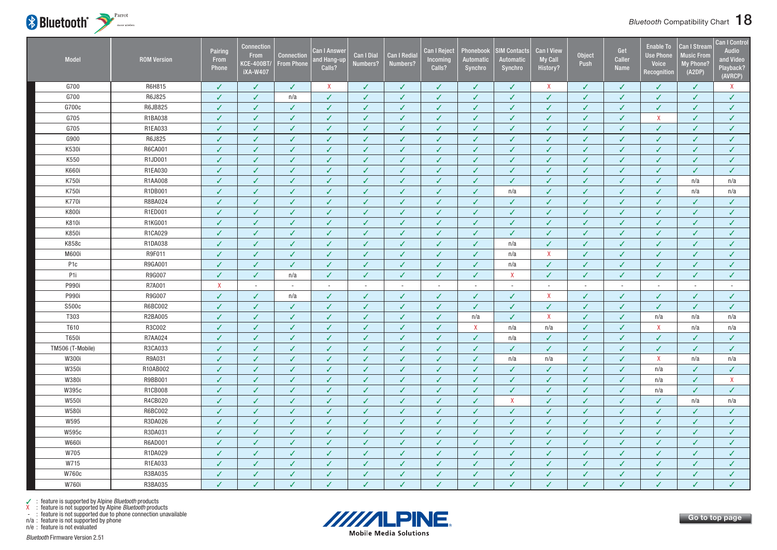

| Model            | <b>ROM Version</b> | Pairing<br>From<br>Phone | <b>Connection</b><br>From<br><b>KCE-400BT</b><br><b>iXA-W407</b> | <b>Connection</b><br><b>From Phone</b> | Can I Answer<br>and Hang-up<br>Calls? | <b>Can I Dial</b><br>Numbers? | <b>Can I Redial</b><br>Numbers? | <b>Can I Reject</b><br>Incoming<br>Calls? | Phonebook<br>Automatic<br>Synchro | <b>SIM Contacts</b><br><b>Automatic</b><br>Synchro | <b>Can I View</b><br><b>My Call</b><br>History? | <b>Object</b><br>Push | Get<br>Caller<br><b>Name</b> | <b>Enable To</b><br><b>Use Phone</b><br>Voice<br>Recognition | <b>Can I Stream</b><br><b>Music From</b><br><b>My Phone?</b><br>(A2DP) | <b>Can I Control</b><br>Audio<br>and Video<br>Playback?<br>(AVRCP) |
|------------------|--------------------|--------------------------|------------------------------------------------------------------|----------------------------------------|---------------------------------------|-------------------------------|---------------------------------|-------------------------------------------|-----------------------------------|----------------------------------------------------|-------------------------------------------------|-----------------------|------------------------------|--------------------------------------------------------------|------------------------------------------------------------------------|--------------------------------------------------------------------|
| G700             | R6H815             | ✓                        | ✓                                                                | ✓                                      | $\mathsf{X}$                          | ✓                             | √                               | ✓                                         | ✓                                 | ✓                                                  | X                                               | ✓                     | $\checkmark$                 | ✓                                                            | ✓                                                                      | X                                                                  |
| G700             | R6J825             | $\checkmark$             | V                                                                | n/a                                    | ✓                                     | $\checkmark$                  | $\checkmark$                    | V                                         | $\checkmark$                      | $\checkmark$                                       | $\checkmark$                                    | $\overline{J}$        | $\checkmark$                 | J                                                            | V                                                                      | $\checkmark$                                                       |
| G700c            | R6JB825            | ✓                        | $\checkmark$                                                     | ✓                                      | ✓                                     | $\checkmark$                  | $\checkmark$                    | $\checkmark$                              | $\checkmark$                      | $\checkmark$                                       | $\checkmark$                                    | $\checkmark$          | $\sqrt{2}$                   | ✓                                                            | $\checkmark$                                                           | $\checkmark$                                                       |
| G705             | R1BA038            | J                        | J                                                                | ✓                                      | $\checkmark$                          | ✓                             | ✓                               | $\checkmark$                              | $\checkmark$                      | ✓                                                  | $\checkmark$                                    | J                     | $\checkmark$                 | X                                                            | ✓                                                                      | $\checkmark$                                                       |
| G705             | R1EA033            | √                        | J                                                                | $\checkmark$                           | ✓                                     | ✓                             | J                               | ✓                                         | $\checkmark$                      | ✓                                                  | ✓                                               | J                     | J                            | ✓                                                            | ✓                                                                      | $\checkmark$                                                       |
| G900             | R6J825             | ✓                        | J                                                                | ✓                                      | ✓                                     | $\checkmark$                  | $\checkmark$                    | ✓                                         | ✓                                 | ✓                                                  | ✓                                               | ✓                     | $\checkmark$                 | ✓                                                            | ✓                                                                      | ✓                                                                  |
| K530i            | R6CA001            | $\checkmark$             | $\checkmark$                                                     | $\checkmark$                           | ✓                                     | $\checkmark$                  | $\checkmark$                    | $\checkmark$                              | $\checkmark$                      | $\checkmark$                                       | $\checkmark$                                    | $\checkmark$          | $\checkmark$                 | $\checkmark$                                                 | ✓                                                                      | $\checkmark$                                                       |
| K550             | R1JD001            | J                        | ✓                                                                | $\checkmark$                           | ✓                                     | $\checkmark$                  | $\checkmark$                    | $\checkmark$                              | $\checkmark$                      | ✓                                                  | ✓                                               | $\checkmark$          | ✓                            | ✓                                                            | ✓                                                                      | ✓                                                                  |
| K660i            | R1EA030            | ✓                        | ✓                                                                | ✓                                      | ✓                                     | $\checkmark$                  | $\checkmark$                    | $\checkmark$                              | $\checkmark$                      | ✓                                                  | ✓                                               | ✓                     | ✓                            | ✓                                                            | ✓                                                                      | $\checkmark$                                                       |
| K750i            | R1AA008            | $\checkmark$             | $\checkmark$                                                     | $\checkmark$                           | ✓                                     | $\checkmark$                  | $\checkmark$                    | $\checkmark$                              | $\checkmark$                      | $\checkmark$                                       | $\checkmark$                                    | $\checkmark$          | $\checkmark$                 | ✓                                                            | n/a                                                                    | n/a                                                                |
| K750i            | R1DB001            | ✓                        | J                                                                | $\checkmark$                           | ✓                                     | $\checkmark$                  | $\checkmark$                    | $\checkmark$                              | $\checkmark$                      | n/a                                                | $\checkmark$                                    | $\checkmark$          | $\checkmark$                 | ✓                                                            | n/a                                                                    | n/a                                                                |
| K770i            | R8BA024            | ✓                        | $\checkmark$                                                     | $\checkmark$                           | $\checkmark$                          | $\checkmark$                  | $\checkmark$                    | $\checkmark$                              | $\checkmark$                      | $\checkmark$                                       | $\checkmark$                                    | $\checkmark$          | $\checkmark$                 | $\checkmark$                                                 | ✓                                                                      | $\checkmark$                                                       |
| K800i            | R1ED001            | $\checkmark$             | J                                                                | ✓                                      | ✓                                     | $\checkmark$                  | $\checkmark$                    | ✓                                         | $\checkmark$                      | $\checkmark$                                       | ✓                                               | $\checkmark$          | ✓                            | ✓                                                            | $\checkmark$                                                           | $\checkmark$                                                       |
| K810i            | R1KG001            | ✓                        | J                                                                | $\checkmark$                           | ✓                                     | ✓                             | $\checkmark$                    | $\checkmark$                              | $\checkmark$                      | ✓                                                  | ✓                                               | $\checkmark$          | ✓                            | ✓                                                            | ✓                                                                      | $\checkmark$                                                       |
| K850i            | R1CA029            | $\checkmark$             | $\checkmark$                                                     | $\checkmark$                           | $\checkmark$                          | $\checkmark$                  | $\checkmark$                    | $\checkmark$                              | $\checkmark$                      | $\checkmark$                                       | $\checkmark$                                    | $\checkmark$          | $\checkmark$                 | $\checkmark$                                                 | $\checkmark$                                                           | $\sqrt{2}$                                                         |
| K858c            | R1DA038            | ✓                        | ✓                                                                | ✓                                      | ✓                                     | $\checkmark$                  | $\checkmark$                    | $\checkmark$                              | $\checkmark$                      | n/a                                                | $\checkmark$                                    | ✓                     | ✓                            | ✓                                                            | ✓                                                                      | ✓                                                                  |
| M600i            | R9F011             | ✓                        | J                                                                | ✓                                      | ✓                                     | $\checkmark$                  | ✓                               | J                                         | ✓                                 | n/a                                                | $\mathsf{X}$                                    | J                     | J                            | ✓                                                            | ✓                                                                      | ✓                                                                  |
| P <sub>1</sub> c | R9GA001            | $\checkmark$             | $\checkmark$                                                     | $\checkmark$                           | $\checkmark$                          | $\checkmark$                  | $\checkmark$                    | $\checkmark$                              | $\checkmark$                      | n/a                                                | $\checkmark$                                    | ✓                     | $\checkmark$                 | ✓                                                            | ✓                                                                      | $\checkmark$                                                       |
| P1i              | R9G007             | $\checkmark$             | $\checkmark$                                                     | n/a                                    | $\checkmark$                          | $\checkmark$                  | $\checkmark$                    | $\checkmark$                              | $\checkmark$                      | X                                                  | $\checkmark$                                    | $\checkmark$          | $\checkmark$                 | ✓                                                            | ✓                                                                      | $\checkmark$                                                       |
| P990i            | R7A001             | $\mathsf{X}$             | $\overline{a}$                                                   | $\sim$                                 | $\sim$                                | $\sim$                        | $\sim$                          | ÷,                                        | $\sim$                            | $\overline{a}$                                     | $\sim$                                          | $\sim$                | ÷.                           | $\sim$                                                       | $\overline{\phantom{a}}$                                               | $\sim$                                                             |
| P990i            | R9G007             | $\checkmark$             | $\checkmark$                                                     | n/a                                    | $\checkmark$                          | $\checkmark$                  | $\checkmark$                    | $\checkmark$                              | $\checkmark$                      | $\checkmark$                                       | $\boldsymbol{\mathsf{X}}$                       | $\checkmark$          | $\checkmark$                 | ✓                                                            | ✓                                                                      | $\checkmark$                                                       |
| S500c            | R6BC002            | $\checkmark$             | $\checkmark$                                                     | $\checkmark$                           | $\checkmark$                          | $\checkmark$                  | $\checkmark$                    | $\checkmark$                              | $\checkmark$                      | ✓                                                  | $\checkmark$                                    | $\checkmark$          | $\checkmark$                 | $\checkmark$                                                 | $\checkmark$                                                           | $\checkmark$                                                       |
| T303             | R2BA005            | $\checkmark$             | $\checkmark$                                                     | $\checkmark$                           | $\checkmark$                          | $\checkmark$                  | $\checkmark$                    | $\checkmark$                              | n/a                               | $\checkmark$                                       | $\boldsymbol{\mathsf{X}}$                       | $\checkmark$          | $\checkmark$                 | n/a                                                          | n/a                                                                    | n/a                                                                |
| T610             | R3C002             | ✓                        | J                                                                | $\checkmark$                           | $\checkmark$                          | ✓                             | $\checkmark$                    | $\checkmark$                              | X                                 | n/a                                                | n/a                                             | ✓                     | $\checkmark$                 | $\mathsf{X}$                                                 | n/a                                                                    | n/a                                                                |
| T650i            | R7AA024            | √                        | J                                                                | ✓                                      | ✓                                     | ✓                             | J                               | ✓                                         | $\checkmark$                      | n/a                                                | ✓                                               | ✓                     | ✓                            | ✓                                                            | ✓                                                                      | ✓                                                                  |
| TM506 (T-Mobile) | R3CA033            | ✓                        | ✓                                                                | $\checkmark$                           | ✓                                     | $\checkmark$                  | $\checkmark$                    | $\checkmark$                              | $\checkmark$                      | ✓                                                  | $\checkmark$                                    | $\checkmark$          | $\checkmark$                 | ✓                                                            | $\checkmark$                                                           | $\checkmark$                                                       |
| W300i            | R9A031             | $\checkmark$             | J                                                                | $\checkmark$                           | $\checkmark$                          | $\checkmark$                  | $\checkmark$                    | $\checkmark$                              | $\checkmark$                      | n/a                                                | n/a                                             | $\checkmark$          | ✓                            | $\mathsf{X}$                                                 | n/a                                                                    | n/a                                                                |
| W350i            | R10AB002           | ✓                        | ✓                                                                | ✓                                      | ✓                                     | $\checkmark$                  | ✓                               | ✓                                         | ✓                                 | ✓                                                  | ✓                                               | ✓                     | $\checkmark$                 | n/a                                                          | $\checkmark$                                                           | $\checkmark$                                                       |
| W380i            | R9BB001            | J                        | $\checkmark$                                                     | $\checkmark$                           | ✓                                     | $\checkmark$                  | $\checkmark$                    | $\checkmark$                              | $\checkmark$                      | ✓                                                  | $\checkmark$                                    | $\checkmark$          | ✓                            | n/a                                                          | ✓                                                                      | X                                                                  |
| W395c            | R1CB008            | $\checkmark$             | ✓                                                                | $\checkmark$                           | $\checkmark$                          | $\checkmark$                  | $\checkmark$                    | ✓                                         | $\checkmark$                      | $\checkmark$                                       | $\checkmark$                                    | J                     | J                            | n/a                                                          | $\checkmark$                                                           | $\checkmark$                                                       |
| W550i            | R4CB020            | ✓                        | $\checkmark$                                                     | $\checkmark$                           | ✓                                     | $\checkmark$                  | $\checkmark$                    | $\checkmark$                              | $\checkmark$                      | $\mathsf{X}$                                       | $\checkmark$                                    | $\checkmark$          | $\checkmark$                 | $\checkmark$                                                 | n/a                                                                    | n/a                                                                |
| W580i            | R6BC002            | J                        | $\checkmark$                                                     | $\checkmark$                           | ✓                                     | $\checkmark$                  | J                               | ✓                                         | $\checkmark$                      | ✓                                                  | $\checkmark$                                    | J                     | J                            | ✓                                                            | ✓                                                                      | ✓                                                                  |
| W595             | R3DA026            | J                        | J                                                                | ✓                                      | $\checkmark$                          | J                             | J                               | J                                         | $\checkmark$                      | ✓                                                  | J                                               | J                     | J                            | ✓                                                            | J                                                                      | $\checkmark$                                                       |
| W595c            | R3DA031            | √                        | ✓                                                                | ✓                                      | ✓                                     | $\checkmark$                  | ✓                               | ✓                                         | $\checkmark$                      | ✓                                                  | $\checkmark$                                    | J                     | ✓                            | ✓                                                            | ✓                                                                      | $\checkmark$                                                       |
| <b>W660i</b>     | R6AD001            | ✓                        | $\checkmark$                                                     | $\checkmark$                           | ✓                                     | $\checkmark$                  | $\checkmark$                    | $\checkmark$                              | $\checkmark$                      | $\checkmark$                                       | $\checkmark$                                    | $\checkmark$          | $\checkmark$                 | ✓                                                            | $\checkmark$                                                           | $\checkmark$                                                       |
| W705             | R1DA029            | J                        | ✓                                                                | $\checkmark$                           | ✓                                     | $\checkmark$                  | ✓                               | $\checkmark$                              | $\checkmark$                      | $\checkmark$                                       | $\checkmark$                                    | ✓                     | ✓                            | ✓                                                            | ✓                                                                      | $\checkmark$                                                       |
| W715             | R1EA033            | ✓                        | ✓                                                                | ✓                                      | ✓                                     | ✓                             | ✓                               | ✓                                         | ✓                                 | ✓                                                  | ✓                                               | J                     | ✓                            | ✓                                                            | ✓                                                                      | $\checkmark$                                                       |
| W760c            | R3BA035            | $\checkmark$             | ✓                                                                | $\checkmark$                           | ✓                                     | $\checkmark$                  | $\checkmark$                    | $\checkmark$                              | $\checkmark$                      | $\checkmark$                                       | $\checkmark$                                    | J                     | ✓                            | ✓                                                            | $\checkmark$                                                           | $\checkmark$                                                       |
| W760i            | R3BA035            | J                        | ✓                                                                | ✓                                      | J                                     | J                             | J                               | J                                         | J                                 | J                                                  | J                                               |                       | J                            | ✓                                                            | J                                                                      | $\checkmark$                                                       |